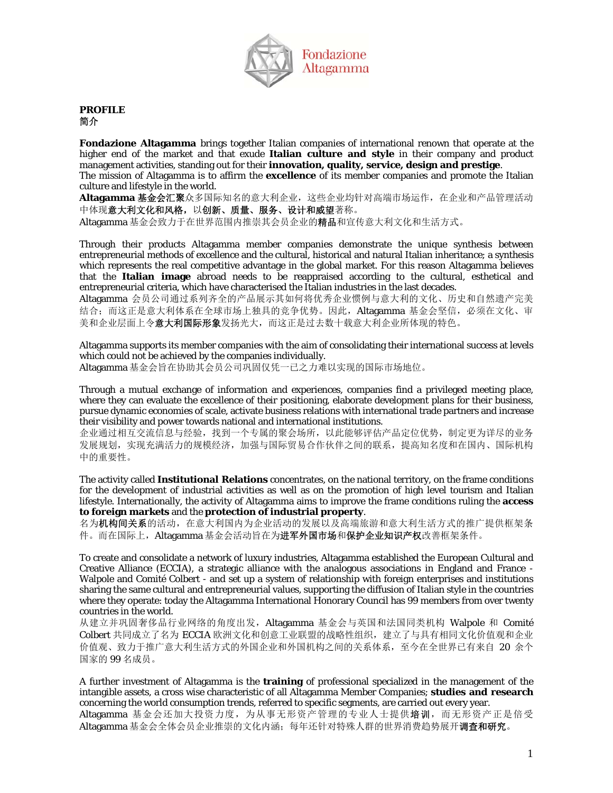

## **PROFILE**  简介

**Fondazione Altagamma** brings together Italian companies of international renown that operate at the higher end of the market and that exude **Italian culture and style** in their company and product management activities, standing out for their **innovation, quality, service, design and prestige**. The mission of Altagamma is to affirm the **excellence** of its member companies and promote the Italian culture and lifestyle in the world.

**Altagamma** 基金会汇聚众多国际知名的意大利企业,这些企业均针对高端市场运作,在企业和产品管理活动 中体现意大利文化和风格,以创新、质量、服务、设计和威望著称。

Altagamma 基金会致力于在世界范围内推崇其会员企业的精品和宣传意大利文化和生活方式。

Through their products Altagamma member companies demonstrate the unique synthesis between entrepreneurial methods of excellence and the cultural, historical and natural Italian inheritance; a synthesis which represents the real competitive advantage in the global market. For this reason Altagamma believes that the **Italian image** abroad needs to be reappraised according to the cultural, esthetical and entrepreneurial criteria, which have characterised the Italian industries in the last decades.

Altagamma 会员公司通过系列齐全的产品展示其如何将优秀企业惯例与意大利的文化、历史和自然遗产完美 结合;而这正是意大利体系在全球市场上独具的竞争优势。因此, Altagamma 基金会坚信, 必须在文化、审 美和企业层面上令**意大利国际形象**发扬光大,而这正是过去数十载意大利企业所体现的特色。

Altagamma supports its member companies with the aim of consolidating their international success at levels which could not be achieved by the companies individually.

Altagamma 基金会旨在协助其会员公司巩固仅凭一已之力难以实现的国际市场地位。

Through a mutual exchange of information and experiences, companies find a privileged meeting place, where they can evaluate the excellence of their positioning, elaborate development plans for their business, pursue dynamic economies of scale, activate business relations with international trade partners and increase their visibility and power towards national and international institutions.

企业通过相互交流信息与经验,找到一个专属的聚会场所,以此能够评估产品定位优势,制定更为详尽的业务 发展规划,实现充满活力的规模经济,加强与国际贸易合作伙伴之间的联系,提高知名度和在国内、国际机构 中的重要性。

The activity called **Institutional Relations** concentrates, on the national territory, on the frame conditions for the development of industrial activities as well as on the promotion of high level tourism and Italian lifestyle. Internationally, the activity of Altagamma aims to improve the frame conditions ruling the **access to foreign markets** and the **protection of industrial property**.

名为机构间关系的活动,在意大利国内为企业活动的发展以及高端旅游和意大利生活方式的推广提供框架条 件。而在国际上, Altagamma 基金会活动旨在为进军外国市场和保护企业知识产权改善框架条件。

To create and consolidate a network of luxury industries, Altagamma established the European Cultural and Creative Alliance (ECCIA), a strategic alliance with the analogous associations in England and France - Walpole and Comité Colbert - and set up a system of relationship with foreign enterprises and institutions sharing the same cultural and entrepreneurial values, supporting the diffusion of Italian style in the countries where they operate: today the Altagamma International Honorary Council has 99 members from over twenty countries in the world.

从建立并巩固奢侈品行业网络的角度出发,Altagamma 基金会与英国和法国同类机构 Walpole 和 Comité Colbert 共同成立了名为 ECCIA 欧洲文化和创意工业联盟的战略性组织,建立了与具有相同文化价值观和企业 价值观、致力于推广意大利生活方式的外国企业和外国机构之间的关系体系,至今在全世界已有来自 20 余个 国家的 99 名成员。

A further investment of Altagamma is the **training** of professional specialized in the management of the intangible assets, a cross wise characteristic of all Altagamma Member Companies; **studies and research** concerning the world consumption trends, referred to specific segments, are carried out every year.

Altagamma 基金会还加大投资力度,为从事无形资产管理的专业人士提供培训,而无形资产正是倍受 Altagamma 基金会全体会员企业推崇的文化内涵;每年还针对特殊人群的世界消费趋势展开调查和研究。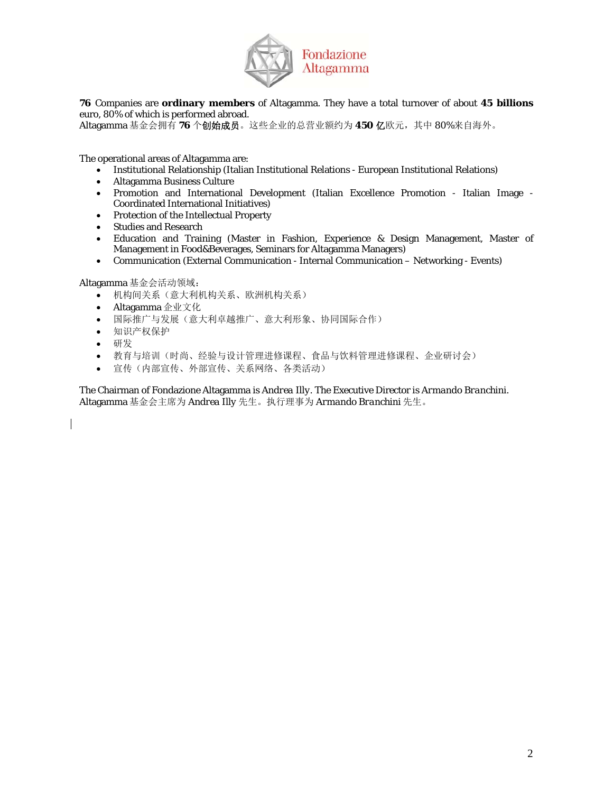

**76** Companies are **ordinary members** of Altagamma. They have a total turnover of about **45 billions** euro, 80% of which is performed abroad.

Altagamma 基金会拥有 **76** 个创始成员。这些企业的总营业额约为 **450** 亿欧元,其中 80%来自海外。

The operational areas of Altagamma are:

- Institutional Relationship (Italian Institutional Relations European Institutional Relations)
- Altagamma Business Culture
- Promotion and International Development (Italian Excellence Promotion Italian Image Coordinated International Initiatives)
- Protection of the Intellectual Property
- Studies and Research
- Education and Training (Master in Fashion, Experience & Design Management, Master of Management in Food&Beverages, Seminars for Altagamma Managers)
- Communication (External Communication Internal Communication Networking Events)

Altagamma 基金会活动领域:

- 机构间关系(意大利机构关系、欧洲机构关系)
- Altagamma 企业文化
- 国际推广与发展(意大利卓越推广、意大利形象、协同国际合作)
- 知识产权保护
- 研发
- 教育与培训(时尚、经验与设计管理进修课程、食品与饮料管理进修课程、企业研讨会)
- 宣传(内部宣传、外部宣传、关系网络、各类活动)

The Chairman of Fondazione Altagamma is *Andrea Illy*. The Executive Director is *Armando Branchini*. Altagamma 基金会主席为 *Andrea Illy* 先生。执行理事为 *Armando Branchini* 先生。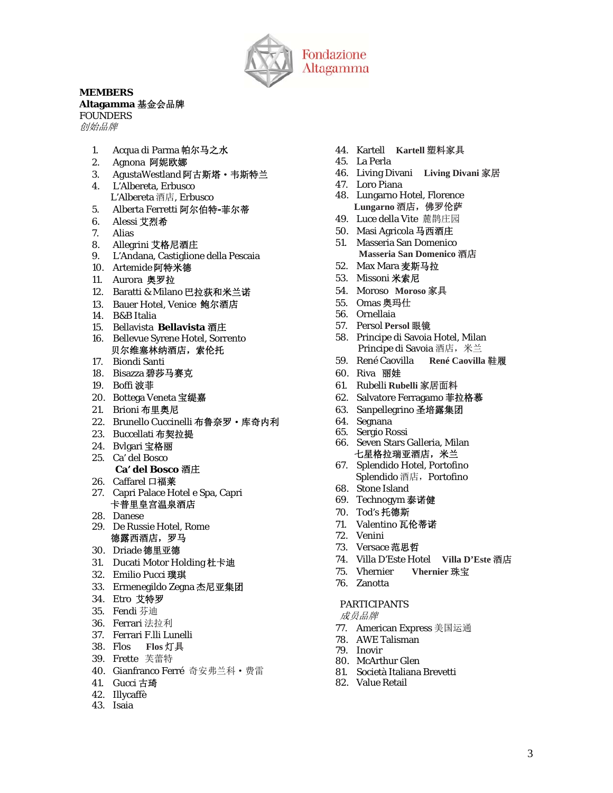

## **MEMBERS**

## **Altagamma** 基金会品牌

*FOUNDERS*  创始品牌

- 1. Acqua di Parma 帕尔马之水
- 2. Agnona 阿妮欧娜
- 3. AgustaWestland 阿古斯塔·韦斯特兰
- 4. L'Albereta, Erbusco L'Albereta 酒店, Erbusco
- 5. Alberta Ferretti 阿尔伯特**-**菲尔蒂
- 6. Alessi 艾烈希
- 7. Alias
- 8. Allegrini 艾格尼酒庄
- 9. L'Andana, Castiglione della Pescaia
- 10. Artemide 阿特米德
- 11. Aurora 奥罗拉
- 12. Baratti & Milano 巴拉荻和米兰诺
- 13. Bauer Hotel, Venice 鲍尔酒店
- 14. B&B Italia
- 15. Bellavista **Bellavista** 酒庄
- 16. Bellevue Syrene Hotel, Sorrento 贝尔维塞林纳酒店,索伦托
- 17. Biondi Santi
- 18. Bisazza 碧莎马赛克
- 19. Boffi 波菲
- 20. Bottega Veneta 宝缇嘉
- 21. Brioni 布里奥尼
- 22. Brunello Cuccinelli 布鲁奈罗·库奇内利
- 23. Buccellati 布契拉提
- 24. Bvlgari 宝格丽
- 25. Ca' del Bosco
	- **Ca' del Bosco** 酒庄
- 26. Caffarel 口福莱
- 27. Capri Palace Hotel e Spa, Capri 卡普里皇宫温泉酒店
- 28. Danese
- 29. De Russie Hotel, Rome 德露西酒店,罗马
- 30. Driade 德里亚德
- 31. Ducati Motor Holding 杜卡迪
- 32. Emilio Pucci 璞琪
- 33. Ermenegildo Zegna 杰尼亚集团
- 34. Etro 艾特罗
- 35. Fendi 芬迪
- 36. Ferrari 法拉利
- 37. Ferrari F.lli Lunelli
- 38. Flos **Flos** 灯具
- 39. Frette 芙蕾特
- 40. Gianfranco Ferré 奇安弗兰科·费雷
- 41. Gucci 古琦
- 42. Illycaffè
- 43. Isaia
- 44. Kartell **Kartell** 塑料家具
- 45. La Perla
- 46. Living Divani **Living Divani** 家居
- 47. Loro Piana
- 48. Lungarno Hotel, Florence **Lungarno** 酒店,佛罗伦萨
- 49. Luce della Vite 麓鹊庄园
- 50. Masi Agricola 马西酒庄
- 51. Masseria San Domenico **Masseria San Domenico** 酒店
- 52. Max Mara 麦斯马拉
- 53. Missoni 米索尼
- 54. Moroso **Moroso** 家具
- 55. Omas 奥玛仕
- 56. Ornellaia
- 57. Persol **Persol** 眼镜
- 58. Principe di Savoia Hotel, Milan Principe di Savoia 酒店, 米兰
- 59. René Caovilla **René Caovilla** 鞋履
- 60. Riva 丽娃
- 61. Rubelli **Rubelli** 家居面料
- 62. Salvatore Ferragamo 菲拉格慕
- 63. Sanpellegrino 圣培露集团
- 64. Segnana
- 65. Sergio Rossi
- 66. Seven Stars Galleria, Milan 七星格拉瑞亚酒店,米兰
- 67. Splendido Hotel, Portofino Splendido 酒店, Portofino
- 68. Stone Island
- 69. Technogym 泰诺健
- 70. Tod's 托德斯
- 71. Valentino 瓦伦蒂诺
- 72. Venini
- 73. Versace 范思哲
- 74. Villa D'Este Hotel **Villa D'Este** 酒店
- 75. Vhernier **Vhernier** 珠宝
- 76. Zanotta

## *PARTICIPANTS*

成员品牌

- 77. American Express 美国运通
- 78. AWE Talisman
- 79. Inovir
- 80. McArthur Glen
- 81. Società Italiana Brevetti
- 82. Value Retail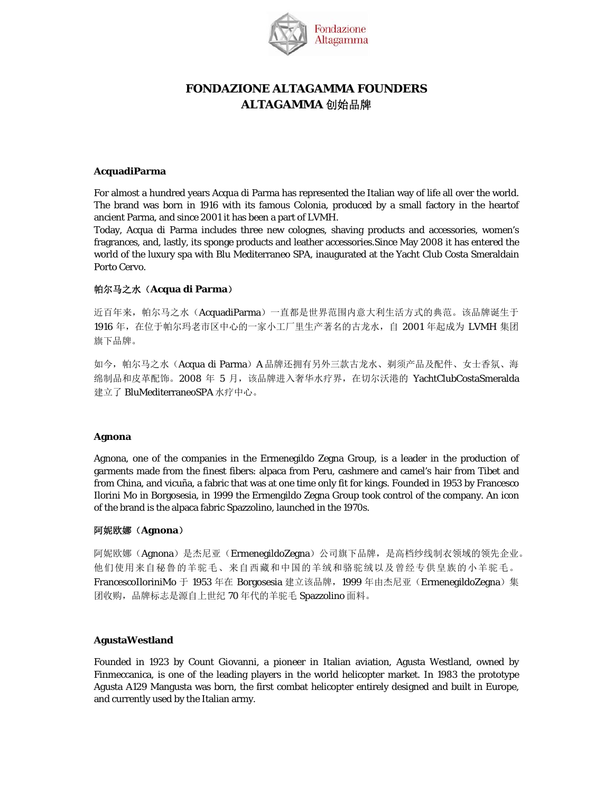

## **FONDAZIONE ALTAGAMMA FOUNDERS ALTAGAMMA** 创始品牌

## **AcquadiParma**

For almost a hundred years Acqua di Parma has represented the Italian way of life all over the world. The brand was born in 1916 with its famous Colonia, produced by a small factory in the heartof ancient Parma, and since 2001 it has been a part of LVMH.

Today, Acqua di Parma includes three new colognes, shaving products and accessories, women's fragrances, and, lastly, its sponge products and leather accessories.Since May 2008 it has entered the world of the luxury spa with Blu Mediterraneo SPA, inaugurated at the Yacht Club Costa Smeraldain Porto Cervo.

## 帕尔马之水(**Acqua di Parma**)

近百年来,帕尔马之水(AcquadiParma)一直都是世界范围内意大利生活方式的典范。该品牌诞生于 1916 年, 在位于帕尔玛老市区中心的一家小工厂里生产著名的古龙水, 自 2001 年起成为 LVMH 集团 旗下品牌。

如今,帕尔马之水(Acqua di Parma)A 品牌还拥有另外三款古龙水、剃须产品及配件、女士香氛、海 绵制品和皮革配饰。2008 年 5 月,该品牌进入奢华水疗界,在切尔沃港的 YachtClubCostaSmeralda 建立了 BluMediterraneoSPA 水疗中心。

## **Agnona**

Agnona, one of the companies in the Ermenegildo Zegna Group, is a leader in the production of garments made from the finest fibers: alpaca from Peru, cashmere and camel's hair from Tibet and from China, and vicuña, a fabric that was at one time only fit for kings. Founded in 1953 by Francesco Ilorini Mo in Borgosesia, in 1999 the Ermengildo Zegna Group took control of the company. An icon of the brand is the alpaca fabric Spazzolino, launched in the 1970s.

## 阿妮欧娜(**Agnona**)

阿妮欧娜(Agnona)是杰尼亚(ErmenegildoZegna)公司旗下品牌,是高档纱线制衣领域的领先企业。 他们使用来自秘鲁的羊驼毛、来自西藏和中国的羊绒和骆驼绒以及曾经专供皇族的小羊驼毛。 FrancescoIloriniMo 于 1953 年在 Borgosesia 建立该品牌, 1999 年由杰尼亚(ErmenegildoZegna)集 团收购,品牌标志是源自上世纪 70 年代的羊驼毛 Spazzolino 面料。

## **AgustaWestland**

Founded in 1923 by Count Giovanni, a pioneer in Italian aviation, Agusta Westland, owned by Finmeccanica, is one of the leading players in the world helicopter market. In 1983 the prototype Agusta A129 Mangusta was born, the first combat helicopter entirely designed and built in Europe, and currently used by the Italian army.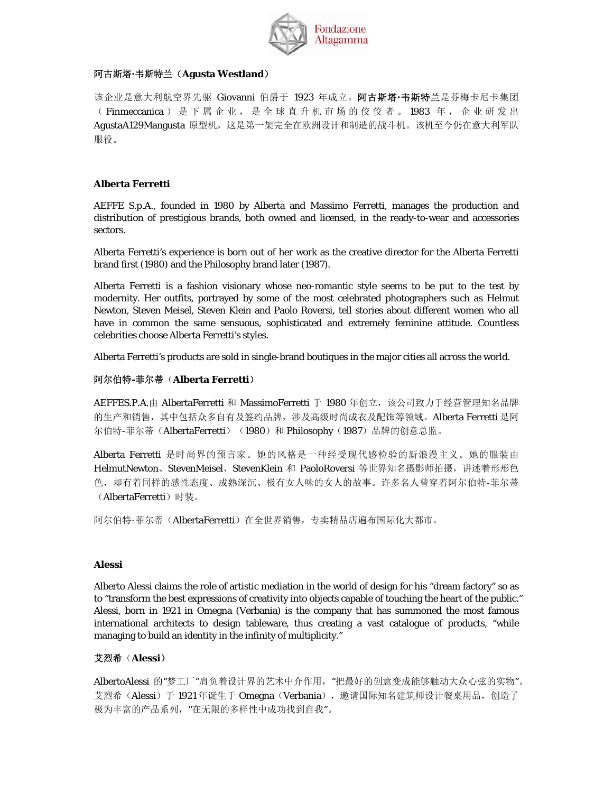

## 阿古斯塔**·**韦斯特兰(**Agusta Westland**)

该企业是意大利航空界先驱 Giovanni 伯爵于 1923 年成立。阿古斯塔**·**韦斯特兰是芬梅卡尼卡集团 ( Finmeccanica ) 是下属企业, 是全球直升机市场的佼佼者。 1983 年, 企业研发出 AgustaA129Mangusta 原型机, 这是第一架完全在欧洲设计和制造的战斗机。该机至今仍在意大利军队 服役。

## **Alberta Ferretti**

AEFFE S.p.A., founded in 1980 by Alberta and Massimo Ferretti, manages the production and distribution of prestigious brands, both owned and licensed, in the ready-to-wear and accessories sectors.

Alberta Ferretti's experience is born out of her work as the creative director for the Alberta Ferretti brand first (1980) and the Philosophy brand later (1987).

Alberta Ferretti is a fashion visionary whose neo-romantic style seems to be put to the test by modernity. Her outfits, portrayed by some of the most celebrated photographers such as Helmut Newton, Steven Meisel, Steven Klein and Paolo Roversi, tell stories about different women who all have in common the same sensuous, sophisticated and extremely feminine attitude. Countless celebrities choose Alberta Ferretti's styles.

Alberta Ferretti's products are sold in single-brand boutiques in the major cities all across the world.

## 阿尔伯特**-**菲尔蒂(**Alberta Ferretti**)

AEFFES.P.A.由 AlbertaFerretti 和 MassimoFerretti 于 1980 年创立, 该公司致力于经营管理知名品牌 的生产和销售,其中包括众多自有及签约品牌,涉及高级时尚成衣及配饰等领域。Alberta Ferretti 是阿 尔伯特-菲尔蒂(AlbertaFerretti)(1980)和 Philosophy(1987)品牌的创意总监。

Alberta Ferretti 是时尚界的预言家。她的风格是一种经受现代感检验的新浪漫主义。她的服装由 HelmutNewton、StevenMeisel、StevenKlein 和 PaoloRoversi 等世界知名摄影师拍摄, 讲述着形形色 色,却有着同样的感性态度、成熟深沉、极有女人味的女人的故事。许多名人曾穿着阿尔伯特-菲尔蒂 (AlbertaFerretti)时装。

阿尔伯特-菲尔蒂(AlbertaFerretti)在全世界销售,专卖精品店遍布国际化大都市。

## **Alessi**

Alberto Alessi claims the role of artistic mediation in the world of design for his "dream factory" so as to "transform the best expressions of creativity into objects capable of touching the heart of the public." Alessi, born in 1921 in Omegna (Verbania) is the company that has summoned the most famous international architects to design tableware, thus creating a vast catalogue of products, "while managing to build an identity in the infinity of multiplicity."

## 艾烈希(**Alessi**)

AlbertoAlessi 的"梦工厂"肩负着设计界的艺术中介作用, "把最好的创意变成能够触动大众心弦的实物"。 艾烈希(Alessi)于 1921 年诞生于 Omegna (Verbania), 邀请国际知名建筑师设计餐桌用品, 创造了 极为丰富的产品系列,"在无限的多样性中成功找到自我"。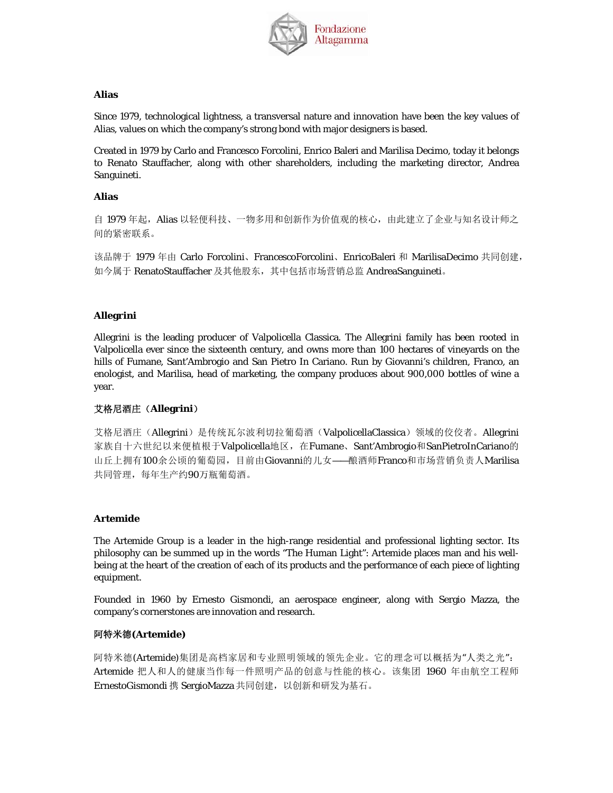

### **Alias**

Since 1979, technological lightness, a transversal nature and innovation have been the key values of Alias, values on which the company's strong bond with major designers is based.

Created in 1979 by Carlo and Francesco Forcolini, Enrico Baleri and Marilisa Decimo, today it belongs to Renato Stauffacher, along with other shareholders, including the marketing director, Andrea Sanguineti.

### **Alias**

自 1979 年起, Alias 以轻便科技、一物多用和创新作为价值观的核心,由此建立了企业与知名设计师之 间的紧密联系。

该品牌于 1979 年由 Carlo Forcolini、FrancescoForcolini、EnricoBaleri 和 MarilisaDecimo 共同创建, 如今属于 RenatoStauffacher 及其他股东,其中包括市场营销总监 AndreaSanguineti。

## **Allegrini**

Allegrini is the leading producer of Valpolicella Classica. The Allegrini family has been rooted in Valpolicella ever since the sixteenth century, and owns more than 100 hectares of vineyards on the hills of Fumane, Sant'Ambrogio and San Pietro In Cariano. Run by Giovanni's children, Franco, an enologist, and Marilisa, head of marketing, the company produces about 900,000 bottles of wine a year.

## 艾格尼酒庄(**Allegrini**)

艾格尼酒庄(Allegrini)是传统瓦尔波利切拉葡萄酒(ValpolicellaClassica)领域的佼佼者。Allegrini 家族自十六世纪以来便植根于Valpolicella地区, 在Fumane、Sant'Ambrogio和SanPietroInCariano的 山丘上拥有100余公顷的葡萄园,目前由Giovanni的儿女——酿酒师Franco和市场营销负责人Marilisa 共同管理,每年生产约90万瓶葡萄酒。

#### **Artemide**

The Artemide Group is a leader in the high-range residential and professional lighting sector. Its philosophy can be summed up in the words "The Human Light": Artemide places man and his wellbeing at the heart of the creation of each of its products and the performance of each piece of lighting equipment.

Founded in 1960 by Ernesto Gismondi, an aerospace engineer, along with Sergio Mazza, the company's cornerstones are innovation and research.

## 阿特米德**(Artemide)**

阿特米德(Artemide)集团是高档家居和专业照明领域的领先企业。它的理念可以概括为"人类之光": Artemide 把人和人的健康当作每一件照明产品的创意与性能的核心。该集团 1960 年由航空工程师 ErnestoGismondi 携 SergioMazza 共同创建, 以创新和研发为基石。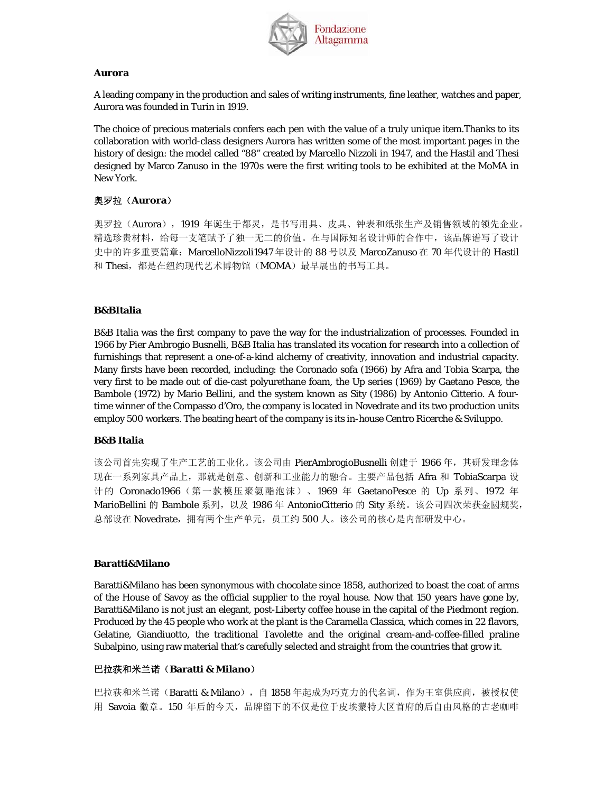

## **Aurora**

A leading company in the production and sales of writing instruments, fine leather, watches and paper, Aurora was founded in Turin in 1919.

The choice of precious materials confers each pen with the value of a truly unique item.Thanks to its collaboration with world-class designers Aurora has written some of the most important pages in the history of design: the model called "88" created by Marcello Nizzoli in 1947, and the Hastil and Thesi designed by Marco Zanuso in the 1970s were the first writing tools to be exhibited at the MoMA in New York.

## 奥罗拉(**Aurora**)

奥罗拉(Aurora), 1919 年诞生于都灵, 是书写用具、皮具、钟表和纸张生产及销售领域的领先企业。 精选珍贵材料,给每一支笔赋予了独一无二的价值。在与国际知名设计师的合作中,该品牌谱写了设计 史中的许多重要篇章: MarcelloNizzoli1947 年设计的 88 号以及 MarcoZanuso 在 70 年代设计的 Hastil 和 Thesi, 都是在纽约现代艺术博物馆(MOMA)最早展出的书写工具。

## **B&BItalia**

B&B Italia was the first company to pave the way for the industrialization of processes. Founded in 1966 by Pier Ambrogio Busnelli, B&B Italia has translated its vocation for research into a collection of furnishings that represent a one-of-a-kind alchemy of creativity, innovation and industrial capacity. Many firsts have been recorded, including: the Coronado sofa (1966) by Afra and Tobia Scarpa, the very first to be made out of die-cast polyurethane foam, the Up series (1969) by Gaetano Pesce, the Bambole (1972) by Mario Bellini, and the system known as Sity (1986) by Antonio Citterio. A fourtime winner of the Compasso d'Oro, the company is located in Novedrate and its two production units employ 500 workers. The beating heart of the company is its in-house Centro Ricerche & Sviluppo.

## **B&B Italia**

该公司首先实现了生产工艺的工业化。该公司由 PierAmbrogioBusnelli 创建于 1966 年, 其研发理念体 现在一系列家具产品上,那就是创意、创新和工业能力的融合。主要产品包括 Afra 和 TobiaScarpa 设 计的 Coronado1966(第一款模压聚氨酯泡沫)、1969 年 GaetanoPesce 的 Up 系列、1972 年 MarioBellini 的 Bambole 系列, 以及 1986 年 AntonioCitterio 的 Sity 系统。该公司四次荣获金圆规奖, 总部设在 Novedrate, 拥有两个生产单元, 员工约 500 人。该公司的核心是内部研发中心。

## **Baratti&Milano**

Baratti&Milano has been synonymous with chocolate since 1858, authorized to boast the coat of arms of the House of Savoy as the official supplier to the royal house. Now that 150 years have gone by, Baratti&Milano is not just an elegant, post-Liberty coffee house in the capital of the Piedmont region. Produced by the 45 people who work at the plant is the Caramella Classica, which comes in 22 flavors, Gelatine, Giandiuotto, the traditional Tavolette and the original cream-and-coffee-filled praline Subalpino, using raw material that's carefully selected and straight from the countries that grow it.

## 巴拉荻和米兰诺(**Baratti & Milano**)

巴拉获和米兰诺(Baratti & Milano), 自 1858 年起成为巧克力的代名词, 作为王室供应商, 被授权使 用 Savoia 徽章。150 年后的今天, 品牌留下的不仅是位于皮埃蒙特大区首府的后自由风格的古老咖啡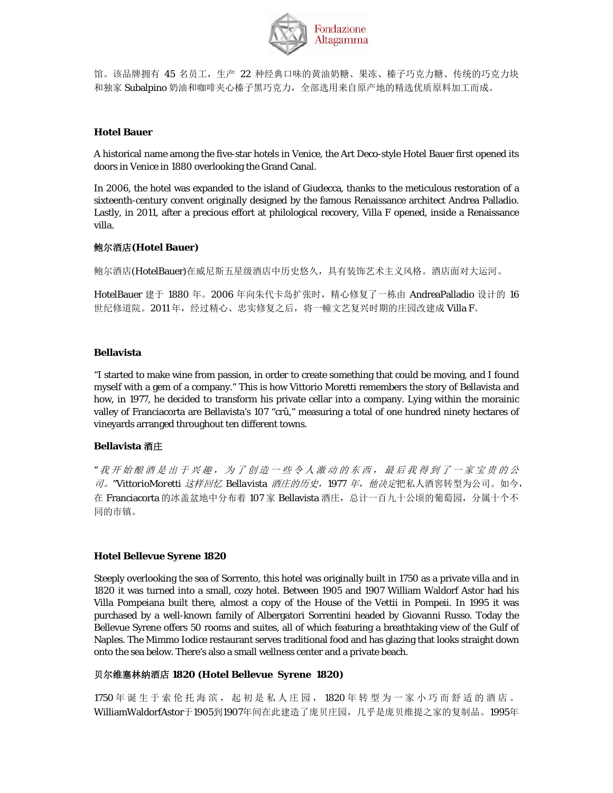

馆。该品牌拥有 45 名员工,生产 22 种经典口味的黄油奶糖、果冻、榛子巧克力糖、传统的巧克力块 和独家 Subalpino 奶油和咖啡夹心榛子黑巧克力,全部选用来自原产地的精选优质原料加工而成。

## **Hotel Bauer**

A historical name among the five-star hotels in Venice, the Art Deco-style Hotel Bauer first opened its doors in Venice in 1880 overlooking the Grand Canal.

In 2006, the hotel was expanded to the island of Giudecca, thanks to the meticulous restoration of a sixteenth-century convent originally designed by the famous Renaissance architect Andrea Palladio. Lastly, in 2011, after a precious effort at philological recovery, Villa F opened, inside a Renaissance villa.

## 鲍尔酒店**(Hotel Bauer)**

鲍尔酒店(HotelBauer)在威尼斯五星级酒店中历史悠久,具有装饰艺术主义风格。酒店面对大运河。

HotelBauer 建于 1880 年。2006 年向朱代卡岛扩张时,精心修复了一栋由 AndreaPalladio 设计的 16 世纪修道院。2011年,经过精心、忠实修复之后,将一幢文艺复兴时期的庄园改建成 Villa F。

## **Bellavista**

"I started to make wine from passion, in order to create something that could be moving, and I found myself with a gem of a company." This is how Vittorio Moretti remembers the story of Bellavista and how, in 1977, he decided to transform his private cellar into a company. Lying within the morainic valley of Franciacorta are Bellavista's 107 "crû," measuring a total of one hundred ninety hectares of vineyards arranged throughout ten different towns.

## **Bellavista** 酒庄

*"* 我开始酿酒是出于兴趣,为了创造一些令人激动的东西,最后我得到了一家宝贵的公 司。*"VittorioMoretti* 这样回忆 *Bellavista* 酒庄的历史,*1977* 年,他决定把私人酒窖转型为公司。如今, 在 Franciacorta 的冰盖盆地中分布着 107 家 Bellavista 酒庄, 总计一百九十公顷的葡萄园, 分属十个不 同的市镇。

## **Hotel Bellevue Syrene 1820**

Steeply overlooking the sea of Sorrento, this hotel was originally built in 1750 as a private villa and in 1820 it was turned into a small, cozy hotel. Between 1905 and 1907 William Waldorf Astor had his Villa Pompeiana built there, almost a copy of the House of the Vettii in Pompeii. In 1995 it was purchased by a well-known family of Albergatori Sorrentini headed by Giovanni Russo. Today the Bellevue Syrene offers 50 rooms and suites, all of which featuring a breathtaking view of the Gulf of Naples. The Mimmo Iodice restaurant serves traditional food and has glazing that looks straight down onto the sea below. There's also a small wellness center and a private beach.

## 贝尔维塞林纳酒店 **1820 (Hotel Bellevue Syrene 1820)**

1750 年诞生于索伦托海滨,起初是私人庄园, 1820 年转型为一家小巧而舒适的酒店。 WilliamWaldorfAstor于1905到1907年间在此建造了庞贝庄园,几乎是庞贝维提之家的复制品。1995年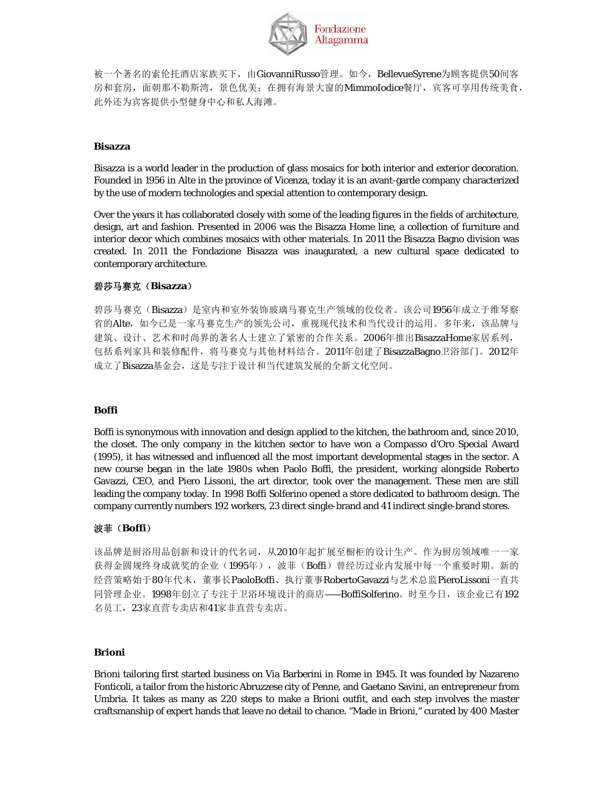

被一个著名的索伦托酒店家族买下,由GiovanniRusso管理。如今, BellevueSyrene为顾客提供50间客 房和套房, 面朝那不勒斯湾, 景色优美; 在拥有海景大窗的MimmoIodice餐厅, 宾客可享用传统美食, 此外还为宾客提供小型健身中心和私人海滩。

#### **Bisazza**

Bisazza is a world leader in the production of glass mosaics for both interior and exterior decoration. Founded in 1956 in Alte in the province of Vicenza, today it is an avant-garde company characterized by the use of modern technologies and special attention to contemporary design.

Over the years it has collaborated closely with some of the leading figures in the fields of architecture, design, art and fashion. Presented in 2006 was the Bisazza Home line, a collection of furniture and interior decor which combines mosaics with other materials. In 2011 the Bisazza Bagno division was created. In 2011 the Fondazione Bisazza was inaugurated, a new cultural space dedicated to contemporary architecture.

## 碧莎马赛克(**Bisazza**)

碧莎马赛克(Bisazza)是室内和室外装饰玻璃马赛克生产领域的佼佼者。该公司1956年成立于维琴察 省的Alte,如今已是一家马赛克生产的领先公司,重视现代技术和当代设计的运用。多年来,该品牌与 建筑、设计、艺术和时尚界的著名人士建立了紧密的合作关系。2006年推出Bisazza*Home*家居系列, 包括系列家具和装修配件,将马赛克与其他材料结合。2011年创建了BisazzaBagno卫浴部门。2012年 成立了Bisazza基金会,这是专注于设计和当代建筑发展的全新文化空间。

#### **Boffi**

Boffi is synonymous with innovation and design applied to the kitchen, the bathroom and, since 2010, the closet. The only company in the kitchen sector to have won a Compasso d'Oro Special Award (1995), it has witnessed and influenced all the most important developmental stages in the sector. A new course began in the late 1980s when Paolo Boffi, the president, working alongside Roberto Gavazzi, CEO, and Piero Lissoni, the art director, took over the management. These men are still leading the company today. In 1998 Boffi Solferino opened a store dedicated to bathroom design. The company currently numbers 192 workers, 23 direct single-brand and 41 indirect single-brand stores.

## 波菲(**Boffi**)

该品牌是厨浴用品创新和设计的代名词,从2010年起扩展至橱柜的设计生产。作为厨房领域唯一一家 获得金圆规终身成就奖的企业(1995年), 波菲(Boffi)曾经历过业内发展中每一个重要时期。新的 经营策略始于80年代末,董事长PaoloBoffi、执行董事RobertoGavazzi与艺术总监PieroLissoni一直共 同管理企业。1998年创立了专注于卫浴环境设计的商店——BoffiSolferino。时至今日,该企业已有192 名员工,23家直营专卖店和41家非直营专卖店。

#### **Brioni**

Brioni tailoring first started business on Via Barberini in Rome in 1945. It was founded by Nazareno Fonticoli, a tailor from the historic Abruzzese city of Penne, and Gaetano Savini, an entrepreneur from Umbria. It takes as many as 220 steps to make a Brioni outfit, and each step involves the master craftsmanship of expert hands that leave no detail to chance. "Made in Brioni," curated by 400 Master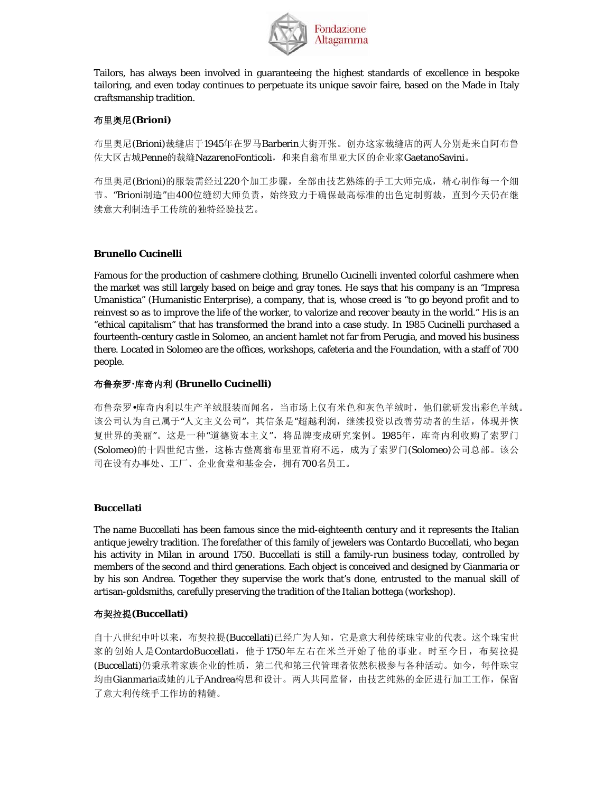

Tailors, has always been involved in guaranteeing the highest standards of excellence in bespoke tailoring, and even today continues to perpetuate its unique savoir faire, based on the Made in Italy craftsmanship tradition.

## 布里奥尼**(Brioni)**

布里奥尼(Brioni)裁缝店于1945年在罗马Barberin大街开张。创办这家裁缝店的两人分别是来自阿布鲁 佐大区古城Penne的裁缝NazarenoFonticoli,和来自翁布里亚大区的企业家GaetanoSavini。

布里奥尼(Brioni)的服装需经过220个加工步骤,全部由技艺熟练的手工大师完成,精心制作每一个细 节。"Brioni制造"由400位缝纫大师负责, 始终致力于确保最高标准的出色定制剪裁, 直到今天仍在继 续意大利制造手工传统的独特经验技艺。

## **Brunello Cucinelli**

Famous for the production of cashmere clothing, Brunello Cucinelli invented colorful cashmere when the market was still largely based on beige and gray tones. He says that his company is an "Impresa Umanistica" (Humanistic Enterprise), a company, that is, whose creed is "to go beyond profit and to reinvest so as to improve the life of the worker, to valorize and recover beauty in the world." His is an "ethical capitalism" that has transformed the brand into a case study. In 1985 Cucinelli purchased a fourteenth-century castle in Solomeo, an ancient hamlet not far from Perugia, and moved his business there. Located in Solomeo are the offices, workshops, cafeteria and the Foundation, with a staff of 700 people.

## 布鲁奈罗**·**库奇内利 **(Brunello Cucinelli)**

布鲁奈罗•库奇内利以生产羊绒服装而闻名,当市场上仅有米色和灰色羊绒时,他们就研发出彩色羊绒。 该公司认为自己属于"人文主义公司",其信条是"超越利润,继续投资以改善劳动者的生活,体现并恢 复世界的美丽"。这是一种"道德资本主义",将品牌变成研究案例。1985年,库奇内利收购了索罗门 (Solomeo)的十四世纪古堡,这栋古堡离翁布里亚首府不远,成为了索罗门(Solomeo)公司总部。该公 司在设有办事处、工厂、企业食堂和基金会,拥有700名员工。

## **Buccellati**

The name Buccellati has been famous since the mid-eighteenth century and it represents the Italian antique jewelry tradition. The forefather of this family of jewelers was Contardo Buccellati, who began his activity in Milan in around 1750. Buccellati is still a family-run business today, controlled by members of the second and third generations. Each object is conceived and designed by Gianmaria or by his son Andrea. Together they supervise the work that's done, entrusted to the manual skill of artisan-goldsmiths, carefully preserving the tradition of the Italian bottega (workshop).

## 布契拉提**(Buccellati)**

自十八世纪中叶以来,布契拉提(Buccellati)已经广为人知,它是意大利传统珠宝业的代表。这个珠宝世 家的创始人是ContardoBuccellati,他于1750年左右在米兰开始了他的事业。时至今日,布契拉提 (Buccellati)仍秉承着家族企业的性质,第二代和第三代管理者依然积极参与各种活动。如今,每件珠宝 均由Gianmaria或她的儿子Andrea构思和设计。两人共同监督,由技艺纯熟的金匠进行加工工作,保留 了意大利传统手工作坊的精髓。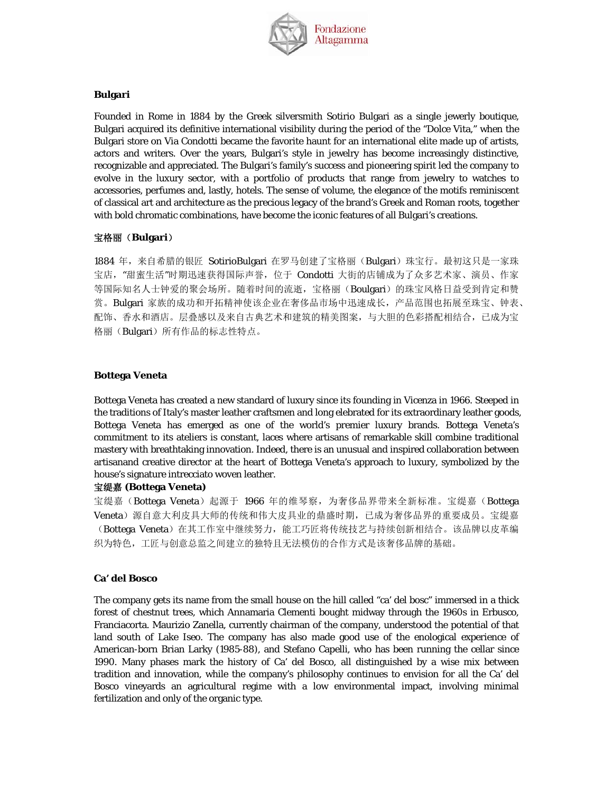

#### **Bulgari**

Founded in Rome in 1884 by the Greek silversmith Sotirio Bulgari as a single jewerly boutique, Bulgari acquired its definitive international visibility during the period of the "Dolce Vita," when the Bulgari store on Via Condotti became the favorite haunt for an international elite made up of artists, actors and writers. Over the years, Bulgari's style in jewelry has become increasingly distinctive, recognizable and appreciated. The Bulgari's family's success and pioneering spirit led the company to evolve in the luxury sector, with a portfolio of products that range from jewelry to watches to accessories, perfumes and, lastly, hotels. The sense of volume, the elegance of the motifs reminiscent of classical art and architecture as the precious legacy of the brand's Greek and Roman roots, together with bold chromatic combinations, have become the iconic features of all Bulgari's creations.

## 宝格丽(**Bulgari**)

1884 年, 来自希腊的银匠 SotirioBulgari 在罗马创建了宝格丽(Bulgari)珠宝行。最初这只是一家珠 宝店, "甜蜜生活"时期迅速获得国际声誉, 位于 Condotti 大街的店铺成为了众多艺术家、演员、作家 等国际知名人士钟爱的聚会场所。随着时间的流逝,宝格丽(Boulgari)的珠宝风格日益受到肯定和赞 赏。Bulgari 家族的成功和开拓精神使该企业在奢侈品市场中迅速成长,产品范围也拓展至珠宝、钟表、 配饰、香水和酒店。层叠感以及来自古典艺术和建筑的精美图案,与大胆的色彩搭配相结合,已成为宝 格丽(Bulgari)所有作品的标志性特点。

### **Bottega Veneta**

Bottega Veneta has created a new standard of luxury since its founding in Vicenza in 1966. Steeped in the traditions of Italy's master leather craftsmen and long elebrated for its extraordinary leather goods, Bottega Veneta has emerged as one of the world's premier luxury brands. Bottega Veneta's commitment to its ateliers is constant, laces where artisans of remarkable skill combine traditional mastery with breathtaking innovation. Indeed, there is an unusual and inspired collaboration between artisanand creative director at the heart of Bottega Veneta's approach to luxury, symbolized by the house's signature intrecciato woven leather.

## 宝缇嘉 **(Bottega Veneta)**

宝缇嘉(Bottega Veneta)起源于 1966 年的维琴察,为奢侈品界带来全新标准。宝缇嘉(Bottega Veneta)源自意大利皮具大师的传统和伟大皮具业的鼎盛时期,已成为奢侈品界的重要成员。宝缇嘉 (Bottega Veneta)在其工作室中继续努力,能工巧匠将传统技艺与持续创新相结合。该品牌以皮革编 织为特色,工匠与创意总监之间建立的独特且无法模仿的合作方式是该奢侈品牌的基础。

#### **Ca' del Bosco**

The company gets its name from the small house on the hill called "ca' del bosc" immersed in a thick forest of chestnut trees, which Annamaria Clementi bought midway through the 1960s in Erbusco, Franciacorta. Maurizio Zanella, currently chairman of the company, understood the potential of that land south of Lake Iseo. The company has also made good use of the enological experience of American-born Brian Larky (1985-88), and Stefano Capelli, who has been running the cellar since 1990. Many phases mark the history of Ca' del Bosco, all distinguished by a wise mix between tradition and innovation, while the company's philosophy continues to envision for all the Ca' del Bosco vineyards an agricultural regime with a low environmental impact, involving minimal fertilization and only of the organic type.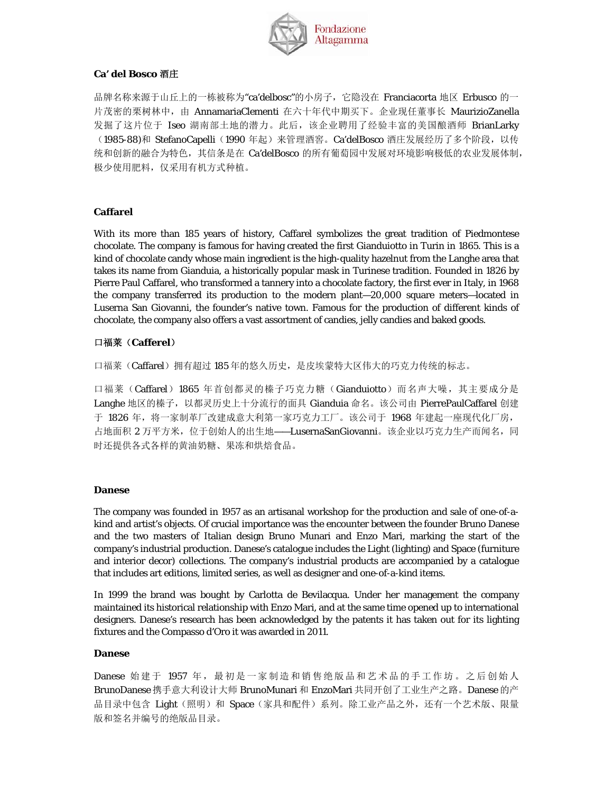

## **Ca' del Bosco** 酒庄

品牌名称来源于山丘上的一栋被称为"ca'delbosc"的小房子, 它隐没在 Franciacorta 地区 Erbusco 的一 片茂密的栗树林中, 由 AnnamariaClementi 在六十年代中期买下。企业现任董事长 MaurizioZanella 发掘了这片位于 Iseo 湖南部土地的潜力。此后,该企业聘用了经验丰富的美国酿酒师 BrianLarky (1985-88)和 StefanoCapelli(1990年起)来管理酒窖。Ca'delBosco 酒庄发展经历了多个阶段, 以传 统和创新的融合为特色,其信条是在 Ca'delBosco 的所有葡萄园中发展对环境影响极低的农业发展体制, 极少使用肥料,仅采用有机方式种植。

## **Caffarel**

With its more than 185 years of history, Caffarel symbolizes the great tradition of Piedmontese chocolate. The company is famous for having created the first Gianduiotto in Turin in 1865. This is a kind of chocolate candy whose main ingredient is the high-quality hazelnut from the Langhe area that takes its name from Gianduia, a historically popular mask in Turinese tradition. Founded in 1826 by Pierre Paul Caffarel, who transformed a tannery into a chocolate factory, the first ever in Italy, in 1968 the company transferred its production to the modern plant—20,000 square meters—located in Luserna San Giovanni, the founder's native town. Famous for the production of different kinds of chocolate, the company also offers a vast assortment of candies, jelly candies and baked goods.

## 口福莱(**Cafferel**)

口福莱(Caffarel)拥有超过185年的悠久历史,是皮埃蒙特大区伟大的巧克力传统的标志。

口福莱(Caffarel)1865 年首创都灵的榛子巧克力糖(Gianduiotto)而名声大噪,其主要成分是 Langhe 地区的榛子,以都灵历史上十分流行的面具 Gianduia 命名。该公司由 PierrePaulCaffarel 创建 于 1826 年,将一家制革厂改建成意大利第一家巧克力工厂。该公司于 1968 年建起一座现代化厂房, 占地面积 2 万平方米, 位于创始人的出生地--LusernaSanGiovanni。该企业以巧克力生产而闻名, 同 时还提供各式各样的黄油奶糖、果冻和烘焙食品。

## **Danese**

The company was founded in 1957 as an artisanal workshop for the production and sale of one-of-akind and artist's objects. Of crucial importance was the encounter between the founder Bruno Danese and the two masters of Italian design Bruno Munari and Enzo Mari, marking the start of the company's industrial production. Danese's catalogue includes the Light (lighting) and Space (furniture and interior decor) collections. The company's industrial products are accompanied by a catalogue that includes art editions, limited series, as well as designer and one-of-a-kind items.

In 1999 the brand was bought by Carlotta de Bevilacqua. Under her management the company maintained its historical relationship with Enzo Mari, and at the same time opened up to international designers. Danese's research has been acknowledged by the patents it has taken out for its lighting fixtures and the Compasso d'Oro it was awarded in 2011.

## **Danese**

Danese 始建于 1957 年,最初是一家制造和销售绝版品和艺术品的手工作坊。之后创始人 BrunoDanese 携手意大利设计大师 BrunoMunari 和 EnzoMari 共同开创了工业生产之路。Danese 的产 品目录中包含 Light(照明)和 Space(家具和配件)系列。除工业产品之外,还有一个艺术版、限量 版和签名并编号的绝版品目录。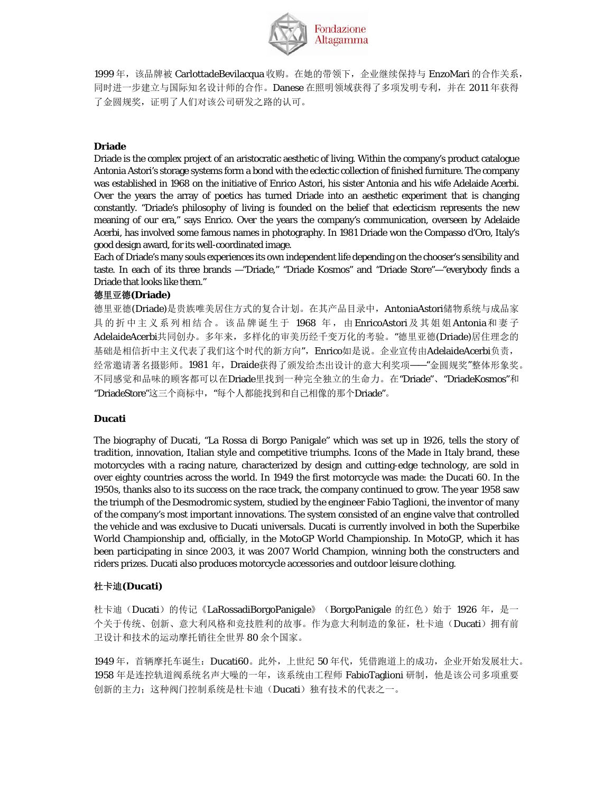

1999年,该品牌被 CarlottadeBevilacqua 收购。在她的带领下,企业继续保持与 EnzoMari 的合作关系, 同时进一步建立与国际知名设计师的合作。Danese 在照明领域获得了多项发明专利,并在 2011 年获得 了金圆规奖,证明了人们对该公司研发之路的认可。

### **Driade**

Driade is the complex project of an aristocratic aesthetic of living. Within the company's product catalogue Antonia Astori's storage systems form a bond with the eclectic collection of finished furniture. The company was established in 1968 on the initiative of Enrico Astori, his sister Antonia and his wife Adelaide Acerbi. Over the years the array of poetics has turned Driade into an aesthetic experiment that is changing constantly. "Driade's philosophy of living is founded on the belief that eclecticism represents the new meaning of our era," says Enrico. Over the years the company's communication, overseen by Adelaide Acerbi, has involved some famous names in photography. In 1981 Driade won the Compasso d'Oro, Italy's good design award, for its well-coordinated image.

Each of Driade's many souls experiences its own independent life depending on the chooser's sensibility and taste. In each of its three brands —"Driade," "Driade Kosmos" and "Driade Store"—"everybody finds a Driade that looks like them."

#### 德里亚德**(Driade)**

德里亚德(Driade)是贵族唯美居住方式的复合计划。在其产品目录中, AntoniaAstori储物系统与成品家 具的折中主义系列相结合。该品牌诞生于 1968 年,由EnricoAstori及其姐姐Antonia和妻子 AdelaideAcerbi共同创办。多年来,多样化的审美历经千变万化的考验。"德里亚德(Driade)居住理念的 基础是相信折中主义代表了我们这个时代的新方向", Enrico如是说。企业宣传由AdelaideAcerbi负责, 经常邀请著名摄影师。1981 年,Draide获得了颁发给杰出设计的意大利奖项——"金圆规奖"整体形象奖。 不同感觉和品味的顾客都可以在Driade里找到一种完全独立的生命力。在"Driade"、"DriadeKosmos"和 "DriadeStore"这三个商标中, "每个人都能找到和自己相像的那个Driade"。

### **Ducati**

The biography of Ducati, "La Rossa di Borgo Panigale" which was set up in 1926, tells the story of tradition, innovation, Italian style and competitive triumphs. Icons of the Made in Italy brand, these motorcycles with a racing nature, characterized by design and cutting-edge technology, are sold in over eighty countries across the world. In 1949 the first motorcycle was made: the Ducati 60. In the 1950s, thanks also to its success on the race track, the company continued to grow. The year 1958 saw the triumph of the Desmodromic system, studied by the engineer Fabio Taglioni, the inventor of many of the company's most important innovations. The system consisted of an engine valve that controlled the vehicle and was exclusive to Ducati universals. Ducati is currently involved in both the Superbike World Championship and, officially, in the MotoGP World Championship. In MotoGP, which it has been participating in since 2003, it was 2007 World Champion, winning both the constructers and riders prizes. Ducati also produces motorcycle accessories and outdoor leisure clothing.

#### 杜卡迪**(Ducati)**

杜卡迪(Ducati)的传记《LaRossadiBorgoPanigale》(BorgoPanigale 的红色)始于 1926 年,是一 个关于传统、创新、意大利风格和竞技胜利的故事。作为意大利制造的象征,杜卡迪(Ducati)拥有前 卫设计和技术的运动摩托销往全世界 80 余个国家。

1949 年,首辆摩托车诞生: Ducati60。此外, 上世纪 50 年代, 凭借跑道上的成功, 企业开始发展壮大。 1958 年是连控轨道阀系统名声大噪的一年,该系统由工程师 FabioTaglioni 研制, 他是该公司多项重要 创新的主力;这种阀门控制系统是杜卡迪(Ducati)独有技术的代表之一。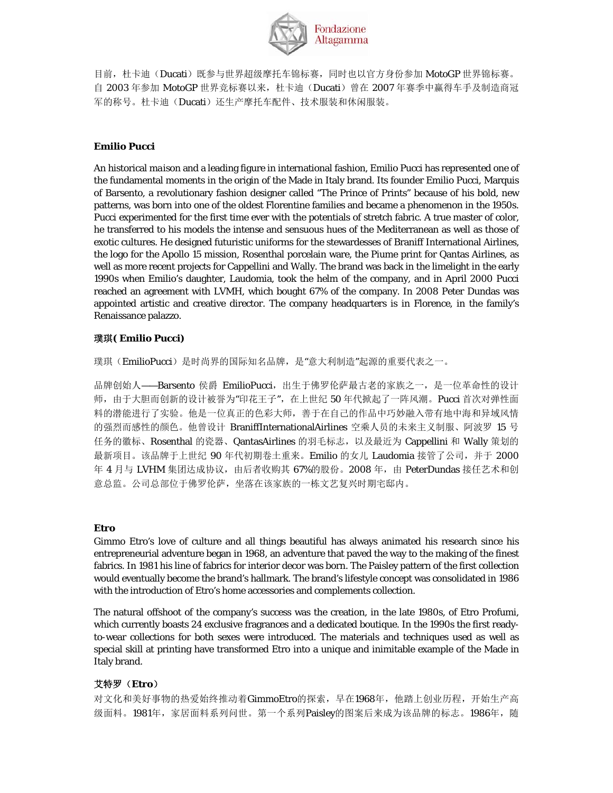

目前,杜卡迪(Ducati)既参与世界超级摩托车锦标赛,同时也以官方身份参加 MotoGP 世界锦标赛。 自 2003 年参加 MotoGP 世界竞标赛以来, 杜卡迪 (Ducati) 曾在 2007 年赛季中赢得车手及制造商冠 军的称号。杜卡迪(Ducati)还生产摩托车配件、技术服装和休闲服装。

## **Emilio Pucci**

An historical *maison* and a leading figure in international fashion, Emilio Pucci has represented one of the fundamental moments in the origin of the Made in Italy brand. Its founder Emilio Pucci, Marquis of Barsento, a revolutionary fashion designer called "The Prince of Prints" because of his bold, new patterns, was born into one of the oldest Florentine families and became a phenomenon in the 1950s. Pucci experimented for the first time ever with the potentials of stretch fabric. A true master of color, he transferred to his models the intense and sensuous hues of the Mediterranean as well as those of exotic cultures. He designed futuristic uniforms for the stewardesses of Braniff International Airlines, the logo for the Apollo 15 mission, Rosenthal porcelain ware, the Piume print for Qantas Airlines, as well as more recent projects for Cappellini and Wally. The brand was back in the limelight in the early 1990s when Emilio's daughter, Laudomia, took the helm of the company, and in April 2000 Pucci reached an agreement with LVMH, which bought 67% of the company. In 2008 Peter Dundas was appointed artistic and creative director. The company headquarters is in Florence, in the family's Renaissance palazzo.

## 璞琪**( Emilio Pucci)**

璞琪(EmilioPucci)是时尚界的国际知名品牌,是"意大利制造"起源的重要代表之一。

品牌创始人——Barsento 侯爵 EmilioPucci, 出生于佛罗伦萨最古老的家族之一, 是一位革命性的设计 师,由于大胆而创新的设计被誉为"印花王子",在上世纪 50 年代掀起了一阵风潮。Pucci 首次对弹性面 料的潜能进行了实验。他是一位真正的色彩大师,善于在自己的作品中巧妙融入带有地中海和异域风情 的强烈而感性的颜色。他曾设计 BraniffInternationalAirlines 空乘人员的未来主义制服、阿波罗 15 号 任务的徽标、Rosenthal 的瓷器、QantasAirlines 的羽毛标志,以及最近为 Cappellini 和 Wally 策划的 最新项目。该品牌于上世纪 90 年代初期卷土重来。Emilio 的女儿 Laudomia 接管了公司,并于 2000 年 4 月与 LVHM 集团达成协议, 由后者收购其 67%的股份。2008 年, 由 PeterDundas 接任艺术和创 意总监。公司总部位于佛罗伦萨,坐落在该家族的一栋文艺复兴时期宅邸内。

## **Etro**

Gimmo Etro's love of culture and all things beautiful has always animated his research since his entrepreneurial adventure began in 1968, an adventure that paved the way to the making of the finest fabrics. In 1981 his line of fabrics for interior decor was born. The Paisley pattern of the first collection would eventually become the brand's hallmark. The brand's lifestyle concept was consolidated in 1986 with the introduction of Etro's home accessories and complements collection.

The natural offshoot of the company's success was the creation, in the late 1980s, of Etro Profumi, which currently boasts 24 exclusive fragrances and a dedicated boutique. In the 1990s the first readyto-wear collections for both sexes were introduced. The materials and techniques used as well as special skill at printing have transformed Etro into a unique and inimitable example of the Made in Italy brand.

## 艾特罗(**Etro**)

对文化和美好事物的热爱始终推动着GimmoEtro的探索,早在1968年,他踏上创业历程,开始生产高 级面料。1981年, 家居面料系列问世。第一个系列Paisley的图案后来成为该品牌的标志。1986年, 随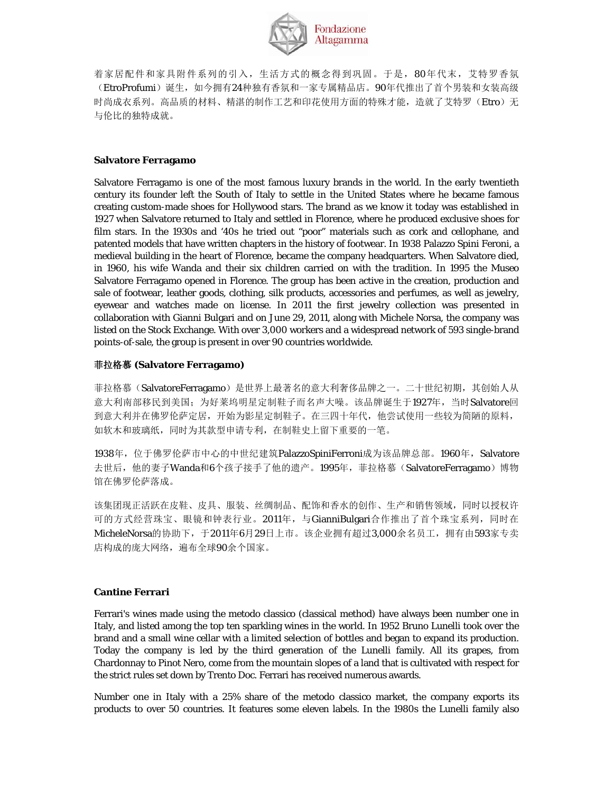

着家居配件和家具附件系列的引入,生活方式的概念得到巩固。于是,80年代末,艾特罗香氛 (EtroProfumi)诞生,如今拥有24种独有香氛和一家专属精品店。90年代推出了首个男装和女装高级 时尚成衣系列。高品质的材料、精湛的制作工艺和印花使用方面的特殊才能,造就了艾特罗(Etro)无 与伦比的独特成就。

## **Salvatore Ferragamo**

Salvatore Ferragamo is one of the most famous luxury brands in the world. In the early twentieth century its founder left the South of Italy to settle in the United States where he became famous creating custom-made shoes for Hollywood stars. The brand as we know it today was established in 1927 when Salvatore returned to Italy and settled in Florence, where he produced exclusive shoes for film stars. In the 1930s and '40s he tried out "poor" materials such as cork and cellophane, and patented models that have written chapters in the history of footwear. In 1938 Palazzo Spini Feroni, a medieval building in the heart of Florence, became the company headquarters. When Salvatore died, in 1960, his wife Wanda and their six children carried on with the tradition. In 1995 the Museo Salvatore Ferragamo opened in Florence. The group has been active in the creation, production and sale of footwear, leather goods, clothing, silk products, accessories and perfumes, as well as jewelry, eyewear and watches made on license. In 2011 the first jewelry collection was presented in collaboration with Gianni Bulgari and on June 29, 2011, along with Michele Norsa, the company was listed on the Stock Exchange. With over 3,000 workers and a widespread network of 593 single-brand points-of-sale, the group is present in over 90 countries worldwide.

### 菲拉格慕 **(Salvatore Ferragamo)**

菲拉格慕(SalvatoreFerragamo)是世界上最著名的意大利奢侈品牌之一。二十世纪初期,其创始人从 意大利南部移民到美国;为好莱坞明星定制鞋子而名声大噪。该品牌诞生于1927年,当时Salvatore回 到意大利并在佛罗伦萨定居,开始为影星定制鞋子。在三四十年代,他尝试使用一些较为简陋的原料, 如软木和玻璃纸,同时为其款型申请专利,在制鞋史上留下重要的一笔。

1938年,位于佛罗伦萨市中心的中世纪建筑PalazzoSpiniFerroni成为该品牌总部。1960年, Salvatore 去世后,他的妻子Wanda和6个孩子接手了他的遗产。1995年,菲拉格慕(SalvatoreFerragamo)博物 馆在佛罗伦萨落成。

该集团现正活跃在皮鞋、皮具、服装、丝绸制品、配饰和香水的创作、生产和销售领域,同时以授权许 可的方式经营珠宝、眼镜和钟表行业。2011年,与GianniBulgari合作推出了首个珠宝系列,同时在 MicheleNorsa的协助下, 于2011年6月29日上市。该企业拥有超过3,000余名员工, 拥有由593家专卖 店构成的庞大网络,遍布全球90余个国家。

## **Cantine Ferrari**

Ferrari's wines made using the metodo classico (classical method) have always been number one in Italy, and listed among the top ten sparkling wines in the world. In 1952 Bruno Lunelli took over the brand and a small wine cellar with a limited selection of bottles and began to expand its production. Today the company is led by the third generation of the Lunelli family. All its grapes, from Chardonnay to Pinot Nero, come from the mountain slopes of a land that is cultivated with respect for the strict rules set down by Trento Doc. Ferrari has received numerous awards.

Number one in Italy with a 25% share of the metodo classico market, the company exports its products to over 50 countries. It features some eleven labels. In the 1980s the Lunelli family also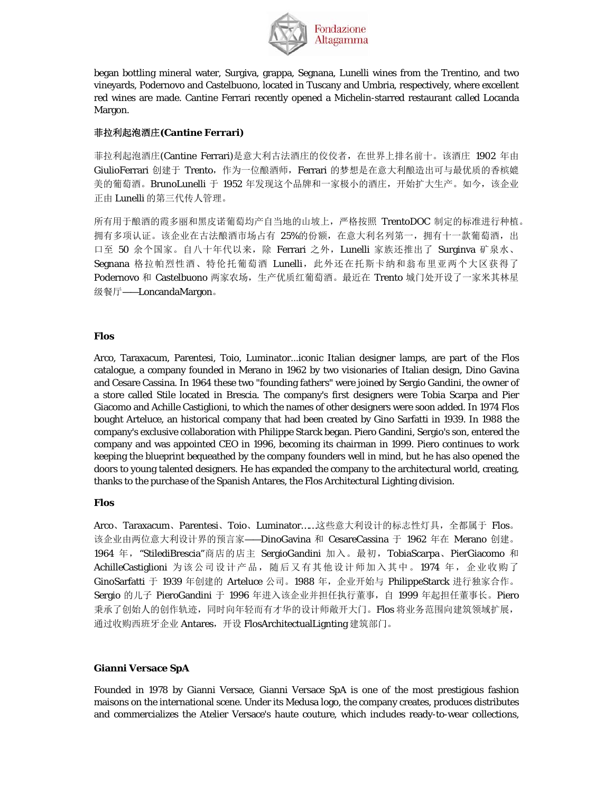

began bottling mineral water, Surgiva, grappa, Segnana, Lunelli wines from the Trentino, and two vineyards, Podernovo and Castelbuono, located in Tuscany and Umbria, respectively, where excellent red wines are made. Cantine Ferrari recently opened a Michelin-starred restaurant called Locanda Margon.

## 菲拉利起泡酒庄**(Cantine Ferrari)**

菲拉利起泡酒庄(Cantine Ferrari)是意大利古法酒庄的佼佼者, 在世界上排名前十。该酒庄 1902 年由 GiulioFerrari 创建于 Trento, 作为一位酿酒师, Ferrari 的梦想是在意大利酿造出可与最优质的香槟媲 美的葡萄酒。BrunoLunelli 于 1952 年发现这个品牌和一家极小的酒庄, 开始扩大生产。如今, 该企业 正由 Lunelli 的第三代传人管理。

所有用于酿酒的霞多丽和黑皮诺葡萄均产自当地的山坡上,严格按照 TrentoDOC 制定的标准进行种植。 拥有多项认证。该企业在古法酿酒市场占有 25%的份额,在意大利名列第一,拥有十一款葡萄酒,出 口至 50 余个国家。自八十年代以来,除 Ferrari 之外, Lunelli 家族还推出了 Surginva 矿泉水、 Segnana 格拉帕烈性酒、特伦托葡萄酒 Lunelli, 此外还在托斯卡纳和翁布里亚两个大区获得了 Podernovo 和 Castelbuono 两家农场,生产优质红葡萄酒。最近在 Trento 城门处开设了一家米其林星 级餐厅——LoncandaMargon。

## **Flos**

Arco, Taraxacum, Parentesi, Toio, Luminator...iconic Italian designer lamps, are part of the Flos catalogue, a company founded in Merano in 1962 by two visionaries of Italian design, Dino Gavina and Cesare Cassina. In 1964 these two "founding fathers" were joined by Sergio Gandini, the owner of a store called Stile located in Brescia. The company's first designers were Tobia Scarpa and Pier Giacomo and Achille Castiglioni, to which the names of other designers were soon added. In 1974 Flos bought Arteluce, an historical company that had been created by Gino Sarfatti in 1939. In 1988 the company's exclusive collaboration with Philippe Starck began. Piero Gandini, Sergio's son, entered the company and was appointed CEO in 1996, becoming its chairman in 1999. Piero continues to work keeping the blueprint bequeathed by the company founders well in mind, but he has also opened the doors to young talented designers. He has expanded the company to the architectural world, creating, thanks to the purchase of the Spanish Antares, the Flos Architectural Lighting division.

## **Flos**

Arco、Taraxacum、Parentesi、Toio、Luminator……这些意大利设计的标志性灯具,全都属于 Flos。 该企业由两位意大利设计界的预言家——DinoGavina 和 CesareCassina 于 1962 年在 Merano 创建。 1964 年, "StilediBrescia"商店的店主 SergioGandini 加入。最初, TobiaScarpa、PierGiacomo 和 AchilleCastiglioni 为该公司设计产品,随后又有其他设计师加入其中。1974 年,企业收购了 GinoSarfatti 于 1939 年创建的 Arteluce 公司。1988 年,企业开始与 PhilippeStarck 进行独家合作。 Sergio 的儿子 PieroGandini 于 1996 年进入该企业并担任执行董事,自 1999 年起担任董事长。Piero 秉承了创始人的创作轨迹,同时向年轻而有才华的设计师敞开大门。Flos 将业务范围向建筑领域扩展, 通过收购西班牙企业 Antares, 开设 FlosArchitectualLignting 建筑部门。

## **Gianni Versace SpA**

Founded in 1978 by Gianni Versace, Gianni Versace SpA is one of the most prestigious fashion maisons on the international scene. Under its Medusa logo, the company creates, produces distributes and commercializes the Atelier Versace's haute couture, which includes ready-to-wear collections,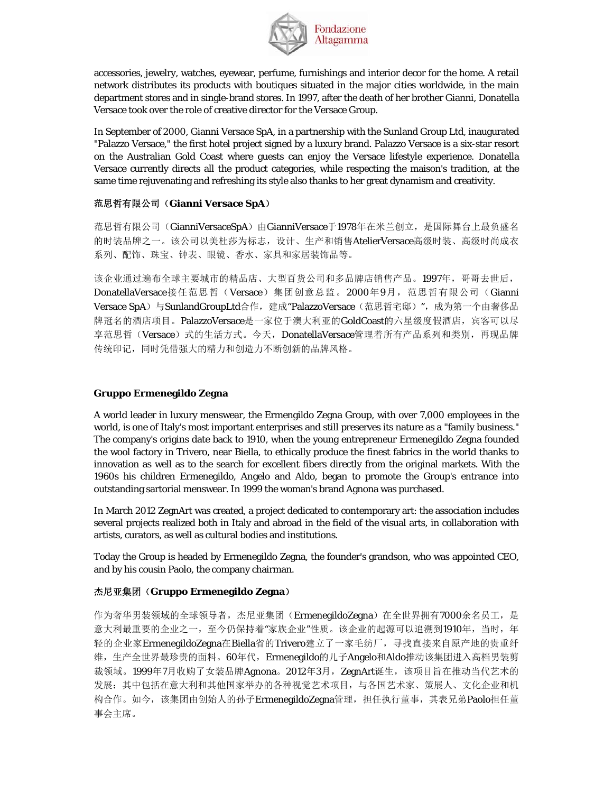

accessories, jewelry, watches, eyewear, perfume, furnishings and interior decor for the home. A retail network distributes its products with boutiques situated in the major cities worldwide, in the main department stores and in single-brand stores. In 1997, after the death of her brother Gianni, Donatella Versace took over the role of creative director for the Versace Group.

In September of 2000, Gianni Versace SpA, in a partnership with the Sunland Group Ltd, inaugurated "Palazzo Versace," the first hotel project signed by a luxury brand. Palazzo Versace is a six-star resort on the Australian Gold Coast where guests can enjoy the Versace lifestyle experience. Donatella Versace currently directs all the product categories, while respecting the maison's tradition, at the same time rejuvenating and refreshing its style also thanks to her great dynamism and creativity.

## 范思哲有限公司(**Gianni Versace SpA**)

范思哲有限公司(GianniVersaceSpA)由GianniVersace于1978年在米兰创立,是国际舞台上最负盛名 的时装品牌之一。该公司以美杜莎为标志,设计、生产和销售AtelierVersace高级时装、高级时尚成衣 系列、配饰、珠宝、钟表、眼镜、香水、家具和家居装饰品等。

该企业通过遍布全球主要城市的精品店、大型百货公司和多品牌店销售产品。1997年,哥哥去世后, DonatellaVersace接任范思哲(Versace)集团创意总监。2000年9月,范思哲有限公司(Gianni Versace SpA)与SunlandGroupLtd合作, 建成"PalazzoVersace(范思哲宅邸)", 成为第一个由奢侈品 牌冠名的酒店项目。PalazzoVersace是一家位于澳大利亚的GoldCoast的六星级度假酒店, 宾客可以尽 享范思哲(Versace)式的生活方式。今天, DonatellaVersace管理着所有产品系列和类别,再现品牌 传统印记,同时凭借强大的精力和创造力不断创新的品牌风格。

### **Gruppo Ermenegildo Zegna**

A world leader in luxury menswear, the Ermengildo Zegna Group, with over 7,000 employees in the world, is one of Italy's most important enterprises and still preserves its nature as a "family business." The company's origins date back to 1910, when the young entrepreneur Ermenegildo Zegna founded the wool factory in Trivero, near Biella, to ethically produce the finest fabrics in the world thanks to innovation as well as to the search for excellent fibers directly from the original markets. With the 1960s his children Ermenegildo, Angelo and Aldo, began to promote the Group's entrance into outstanding sartorial menswear. In 1999 the woman's brand Agnona was purchased.

In March 2012 ZegnArt was created, a project dedicated to contemporary art: the association includes several projects realized both in Italy and abroad in the field of the visual arts, in collaboration with artists, curators, as well as cultural bodies and institutions.

Today the Group is headed by Ermenegildo Zegna, the founder's grandson, who was appointed CEO, and by his cousin Paolo, the company chairman.

## 杰尼亚集团(**Gruppo Ermenegildo Zegna**)

作为奢华男装领域的全球领导者,杰尼亚集团(ErmenegildoZegna)在全世界拥有7000余名员工,是 意大利最重要的企业之一,至今仍保持着"家族企业"性质。该企业的起源可以追溯到1910年,当时,年 轻的企业家ErmenegildoZegna在Biella省的Trivero建立了一家毛纺厂,寻找直接来自原产地的贵重纤 维,生产全世界最珍贵的面料。60年代,Ermenegildo的儿子Angelo和Aldo推动该集团进入高档男装剪 裁领域。1999年7月收购了女装品牌Agnona。2012年3月, ZegnArt诞生, 该项目旨在推动当代艺术的 发展:其中包括在意大利和其他国家举办的各种视觉艺术项目,与各国艺术家、策展人、文化企业和机 构合作。如今,该集团由创始人的孙子ErmenegildoZegna管理,担任执行董事,其表兄弟Paolo担任董 事会主席。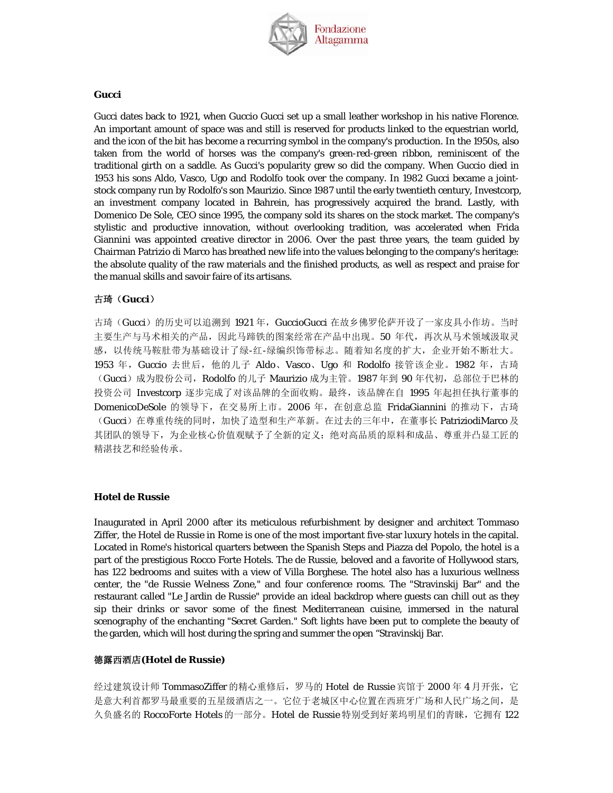

#### **Gucci**

Gucci dates back to 1921, when Guccio Gucci set up a small leather workshop in his native Florence. An important amount of space was and still is reserved for products linked to the equestrian world, and the icon of the bit has become a recurring symbol in the company's production. In the 1950s, also taken from the world of horses was the company's green-red-green ribbon, reminiscent of the traditional girth on a saddle. As Gucci's popularity grew so did the company. When Guccio died in 1953 his sons Aldo, Vasco, Ugo and Rodolfo took over the company. In 1982 Gucci became a jointstock company run by Rodolfo's son Maurizio. Since 1987 until the early twentieth century, Investcorp, an investment company located in Bahrein, has progressively acquired the brand. Lastly, with Domenico De Sole, CEO since 1995, the company sold its shares on the stock market. The company's stylistic and productive innovation, without overlooking tradition, was accelerated when Frida Giannini was appointed creative director in 2006. Over the past three years, the team guided by Chairman Patrizio di Marco has breathed new life into the values belonging to the company's heritage: the absolute quality of the raw materials and the finished products, as well as respect and praise for the manual skills and savoir faire of its artisans.

### 古琦(**Gucci**)

古琦(Gucci)的历史可以追溯到 1921 年, GuccioGucci 在故乡佛罗伦萨开设了一家皮具小作坊。当时 主要生产与马术相关的产品,因此马蹄铁的图案经常在产品中出现。50 年代,再次从马术领域汲取灵 感,以传统马鞍肚带为基础设计了绿-红-绿编织饰带标志。随着知名度的扩大,企业开始不断壮大。 1953 年,Guccio 去世后,他的儿子 Aldo、Vasco、Ugo 和 Rodolfo 接管该企业。1982 年,古琦 (Gucci) 成为股份公司, Rodolfo 的儿子 Maurizio 成为主管。1987 年到 90 年代初, 总部位于巴林的 投资公司 Investcorp 逐步完成了对该品牌的全面收购。最终,该品牌在自 1995 年起担任执行董事的 DomenicoDeSole 的领导下, 在交易所上市。2006年, 在创意总监 FridaGiannini 的推动下, 古琦 (Gucci)在尊重传统的同时,加快了造型和生产革新。在过去的三年中,在董事长 PatriziodiMarco 及 其团队的领导下,为企业核心价值观赋予了全新的定义:绝对高品质的原料和成品、尊重并凸显工匠的 精湛技艺和经验传承。

#### **Hotel de Russie**

Inaugurated in April 2000 after its meticulous refurbishment by designer and architect Tommaso Ziffer, the Hotel de Russie in Rome is one of the most important five-star luxury hotels in the capital. Located in Rome's historical quarters between the Spanish Steps and Piazza del Popolo, the hotel is a part of the prestigious Rocco Forte Hotels. The de Russie, beloved and a favorite of Hollywood stars, has 122 bedrooms and suites with a view of Villa Borghese. The hotel also has a luxurious wellness center, the "de Russie Welness Zone," and four conference rooms. The "Stravinskij Bar" and the restaurant called "Le Jardin de Russie" provide an ideal backdrop where guests can chill out as they sip their drinks or savor some of the finest Mediterranean cuisine, immersed in the natural scenography of the enchanting "Secret Garden." Soft lights have been put to complete the beauty of the garden, which will host during the spring and summer the open "Stravinskij Bar.

#### 德露西酒店**(Hotel de Russie)**

经过建筑设计师 TommasoZiffer 的精心重修后, 罗马的 Hotel de Russie 宾馆于 2000 年 4 月开张, 它 是意大利首都罗马最重要的五星级酒店之一。它位于老城区中心位置在西班牙广场和人民广场之间,是 久负盛名的 RoccoForte Hotels 的一部分。Hotel de Russie 特别受到好莱坞明星们的青睐, 它拥有 122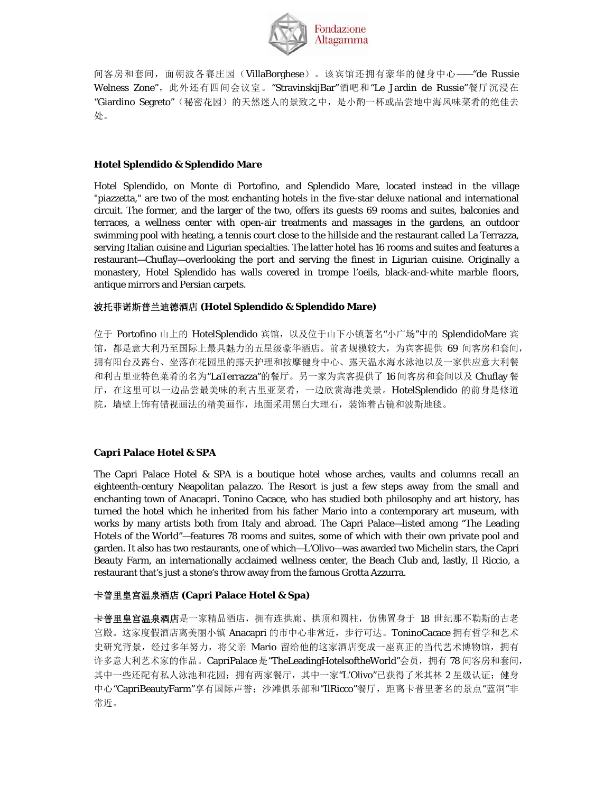

间客房和套间, 面朝波各赛庄园(VillaBorghese)。该宾馆还拥有豪华的健身中心——"de Russie Welness Zone", 此外还有四间会议室。"StravinskijBar"酒吧和"Le Jardin de Russie"餐厅沉浸在 "Giardino Segreto"(秘密花园)的天然迷人的景致之中,是小酌一杯或品尝地中海风味菜肴的绝佳去 处。

## **Hotel Splendido & Splendido Mare**

Hotel Splendido, on Monte di Portofino, and Splendido Mare, located instead in the village "piazzetta," are two of the most enchanting hotels in the five-star deluxe national and international circuit. The former, and the larger of the two, offers its guests 69 rooms and suites, balconies and terraces, a wellness center with open-air treatments and massages in the gardens, an outdoor swimming pool with heating, a tennis court close to the hillside and the restaurant called La Terrazza, serving Italian cuisine and Ligurian specialties. The latter hotel has 16 rooms and suites and features a restaurant—Chuflay—overlooking the port and serving the finest in Ligurian cuisine. Originally a monastery, Hotel Splendido has walls covered in trompe l'oeils, black-and-white marble floors, antique mirrors and Persian carpets.

## 波托菲诺斯普兰迪德酒店 **(Hotel Splendido & Splendido Mare)**

位于 Portofino 山上的 HotelSplendido 宾馆,以及位于山下小镇著名"小广场"中的 SplendidoMare 宾 馆,都是意大利乃至国际上最具魅力的五星级豪华酒店。前者规模较大,为宾客提供 69 间客房和套间, 拥有阳台及露台、坐落在花园里的露天护理和按摩健身中心、露天温水海水泳池以及一家供应意大利餐 和利古里亚特色菜肴的名为"LaTerrazza"的餐厅。另一家为宾客提供了 16 间客房和套间以及 Chuflay 餐 厅,在这里可以一边品尝最美味的利古里亚菜肴,一边欣赏海港美景。HotelSplendido 的前身是修道 院,墙壁上饰有错视画法的精美画作,地面采用黑白大理石,装饰着古镜和波斯地毯。

## **Capri Palace Hotel & SPA**

The Capri Palace Hotel & SPA is a boutique hotel whose arches, vaults and columns recall an eighteenth-century Neapolitan *palazzo*. The Resort is just a few steps away from the small and enchanting town of Anacapri. Tonino Cacace, who has studied both philosophy and art history, has turned the hotel which he inherited from his father Mario into a contemporary art museum, with works by many artists both from Italy and abroad. The Capri Palace—listed among "The Leading Hotels of the World"—features 78 rooms and suites, some of which with their own private pool and garden. It also has two restaurants, one of which—L'Olivo—was awarded two Michelin stars, the Capri Beauty Farm, an internationally acclaimed wellness center, the Beach Club and, lastly, Il Riccio, a restaurant that's just a stone's throw away from the famous Grotta Azzurra.

## 卡普里皇宫温泉酒店 **(Capri Palace Hotel & Spa)**

卡普里皇宫温泉酒店是一家精品酒店,拥有连拱廊、拱顶和圆柱,仿佛置身于 18 世纪那不勒斯的古老 宫殿。这家度假酒店离美丽小镇 Anacapri 的市中心非常近,步行可达。ToninoCacace 拥有哲学和艺术 史研究背景,经过多年努力,将父亲 Mario 留给他的这家酒店变成一座真正的当代艺术博物馆,拥有 许多意大利艺术家的作品。CapriPalace 是"TheLeadingHotelsoftheWorld"会员,拥有78 间客房和套间, 其中一些还配有私人泳池和花园; 拥有两家餐厅, 其中一家"L'Olivo"已获得了米其林 2 星级认证; 健身 中心"CapriBeautyFarm"享有国际声誉; 沙滩俱乐部和"IlRicco"餐厅, 距离卡普里著名的景点"蓝洞"非 常近。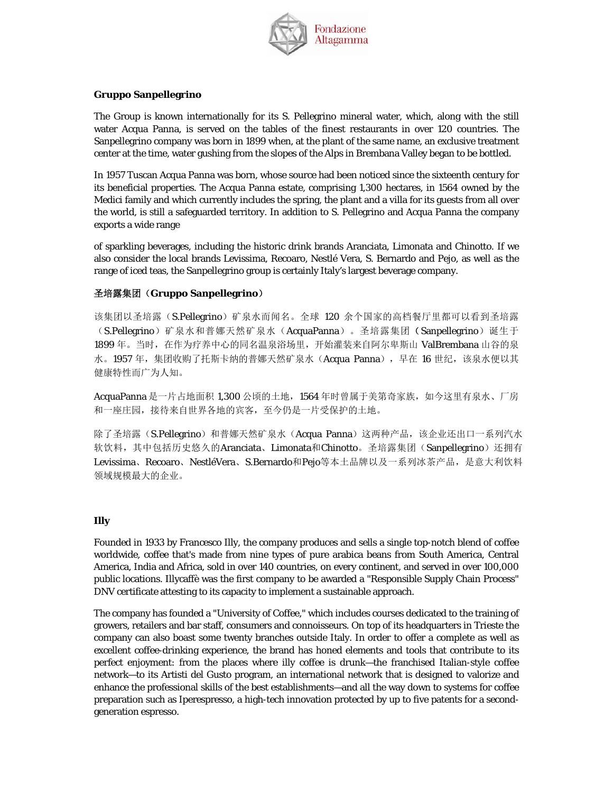

## **Gruppo Sanpellegrino**

The Group is known internationally for its S. Pellegrino mineral water, which, along with the still water Acqua Panna, is served on the tables of the finest restaurants in over 120 countries. The Sanpellegrino company was born in 1899 when, at the plant of the same name, an exclusive treatment center at the time, water gushing from the slopes of the Alps in Brembana Valley began to be bottled.

In 1957 Tuscan Acqua Panna was born, whose source had been noticed since the sixteenth century for its beneficial properties. The Acqua Panna estate, comprising 1,300 hectares, in 1564 owned by the Medici family and which currently includes the spring, the plant and a villa for its guests from all over the world, is still a safeguarded territory. In addition to S. Pellegrino and Acqua Panna the company exports a wide range

of sparkling beverages, including the historic drink brands Aranciata, Limonata and Chinotto. If we also consider the local brands Levissima, Recoaro, Nestlé Vera, S. Bernardo and Pejo, as well as the range of iced teas, the Sanpellegrino group is certainly Italy's largest beverage company.

## 圣培露集团(**Gruppo Sanpellegrino**)

该集团以圣培露(S.Pellegrino)矿泉水而闻名。全球 120 余个国家的高档餐厅里都可以看到圣培露 (S.Pellegrino)矿泉水和普娜天然矿泉水(AcquaPanna)。圣培露集团(Sanpellegrino)诞生于 1899 年。当时,在作为疗养中心的同名温泉浴场里,开始灌装来自阿尔卑斯山 ValBrembana 山谷的泉 水。1957年,集团收购了托斯卡纳的普娜天然矿泉水(Acqua Panna),早在 16世纪,该泉水便以其 健康特性而广为人知。

AcquaPanna 是一片占地面积 1,300 公顷的土地, 1564 年时曾属于美第奇家族, 如今这里有泉水、厂房 和一座庄园,接待来自世界各地的宾客,至今仍是一片受保护的土地。

除了圣培露(S.Pellegrino)和普娜天然矿泉水(Acqua Panna)这两种产品,该企业还出口一系列汽水 软饮料,其中包括历史悠久的Aranciata、Limonata和Chinotto。圣培露集团(Sanpellegrino)还拥有 Levissima、Recoaro、NestléVera、S.Bernardo和Pejo等本土品牌以及一系列冰茶产品,是意大利饮料 领域规模最大的企业。

#### **Illy**

Founded in 1933 by Francesco Illy, the company produces and sells a single top-notch blend of coffee worldwide, coffee that's made from nine types of pure arabica beans from South America, Central America, India and Africa, sold in over 140 countries, on every continent, and served in over 100,000 public locations. Illycaffè was the first company to be awarded a "Responsible Supply Chain Process" DNV certificate attesting to its capacity to implement a sustainable approach.

The company has founded a "University of Coffee," which includes courses dedicated to the training of growers, retailers and bar staff, consumers and connoisseurs. On top of its headquarters in Trieste the company can also boast some twenty branches outside Italy. In order to offer a complete as well as excellent coffee-drinking experience, the brand has honed elements and tools that contribute to its perfect enjoyment: from the places where illy coffee is drunk—the franchised Italian-style coffee network—to its Artisti del Gusto program, an international network that is designed to valorize and enhance the professional skills of the best establishments—and all the way down to systems for coffee preparation such as Iperespresso, a high-tech innovation protected by up to five patents for a secondgeneration espresso.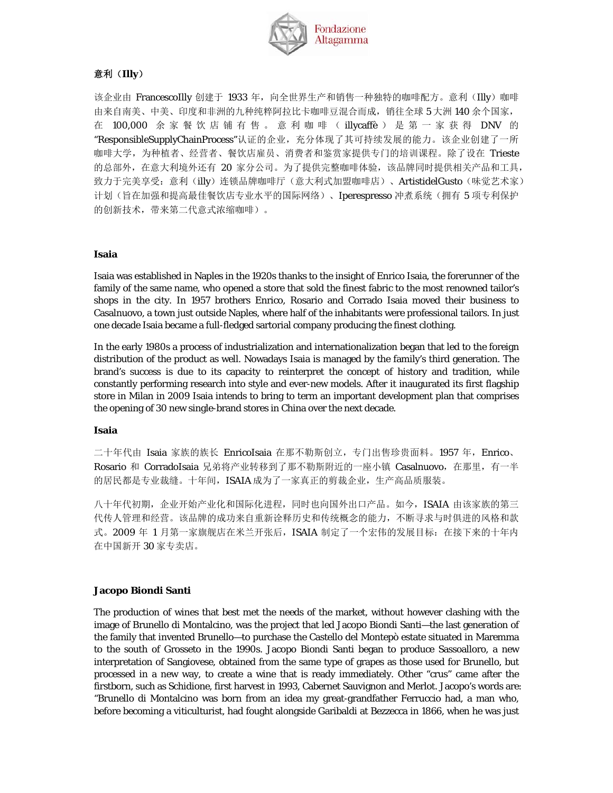

## 意利(**Illy**)

该企业由 FrancescoIlly 创建于 1933 年,向全世界生产和销售一种独特的咖啡配方。意利(Illy)咖啡 由来自南美、中美、印度和非洲的九种纯粹阿拉比卡咖啡豆混合而成,销往全球 5 大洲 140 余个国家, 在 100,000 余家餐饮店铺有售。意利咖啡( illycaffè ) 是第一家获得 DNV 的 "ResponsibleSupplyChainProcess"认证的企业,充分体现了其可持续发展的能力。该企业创建了一所 咖啡大学,为种植者、经营者、餐饮店雇员、消费者和鉴赏家提供专门的培训课程。除了设在 Trieste 的总部外,在意大利境外还有 20 家分公司。为了提供完整咖啡体验,该品牌同时提供相关产品和工具, 致力于完美享受: 意利(illy)连锁品牌咖啡厅(意大利式加盟咖啡店)、ArtistidelGusto(味觉艺术家) 计划(旨在加强和提高最佳餐饮店专业水平的国际网络)、Iperespresso 冲煮系统(拥有5项专利保护 的创新技术,带来第二代意式浓缩咖啡)。

### **Isaia**

Isaia was established in Naples in the 1920s thanks to the insight of Enrico Isaia, the forerunner of the family of the same name, who opened a store that sold the finest fabric to the most renowned tailor's shops in the city. In 1957 brothers Enrico, Rosario and Corrado Isaia moved their business to Casalnuovo, a town just outside Naples, where half of the inhabitants were professional tailors. In just one decade Isaia became a full-fledged sartorial company producing the finest clothing.

In the early 1980s a process of industrialization and internationalization began that led to the foreign distribution of the product as well. Nowadays Isaia is managed by the family's third generation. The brand's success is due to its capacity to reinterpret the concept of history and tradition, while constantly performing research into style and ever-new models. After it inaugurated its first flagship store in Milan in 2009 Isaia intends to bring to term an important development plan that comprises the opening of 30 new single-brand stores in China over the next decade.

#### **Isaia**

二十年代由 Isaia 家族的族长 EnricoIsaia 在那不勒斯创立, 专门出售珍贵面料。1957 年, Enrico、 Rosario 和 CorradoIsaia 兄弟将产业转移到了那不勒斯附近的一座小镇 Casalnuovo,在那里,有一半 的居民都是专业裁缝。十年间,ISAIA 成为了一家真正的剪裁企业,生产高品质服装。

八十年代初期,企业开始产业化和国际化进程,同时也向国外出口产品。如今,ISAIA 由该家族的第三 代传人管理和经营。该品牌的成功来自重新诠释历史和传统概念的能力,不断寻求与时俱进的风格和款 式。2009 年 1 月第一家旗舰店在米兰开张后, ISAIA 制定了一个宏伟的发展目标: 在接下来的十年内 在中国新开 30 家专卖店。

#### **Jacopo Biondi Santi**

The production of wines that best met the needs of the market, without however clashing with the image of Brunello di Montalcino, was the project that led Jacopo Biondi Santi—the last generation of the family that invented Brunello—to purchase the Castello del Montepò estate situated in Maremma to the south of Grosseto in the 1990s. Jacopo Biondi Santi began to produce Sassoalloro, a new interpretation of Sangiovese, obtained from the same type of grapes as those used for Brunello, but processed in a new way, to create a wine that is ready immediately. Other "crus" came after the firstborn, such as Schidione, first harvest in 1993, Cabernet Sauvignon and Merlot. Jacopo's words are: "Brunello di Montalcino was born from an idea my great-grandfather Ferruccio had, a man who, before becoming a viticulturist, had fought alongside Garibaldi at Bezzecca in 1866, when he was just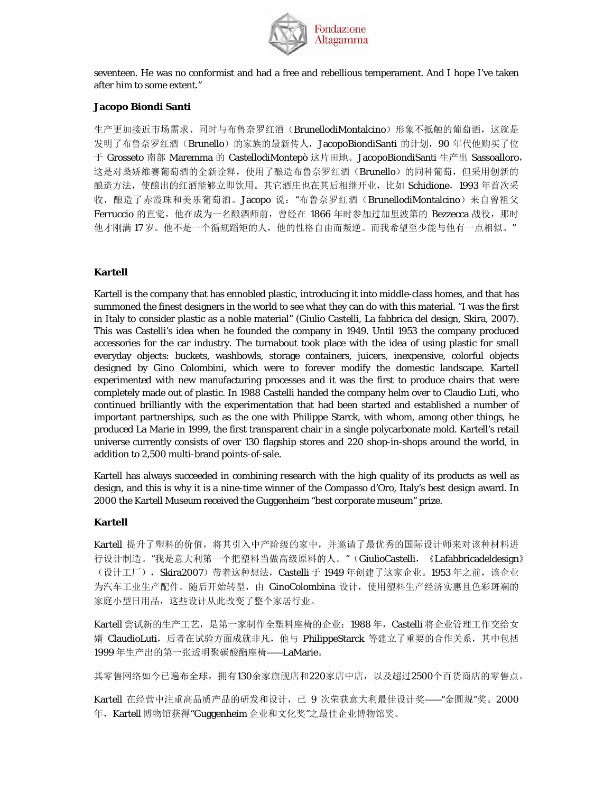

seventeen. He was no conformist and had a free and rebellious temperament. And I hope I've taken after him to some extent."

### **Jacopo Biondi Santi**

生产更加接近市场需求、同时与布鲁奈罗红酒(BrunellodiMontalcino)形象不抵触的葡萄酒,这就是 发明了布鲁奈罗红酒(Brunello)的家族的最新传人, JacopoBiondiSanti 的计划, 90 年代他购买了位 于 Grosseto 南部 Maremma 的 CastellodiMontepò 这片田地。JacopoBiondiSanti 生产出 Sassoalloro, 这是对桑娇维赛葡萄酒的全新诠释,使用了酿造布鲁奈罗红酒(Brunello)的同种葡萄,但采用创新的 酿造方法, 使酿出的红酒能够立即饮用。其它酒庄也在其后相继开业, 比如 Schidione, 1993 年首次采 收,酿造了赤霞珠和美乐葡萄酒。Jacopo 说: "布鲁奈罗红酒(BrunellodiMontalcino)来自曾祖父 Ferruccio 的直觉, 他在成为一名酿酒师前, 曾经在 1866 年时参加过加里波第的 Bezzecca 战役, 那时 他才刚满 17 岁。他不是一个循规蹈矩的人,他的性格自由而叛逆。而我希望至少能与他有一点相似。"

## **Kartell**

Kartell is the company that has ennobled plastic, introducing it into middle-class homes, and that has summoned the finest designers in the world to see what they can do with this material. "I was the first in Italy to consider plastic as a noble material" (Giulio Castelli, La fabbrica del design, Skira, 2007). This was Castelli's idea when he founded the company in 1949. Until 1953 the company produced accessories for the car industry. The turnabout took place with the idea of using plastic for small everyday objects: buckets, washbowls, storage containers, juicers, inexpensive, colorful objects designed by Gino Colombini, which were to forever modify the domestic landscape. Kartell experimented with new manufacturing processes and it was the first to produce chairs that were completely made out of plastic. In 1988 Castelli handed the company helm over to Claudio Luti, who continued brilliantly with the experimentation that had been started and established a number of important partnerships, such as the one with Philippe Starck, with whom, among other things, he produced La Marie in 1999, the first transparent chair in a single polycarbonate mold. Kartell's retail universe currently consists of over 130 flagship stores and 220 shop-in-shops around the world, in addition to 2,500 multi-brand points-of-sale.

Kartell has always succeeded in combining research with the high quality of its products as well as design, and this is why it is a nine-time winner of the Compasso d'Oro, Italy's best design award. In 2000 the Kartell Museum received the Guggenheim "best corporate museum" prize.

#### **Kartell**

Kartell 提升了塑料的价值,将其引入中产阶级的家中,并邀请了最优秀的国际设计师来对该种材料进 行设计制造。"我是意大利第一个把塑料当做高级原料的人。"(GiulioCastelli, 《Lafabbricadeldesign》 (设计工厂), Skira2007) 带着这种想法, Castelli 于 1949 年创建了这家企业。1953 年之前, 该企业 为汽车工业生产配件。随后开始转型,由 GinoColombina 设计,使用塑料生产经济实惠且色彩斑斓的 家庭小型日用品,这些设计从此改变了整个家居行业。

Kartell 尝试新的生产工艺, 是第一家制作全塑料座椅的企业: 1988 年, Castelli 将企业管理工作交给女 婿 ClaudioLuti, 后者在试验方面成就非凡, 他与 PhilippeStarck 等建立了重要的合作关系, 其中包括 1999 年生产出的第一张透明聚碳酸酯座椅——LaMarie。

其零售网络如今已遍布全球,拥有130余家旗舰店和220家店中店,以及超过2500个百货商店的零售点。

Kartell 在经营中注重高品质产品的研发和设计,已 9 次荣获意大利最佳设计奖——"金圆规"奖。2000 年,Kartell 博物馆获得"Guggenheim 企业和文化奖"之最佳企业博物馆奖。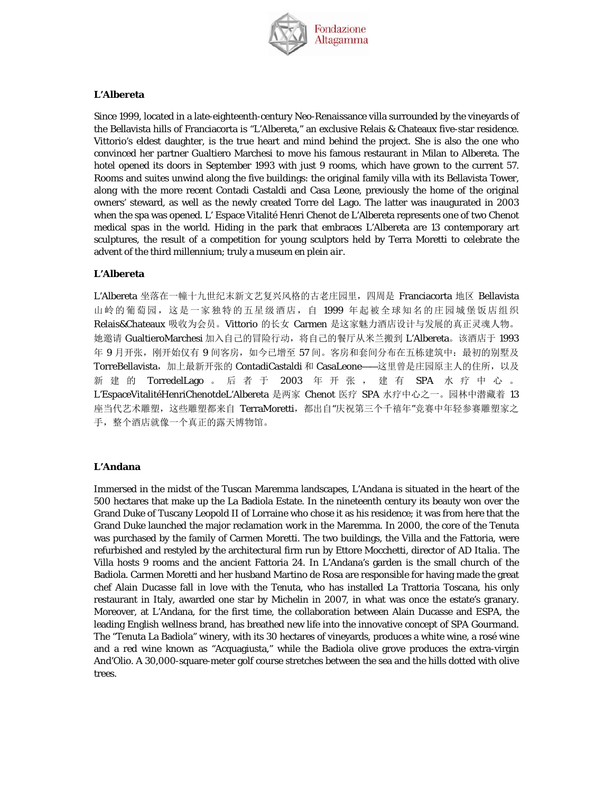

### **L'Albereta**

Since 1999, located in a late-eighteenth-century Neo-Renaissance villa surrounded by the vineyards of the Bellavista hills of Franciacorta is "L'Albereta," an exclusive Relais & Chateaux five-star residence. Vittorio's eldest daughter, is the true heart and mind behind the project. She is also the one who convinced her partner Gualtiero Marchesi to move his famous restaurant in Milan to Albereta. The hotel opened its doors in September 1993 with just 9 rooms, which have grown to the current 57. Rooms and suites unwind along the five buildings: the original family villa with its Bellavista Tower, along with the more recent Contadi Castaldi and Casa Leone, previously the home of the original owners' steward, as well as the newly created Torre del Lago. The latter was inaugurated in 2003 when the spa was opened. L' Espace Vitalité Henri Chenot de L'Albereta represents one of two Chenot medical spas in the world. Hiding in the park that embraces L'Albereta are 13 contemporary art sculptures, the result of a competition for young sculptors held by Terra Moretti to celebrate the advent of the third millennium; truly a museum *en plein air*.

#### **L'Albereta**

L'Albereta 坐落在一幢十九世纪末新文艺复兴风格的古老庄园里, 四周是 Franciacorta 地区 Bellavista 山岭的葡萄园,这是一家独特的五星级酒店,自 1999 年起被全球知名的庄园城堡饭店组织 Relais&Chateaux 吸收为会员。Vittorio 的长女 Carmen 是这家魅力酒店设计与发展的真正灵魂人物。 她邀请 GualtieroMarchesi 加入自己的冒险行动,将自己的餐厅从米兰搬到 L'Albereta。该酒店于 1993 年 9 月开张,刚开始仅有 9 间客房, 如今已增至 57 间。客房和套间分布在五栋建筑中: 最初的别墅及 TorreBellavista, 加上最新开张的 ContadiCastaldi 和 CasaLeone——这里曾是庄园原主人的住所, 以及 新建的 TorredelLago 。后者于 2003 年开张,建有 SPA 水疗中心。 L'EspaceVitalitéHenriChenotdeL'Albereta 是两家 Chenot 医疗 SPA 水疗中心之一。园林中潜藏着 13 座当代艺术雕塑,这些雕塑都来自 TerraMoretti, 都出自"庆祝第三个千禧年"竞赛中年轻参赛雕塑家之 手,整个酒店就像一个真正的露天博物馆。

#### **L'Andana**

Immersed in the midst of the Tuscan Maremma landscapes, L'Andana is situated in the heart of the 500 hectares that make up the La Badiola Estate. In the nineteenth century its beauty won over the Grand Duke of Tuscany Leopold II of Lorraine who chose it as his residence; it was from here that the Grand Duke launched the major reclamation work in the Maremma. In 2000, the core of the Tenuta was purchased by the family of Carmen Moretti. The two buildings, the Villa and the Fattoria, were refurbished and restyled by the architectural firm run by Ettore Mocchetti, director of *AD Italia*. The Villa hosts 9 rooms and the ancient Fattoria 24. In L'Andana's garden is the small church of the Badiola. Carmen Moretti and her husband Martino de Rosa are responsible for having made the great chef Alain Ducasse fall in love with the Tenuta, who has installed La Trattoria Toscana, his only restaurant in Italy, awarded one star by Michelin in 2007, in what was once the estate's granary. Moreover, at L'Andana, for the first time, the collaboration between Alain Ducasse and ESPA, the leading English wellness brand, has breathed new life into the innovative concept of SPA Gourmand. The "Tenuta La Badiola" winery, with its 30 hectares of vineyards, produces a white wine, a rosé wine and a red wine known as "Acquagiusta," while the Badiola olive grove produces the extra-virgin And'Olio. A 30,000-square-meter golf course stretches between the sea and the hills dotted with olive trees.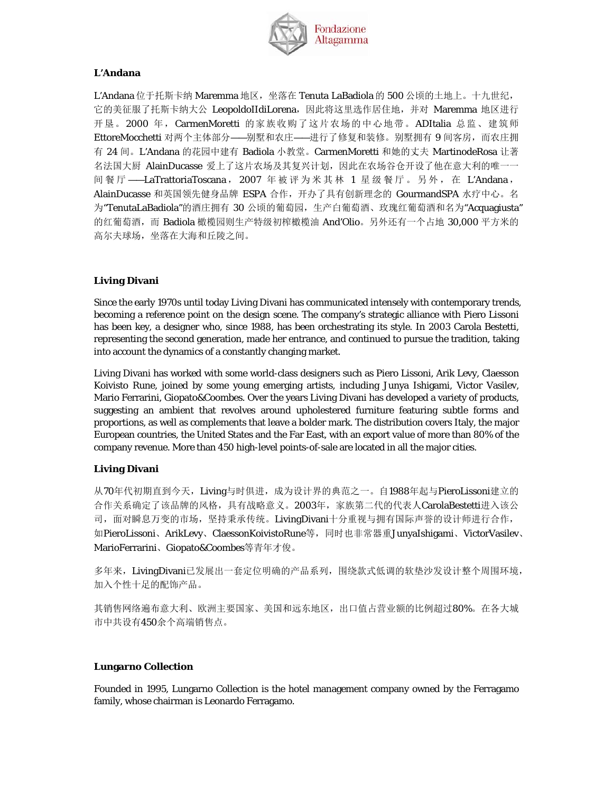

## **L'Andana**

L'Andana 位于托斯卡纳 Maremma 地区,坐落在 Tenuta LaBadiola 的 500 公顷的土地上。十九世纪, 它的美征服了托斯卡纳大公 LeopoldoIIdiLorena, 因此将这里选作居住地, 并对 Maremma 地区进行 开垦。2000 年, CarmenMoretti 的家族收购了这片农场的中心地带。ADItalia 总监、建筑师 EttoreMocchetti 对两个主体部分 --别墅和农庄 --进行了修复和装修。别墅拥有9间客房, 而农庄拥 有 24 间。L'Andana 的花园中建有 Badiola 小教堂。CarmenMoretti 和她的丈夫 MartinodeRosa 让著 名法国大厨 AlainDucasse 爱上了这片农场及其复兴计划,因此在农场谷仓开设了他在意大利的唯一一 间餐厅 ——LaTrattoriaToscana, 2007 年被评为米其林 1 星级餐厅。另外, 在 L'Andana, AlainDucasse 和英国领先健身品牌 ESPA 合作, 开办了具有创新理念的 GourmandSPA 水疗中心。名 为"TenutaLaBadiola"的酒庄拥有 30 公顷的葡萄园, 生产白葡萄酒、玫瑰红葡萄酒和名为"Acquagiusta" 的红葡萄酒, 而 Badiola 橄榄园则生产特级初榨橄榄油 And'Olio。另外还有一个占地 30,000 平方米的 高尔夫球场,坐落在大海和丘陵之间。

## **Living Divani**

Since the early 1970s until today Living Divani has communicated intensely with contemporary trends, becoming a reference point on the design scene. The company's strategic alliance with Piero Lissoni has been key, a designer who, since 1988, has been orchestrating its style. In 2003 Carola Bestetti, representing the second generation, made her entrance, and continued to pursue the tradition, taking into account the dynamics of a constantly changing market.

Living Divani has worked with some world-class designers such as Piero Lissoni, Arik Levy, Claesson Koivisto Rune, joined by some young emerging artists, including Junya Ishigami, Victor Vasilev, Mario Ferrarini, Giopato&Coombes. Over the years Living Divani has developed a variety of products, suggesting an ambient that revolves around upholestered furniture featuring subtle forms and proportions, as well as complements that leave a bolder mark. The distribution covers Italy, the major European countries, the United States and the Far East, with an export value of more than 80% of the company revenue. More than 450 high-level points-of-sale are located in all the major cities.

## **Living Divani**

从70年代初期直到今天,Living与时俱进,成为设计界的典范之一。自1988年起与PieroLissoni建立的 合作关系确定了该品牌的风格,具有战略意义。2003年,家族第二代的代表人CarolaBestetti进入该公 司,面对瞬息万变的市场,坚持秉承传统。LivingDivani十分重视与拥有国际声誉的设计师进行合作, 如PieroLissoni、ArikLevy、ClaessonKoivistoRune等,同时也非常器重JunyaIshigami、VictorVasilev、 MarioFerrarini、Giopato&Coombes等青年才俊。

多年来, LivingDivani已发展出一套定位明确的产品系列, 围绕款式低调的软垫沙发设计整个周围环境, 加入个性十足的配饰产品。

其销售网络遍布意大利、欧洲主要国家、美国和远东地区,出口值占营业额的比例超过80%。在各大城 市中共设有450余个高端销售点。

## **Lungarno Collection**

Founded in 1995, Lungarno Collection is the hotel management company owned by the Ferragamo family, whose chairman is Leonardo Ferragamo.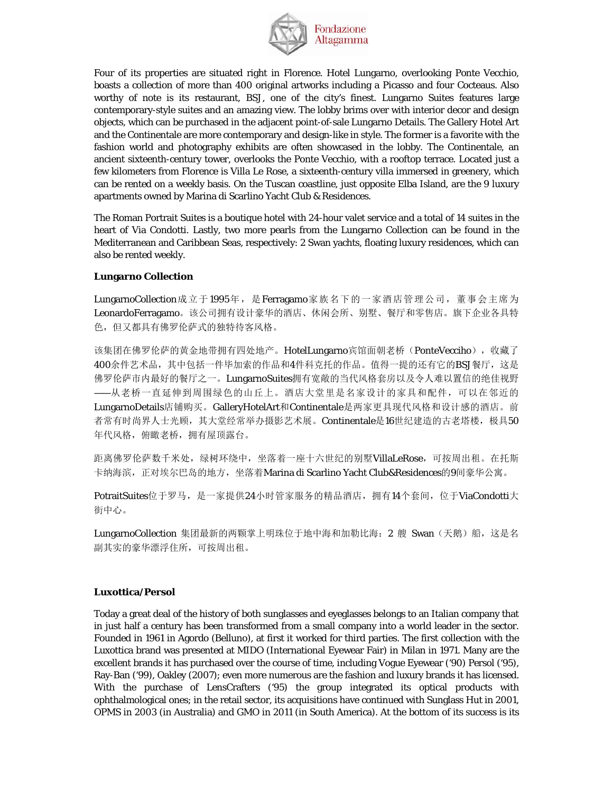

Four of its properties are situated right in Florence. Hotel Lungarno, overlooking Ponte Vecchio, boasts a collection of more than 400 original artworks including a Picasso and four Cocteaus. Also worthy of note is its restaurant, BSJ, one of the city's finest. Lungarno Suites features large contemporary-style suites and an amazing view. The lobby brims over with interior decor and design objects, which can be purchased in the adjacent point-of-sale Lungarno Details. The Gallery Hotel Art and the Continentale are more contemporary and design-like in style. The former is a favorite with the fashion world and photography exhibits are often showcased in the lobby. The Continentale, an ancient sixteenth-century tower, overlooks the Ponte Vecchio, with a rooftop terrace. Located just a few kilometers from Florence is Villa Le Rose, a sixteenth-century villa immersed in greenery, which can be rented on a weekly basis. On the Tuscan coastline, just opposite Elba Island, are the 9 luxury apartments owned by Marina di Scarlino Yacht Club & Residences.

The Roman Portrait Suites is a boutique hotel with 24-hour valet service and a total of 14 suites in the heart of Via Condotti. Lastly, two more pearls from the Lungarno Collection can be found in the Mediterranean and Caribbean Seas, respectively: 2 Swan yachts, floating luxury residences, which can also be rented weekly.

#### **Lungarno Collection**

LungarnoCollection成立于1995年,是Ferragamo家族名下的一家酒店管理公司,董事会主席为 LeonardoFerragamo。该公司拥有设计豪华的酒店、休闲会所、别墅、餐厅和零售店。旗下企业各具特 色,但又都具有佛罗伦萨式的独特待客风格。

该集团在佛罗伦萨的黄金地带拥有四处地产。HotelLungarno宾馆面朝老桥(PonteVecciho),收藏了 400余件艺术品,其中包括一件毕加索的作品和4件科克托的作品。值得一提的还有它的BSJ餐厅,这是 佛罗伦萨市内最好的餐厅之一。LungarnoSuites拥有宽敞的当代风格套房以及令人难以置信的绝佳视野 ——从老桥一直延伸到周围绿色的山丘上。酒店大堂里是名家设计的家具和配件,可以在邻近的 LungarnoDetails店铺购买。GalleryHotelArt和Continentale是两家更具现代风格和设计感的酒店。前 者常有时尚界人士光顾,其大堂经常举办摄影艺术展。Continentale是16世纪建造的古老塔楼,极具50 年代风格,俯瞰老桥,拥有屋顶露台。

距离佛罗伦萨数千米处,绿树环绕中,坐落着一座十六世纪的别墅VillaLeRose,可按周出租。在托斯 卡纳海滨,正对埃尔巴岛的地方,坐落着Marina di Scarlino Yacht Club&Residences的9间豪华公寓。

PotraitSuites位于罗马,是一家提供24小时管家服务的精品酒店,拥有14个套间,位于ViaCondotti大 街中心。

LungarnoCollection 集团最新的两颗掌上明珠位于地中海和加勒比海: 2 艘 Swan (天鹅)船, 这是名 副其实的豪华漂浮住所,可按周出租。

## **Luxottica/Persol**

Today a great deal of the history of both sunglasses and eyeglasses belongs to an Italian company that in just half a century has been transformed from a small company into a world leader in the sector. Founded in 1961 in Agordo (Belluno), at first it worked for third parties. The first collection with the Luxottica brand was presented at MIDO (International Eyewear Fair) in Milan in 1971. Many are the excellent brands it has purchased over the course of time, including Vogue Eyewear ('90) Persol ('95), Ray-Ban ('99), Oakley (2007); even more numerous are the fashion and luxury brands it has licensed. With the purchase of LensCrafters ('95) the group integrated its optical products with ophthalmological ones; in the retail sector, its acquisitions have continued with Sunglass Hut in 2001, OPMS in 2003 (in Australia) and GMO in 2011 (in South America). At the bottom of its success is its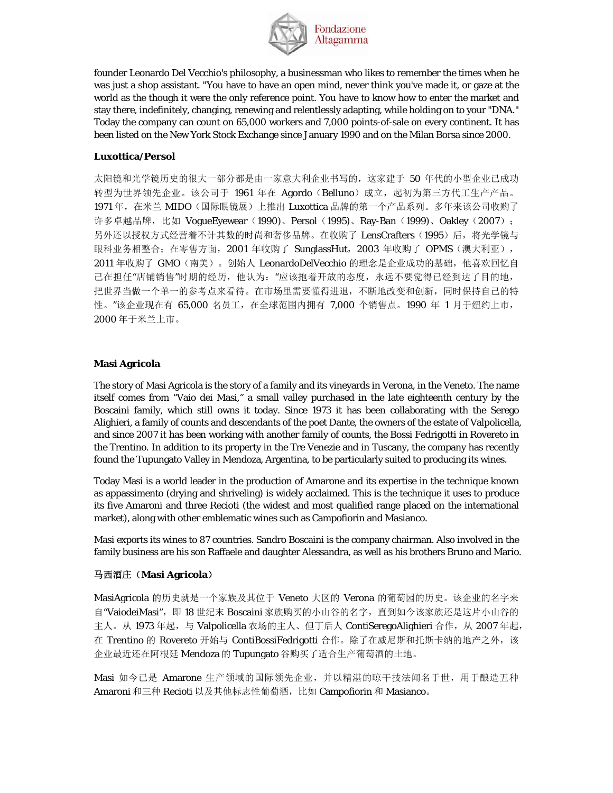

founder Leonardo Del Vecchio's philosophy, a businessman who likes to remember the times when he was just a shop assistant. "You have to have an open mind, never think you've made it, or gaze at the world as the though it were the only reference point. You have to know how to enter the market and stay there, indefinitely, changing, renewing and relentlessly adapting, while holding on to your "DNA." Today the company can count on 65,000 workers and 7,000 points-of-sale on every continent. It has been listed on the New York Stock Exchange since January 1990 and on the Milan Borsa since 2000.

## **Luxottica/Persol**

太阳镜和光学镜历史的很大一部分都是由一家意大利企业书写的,这家建于 50 年代的小型企业已成功 转型为世界领先企业。该公司于 1961 年在 Agordo (Belluno)成立,起初为第三方代工生产产品。 1971 年, 在米兰 MIDO(国际眼镜展)上推出 Luxottica 品牌的第一个产品系列。多年来该公司收购了 许多卓越品牌,比如 VogueEyewear (1990)、Persol (1995)、Ray-Ban (1999)、Oakley (2007); 另外还以授权方式经营着不计其数的时尚和奢侈品牌。在收购了 LensCrafters(1995)后,将光学镜与 眼科业务相整合;在零售方面, 2001 年收购了 SunglassHut, 2003 年收购了 OPMS (澳大利亚), 2011 年收购了 GMO(南美)。创始人 LeonardoDelVecchio 的理念是企业成功的基础, 他喜欢回忆自 己在担任"店铺销售"时期的经历,他认为:"应该抱着开放的态度,永远不要觉得已经到达了目的地, 把世界当做一个单一的参考点来看待。在市场里需要懂得进退,不断地改变和创新,同时保持自己的特 性。"该企业现在有 65,000 名员工, 在全球范围内拥有 7,000 个销售点。1990 年 1 月于纽约上市, 2000 年于米兰上市。

## **Masi Agricola**

The story of Masi Agricola is the story of a family and its vineyards in Verona, in the Veneto. The name itself comes from "Vaio dei Masi," a small valley purchased in the late eighteenth century by the Boscaini family, which still owns it today. Since 1973 it has been collaborating with the Serego Alighieri, a family of counts and descendants of the poet Dante, the owners of the estate of Valpolicella, and since 2007 it has been working with another family of counts, the Bossi Fedrigotti in Rovereto in the Trentino. In addition to its property in the Tre Venezie and in Tuscany, the company has recently found the Tupungato Valley in Mendoza, Argentina, to be particularly suited to producing its wines.

Today Masi is a world leader in the production of Amarone and its expertise in the technique known as appassimento (drying and shriveling) is widely acclaimed. This is the technique it uses to produce its five Amaroni and three Recioti (the widest and most qualified range placed on the international market), along with other emblematic wines such as Campofiorin and Masianco.

Masi exports its wines to 87 countries. Sandro Boscaini is the company chairman. Also involved in the family business are his son Raffaele and daughter Alessandra, as well as his brothers Bruno and Mario.

## 马西酒庄(**Masi Agricola**)

MasiAgricola 的历史就是一个家族及其位于 Veneto 大区的 Verona 的葡萄园的历史。该企业的名字来 自"VaiodeiMasi",即 18 世纪末 Boscaini 家族购买的小山谷的名字,直到如今该家族还是这片小山谷的 主人。从 1973 年起, 与 Valpolicella 农场的主人、但丁后人 ContiSeregoAlighieri 合作, 从 2007 年起, 在 Trentino 的 Rovereto 开始与 ContiBossiFedrigotti 合作。除了在威尼斯和托斯卡纳的地产之外, 该 企业最近还在阿根廷 Mendoza 的 Tupungato 谷购买了适合生产葡萄酒的土地。

Masi 如今已是 Amarone 生产领域的国际领先企业,并以精湛的晾干技法闻名于世,用于酿造五种 Amaroni 和三种 Recioti 以及其他标志性葡萄酒,比如 Campofiorin 和 Masianco。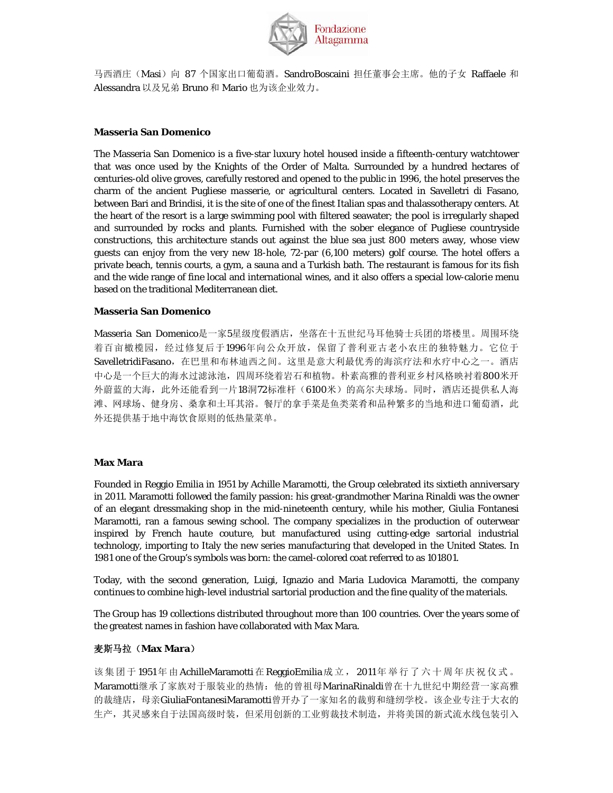

马西酒庄(Masi)向 87 个国家出口葡萄酒。SandroBoscaini 担任董事会主席。他的子女 Raffaele 和 Alessandra 以及兄弟 Bruno 和 Mario 也为该企业效力。

## **Masseria San Domenico**

The Masseria San Domenico is a five-star luxury hotel housed inside a fifteenth-century watchtower that was once used by the Knights of the Order of Malta. Surrounded by a hundred hectares of centuries-old olive groves, carefully restored and opened to the public in 1996, the hotel preserves the charm of the ancient Pugliese *masserie*, or agricultural centers. Located in Savelletri di Fasano, between Bari and Brindisi, it is the site of one of the finest Italian spas and thalassotherapy centers. At the heart of the resort is a large swimming pool with filtered seawater; the pool is irregularly shaped and surrounded by rocks and plants. Furnished with the sober elegance of Pugliese countryside constructions, this architecture stands out against the blue sea just 800 meters away, whose view guests can enjoy from the very new 18-hole, 72-par (6,100 meters) golf course. The hotel offers a private beach, tennis courts, a gym, a sauna and a Turkish bath. The restaurant is famous for its fish and the wide range of fine local and international wines, and it also offers a special low-calorie menu based on the traditional Mediterranean diet.

#### **Masseria San Domenico**

Masseria San Domenico是一家5星级度假酒店,坐落在十五世纪马耳他骑士兵团的塔楼里。周围环绕 着百亩橄榄园,经过修复后于1996年向公众开放,保留了普利亚古老小农庄的独特魅力。它位于 SavelletridiFasano,在巴里和布林迪西之间。这里是意大利最优秀的海滨疗法和水疗中心之一。酒店 中心是一个巨大的海水过滤泳池,四周环绕着岩石和植物。朴素高雅的普利亚乡村风格映衬着800米开 外蔚蓝的大海,此外还能看到一片18洞72标准杆(6100米)的高尔夫球场。同时,酒店还提供私人海 滩、网球场、健身房、桑拿和土耳其浴。餐厅的拿手菜是鱼类菜肴和品种繁多的当地和进口葡萄酒,此 外还提供基于地中海饮食原则的低热量菜单。

#### **Max Mara**

Founded in Reggio Emilia in 1951 by Achille Maramotti, the Group celebrated its sixtieth anniversary in 2011. Maramotti followed the family passion: his great-grandmother Marina Rinaldi was the owner of an elegant dressmaking shop in the mid-nineteenth century, while his mother, Giulia Fontanesi Maramotti, ran a famous sewing school. The company specializes in the production of outerwear inspired by French *haute couture*, but manufactured using cutting-edge sartorial industrial technology, importing to Italy the new series manufacturing that developed in the United States. In 1981 one of the Group's symbols was born: the camel-colored coat referred to as 101801.

Today, with the second generation, Luigi, Ignazio and Maria Ludovica Maramotti, the company continues to combine high-level industrial sartorial production and the fine quality of the materials.

The Group has 19 collections distributed throughout more than 100 countries. Over the years some of the greatest names in fashion have collaborated with Max Mara.

## 麦斯马拉(**Max Mara**)

该集团于1951年由 AchilleMaramotti在 ReggioEmilia 成立, 2011年举行了六十周年庆祝仪式。 Maramotti继承了家族对于服装业的热情:他的曾祖母MarinaRinaldi曾在十九世纪中期经营一家高雅 的裁缝店,母亲GiuliaFontanesiMaramotti曾开办了一家知名的裁剪和缝纫学校。该企业专注于大衣的 生产,其灵感来自于法国高级时装,但采用创新的工业剪裁技术制造,并将美国的新式流水线包装引入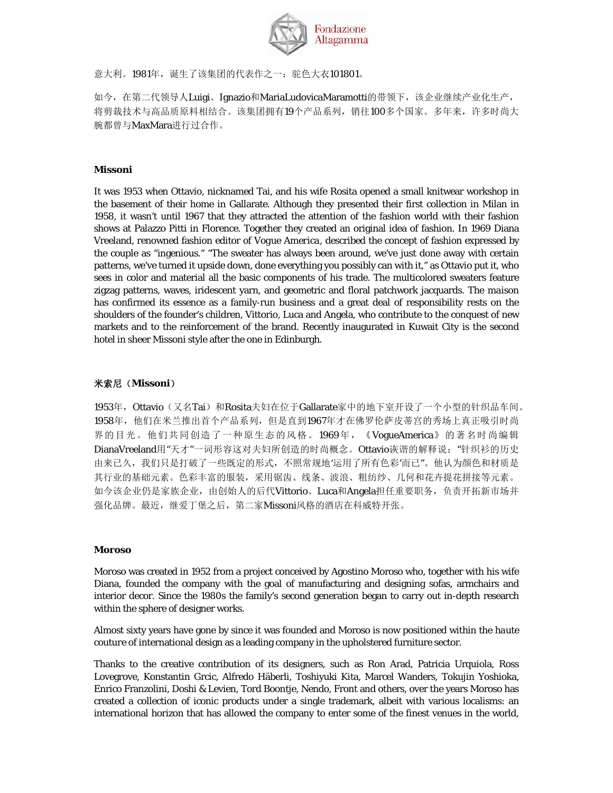

意大利。1981年, 诞生了该集团的代表作之一: 驼色大衣101801。

如今,在第二代领导人Luigi、Ignazio和MariaLudovicaMaramotti的带领下,该企业继续产业化生产, 将剪裁技术与高品质原料相结合。该集团拥有19个产品系列,销往100多个国家。多年来,许多时尚大 腕都曾与MaxMara进行过合作。

### **Missoni**

It was 1953 when Ottavio, nicknamed Tai, and his wife Rosita opened a small knitwear workshop in the basement of their home in Gallarate. Although they presented their first collection in Milan in 1958, it wasn't until 1967 that they attracted the attention of the fashion world with their fashion shows at Palazzo Pitti in Florence. Together they created an original idea of fashion. In 1969 Diana Vreeland, renowned fashion editor of *Vogue America*, described the concept of fashion expressed by the couple as "ingenious." "The sweater has always been around, we've just done away with certain patterns, we've turned it upside down, done everything you possibly can with it," as Ottavio put it, who sees in color and material all the basic components of his trade. The multicolored sweaters feature zigzag patterns, waves, iridescent yarn, and geometric and floral patchwork jacquards. The *maison*  has confirmed its essence as a family-run business and a great deal of responsibility rests on the shoulders of the founder's children, Vittorio, Luca and Angela, who contribute to the conquest of new markets and to the reinforcement of the brand. Recently inaugurated in Kuwait City is the second hotel in sheer Missoni style after the one in Edinburgh.

## 米索尼(**Missoni**)

1953年, Ottavio(又名Tai)和Rosita夫妇在位于Gallarate家中的地下室开设了一个小型的针织品车间。 1958年,他们在米兰推出首个产品系列,但是直到1967年才在佛罗伦萨皮蒂宫的秀场上真正吸引时尚 界的目光。他们共同创造了一种原生态的风格。1969年,《VogueAmerica》的著名时尚编辑 DianaVreeland用"天才"一词形容这对夫妇所创造的时尚概念。Ottavio诙谐的解释说:"针织衫的历史 由来已久,我们只是打破了一些既定的形式,不照常规地'运用了所有色彩'而已"。他认为颜色和材质是 其行业的基础元素。色彩丰富的服装,采用锯齿、线条、波浪、粗纺纱、几何和花卉提花拼接等元素。 如今该企业仍是家族企业,由创始人的后代Vittorio、Luca和Angela担任重要职务,负责开拓新市场并 强化品牌。最近,继爱丁堡之后,第二家Missoni风格的酒店在科威特开张。

#### **Moroso**

Moroso was created in 1952 from a project conceived by Agostino Moroso who, together with his wife Diana, founded the company with the goal of manufacturing and designing sofas, armchairs and interior decor. Since the 1980s the family's second generation began to carry out in-depth research within the sphere of designer works.

Almost sixty years have gone by since it was founded and Moroso is now positioned within the *haute couture* of international design as a leading company in the upholstered furniture sector.

Thanks to the creative contribution of its designers, such as Ron Arad, Patricia Urquiola, Ross Lovegrove, Konstantin Grcic, Alfredo Häberli, Toshiyuki Kita, Marcel Wanders, Tokujin Yoshioka, Enrico Franzolini, Doshi & Levien, Tord Boontje, Nendo, Front and others, over the years Moroso has created a collection of iconic products under a single trademark, albeit with various localisms: an international horizon that has allowed the company to enter some of the finest venues in the world,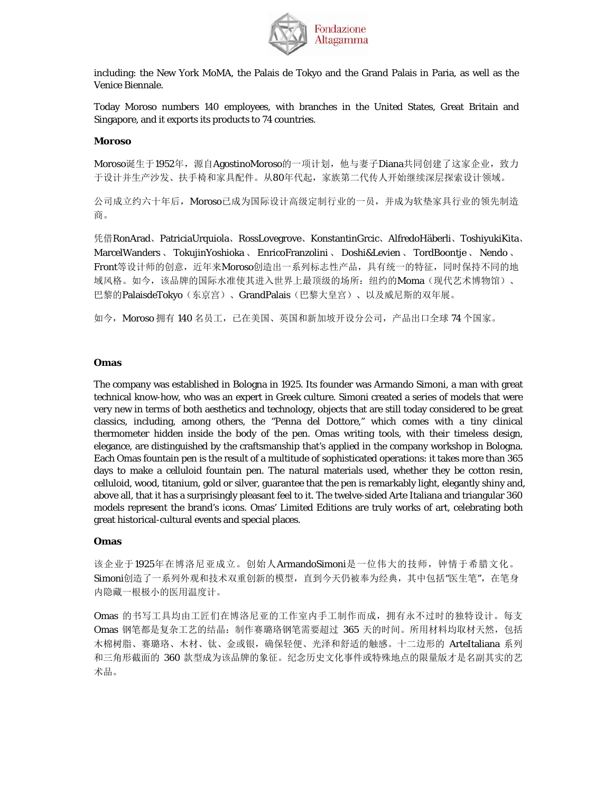

including: the New York MoMA, the Palais de Tokyo and the Grand Palais in Paria, as well as the Venice Biennale.

Today Moroso numbers 140 employees, with branches in the United States, Great Britain and Singapore, and it exports its products to 74 countries.

### **Moroso**

Moroso诞生于1952年, 源自AgostinoMoroso的一项计划, 他与妻子Diana共同创建了这家企业, 致力 于设计并生产沙发、扶手椅和家具配件。从80年代起,家族第二代传人开始继续深层探索设计领域。

公司成立约六十年后,Moroso已成为国际设计高级定制行业的一员,并成为软垫家具行业的领先制造 商。

凭借RonArad、PatriciaUrquiola、RossLovegrove、KonstantinGrcic、AlfredoHäberli、ToshiyukiKita、 MarcelWanders 、 TokujinYoshioka 、 EnricoFranzolini 、 Doshi&Levien 、 TordBoontje 、 Nendo 、 Front等设计师的创意,近年来Moroso创造出一系列标志性产品,具有统一的特征,同时保持不同的地 域风格。如今,该品牌的国际水准使其进入世界上最顶级的场所:纽约的Moma(现代艺术博物馆)、 巴黎的PalaisdeTokyo(东京宫)、GrandPalais(巴黎大皇宫)、以及威尼斯的双年展。

如今, Moroso 拥有 140 名员工, 已在美国、英国和新加坡开设分公司, 产品出口全球 74 个国家。

#### **Omas**

The company was established in Bologna in 1925. Its founder was Armando Simoni, a man with great technical know-how, who was an expert in Greek culture. Simoni created a series of models that were very new in terms of both aesthetics and technology, objects that are still today considered to be great classics, including, among others, the "Penna del Dottore," which comes with a tiny clinical thermometer hidden inside the body of the pen. Omas writing tools, with their timeless design, elegance, are distinguished by the craftsmanship that's applied in the company workshop in Bologna. Each Omas fountain pen is the result of a multitude of sophisticated operations: it takes more than 365 days to make a celluloid fountain pen. The natural materials used, whether they be cotton resin, celluloid, wood, titanium, gold or silver, guarantee that the pen is remarkably light, elegantly shiny and, above all, that it has a surprisingly pleasant feel to it. The twelve-sided Arte Italiana and triangular 360 models represent the brand's icons. Omas' Limited Editions are truly works of art, celebrating both great historical-cultural events and special places.

#### **Omas**

该企业于1925年在博洛尼亚成立。创始人ArmandoSimoni是一位伟大的技师,钟情于希腊文化。 Simoni创造了一系列外观和技术双重创新的模型,直到今天仍被奉为经典,其中包括"医生笔",在笔身 内隐藏一根极小的医用温度计。

Omas 的书写工具均由工匠们在博洛尼亚的工作室内手工制作而成,拥有永不过时的独特设计。每支 Omas 钢笔都是复杂工艺的结晶:制作赛璐珞钢笔需要超过 365 天的时间。所用材料均取材天然,包括 木棉树脂、赛璐珞、木材、钛、金或银,确保轻便、光泽和舒适的触感。十二边形的 ArteItaliana 系列 和三角形截面的 360 款型成为该品牌的象征。纪念历史文化事件或特殊地点的限量版才是名副其实的艺 术品。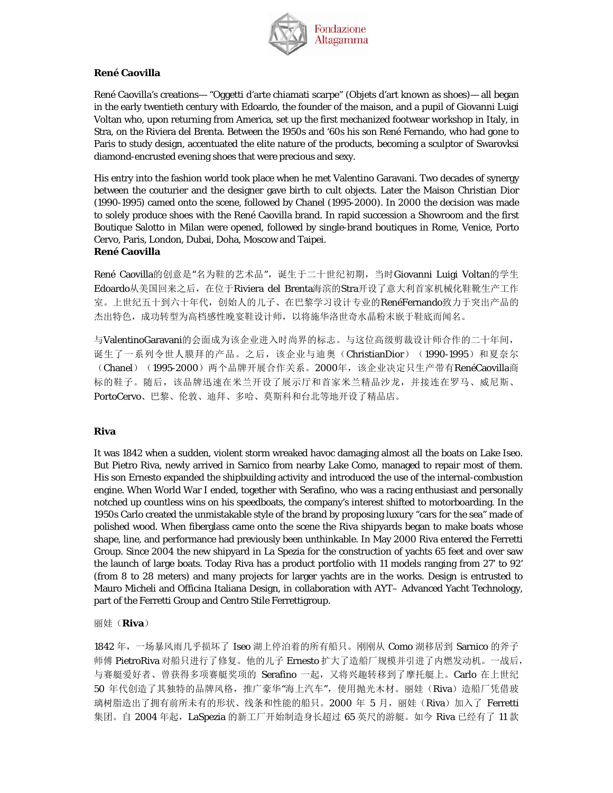

### **René Caovilla**

René Caovilla's creations— "Oggetti d'arte chiamati scarpe" (Objets d'art known as shoes)— all began in the early twentieth century with Edoardo, the founder of the maison, and a pupil of Giovanni Luigi Voltan who, upon returning from America, set up the first mechanized footwear workshop in Italy, in Stra, on the Riviera del Brenta. Between the 1950s and '60s his son René Fernando, who had gone to Paris to study design, accentuated the elite nature of the products, becoming a sculptor of Swarovksi diamond-encrusted evening shoes that were precious and sexy.

His entry into the fashion world took place when he met Valentino Garavani. Two decades of synergy between the couturier and the designer gave birth to cult objects. Later the Maison Christian Dior (1990-1995) camed onto the scene, followed by Chanel (1995-2000). In 2000 the decision was made to solely produce shoes with the René Caovilla brand. In rapid succession a Showroom and the first Boutique Salotto in Milan were opened, followed by single-brand boutiques in Rome, Venice, Porto Cervo, Paris, London, Dubai, Doha, Moscow and Taipei. **René Caovilla** 

René Caovilla的创意是"名为鞋的艺术品",诞生于二十世纪初期,当时Giovanni Luigi Voltan的学生 Edoardo从美国回来之后,在位于Riviera del Brenta海滨的Stra开设了意大利首家机械化鞋靴生产工作 室。上世纪五十到六十年代,创始人的儿子、在巴黎学习设计专业的RenéFernando致力于突出产品的 杰出特色,成功转型为高档感性晚宴鞋设计师,以将施华洛世奇水晶粉末嵌于鞋底而闻名。

与ValentinoGaravani的会面成为该企业进入时尚界的标志。与这位高级剪裁设计师合作的二十年间, 诞生了一系列令世人膜拜的产品。之后,该企业与迪奥(ChristianDior) (1990-1995)和夏奈尔 (Chanel) (1995-2000) 两个品牌开展合作关系。2000年, 该企业决定只生产带有RenéCaovilla商 标的鞋子。随后,该品牌迅速在米兰开设了展示厅和首家米兰精品沙龙,并接连在罗马、威尼斯、 PortoCervo、巴黎、伦敦、迪拜、多哈、莫斯科和台北等地开设了精品店。

#### **Riva**

It was 1842 when a sudden, violent storm wreaked havoc damaging almost all the boats on Lake Iseo. But Pietro Riva, newly arrived in Sarnico from nearby Lake Como, managed to repair most of them. His son Ernesto expanded the shipbuilding activity and introduced the use of the internal-combustion engine. When World War I ended, together with Serafino, who was a racing enthusiast and personally notched up countless wins on his speedboats, the company's interest shifted to motorboarding. In the 1950s Carlo created the unmistakable style of the brand by proposing luxury "cars for the sea" made of polished wood. When fiberglass came onto the scene the Riva shipyards began to make boats whose shape, line, and performance had previously been unthinkable. In May 2000 Riva entered the Ferretti Group. Since 2004 the new shipyard in La Spezia for the construction of yachts 65 feet and over saw the launch of large boats. Today Riva has a product portfolio with 11 models ranging from 27' to 92' (from 8 to 28 meters) and many projects for larger yachts are in the works. Design is entrusted to Mauro Micheli and Officina Italiana Design, in collaboration with AYT– Advanced Yacht Technology, part of the Ferretti Group and Centro Stile Ferrettigroup.

丽娃(**Riva**)

1842 年,一场暴风雨几乎损坏了 Iseo 湖上停泊着的所有船只。刚刚从 Como 湖移居到 Sarnico 的斧子 师傅 PietroRiva 对船只进行了修复。他的儿子 Ernesto 扩大了造船厂规模并引进了内燃发动机。一战后, 与赛艇爱好者、曾获得多项赛艇奖项的 Serafino 一起,又将兴趣转移到了摩托艇上。Carlo 在上世纪 50 年代创造了其独特的品牌风格, 推广豪华"海上汽车", 使用抛光木材。丽娃(Riva)造船厂凭借玻 璃树脂造出了拥有前所未有的形状、线条和性能的船只。2000 年 5 月,丽娃(Riva)加入了 Ferretti 集团。自 2004 年起, LaSpezia 的新工厂开始制造身长超过 65 英尺的游艇。如今 Riva 已经有了 11 款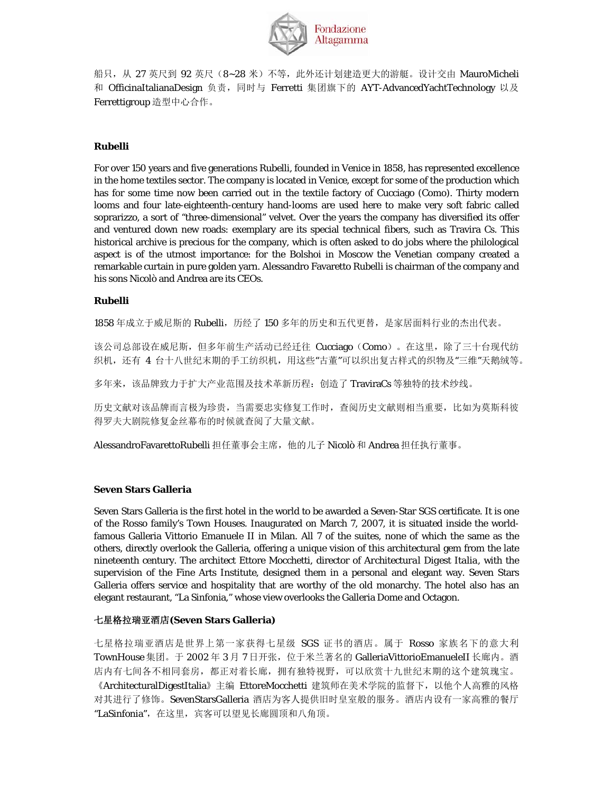

船只, 从 27 英尺到 92 英尺(8~28 米)不等, 此外还计划建造更大的游艇。设计交由 MauroMicheli 和 OfficinaItalianaDesign 负责, 同时与 Ferretti 集团旗下的 AYT-AdvancedYachtTechnology 以及 Ferrettigroup 造型中心合作。

## **Rubelli**

For over 150 years and five generations Rubelli, founded in Venice in 1858, has represented excellence in the home textiles sector. The company is located in Venice, except for some of the production which has for some time now been carried out in the textile factory of Cucciago (Como). Thirty modern looms and four late-eighteenth-century hand-looms are used here to make very soft fabric called soprarizzo, a sort of "three-dimensional" velvet. Over the years the company has diversified its offer and ventured down new roads: exemplary are its special technical fibers, such as Travira Cs. This historical archive is precious for the company, which is often asked to do jobs where the philological aspect is of the utmost importance: for the Bolshoi in Moscow the Venetian company created a remarkable curtain in pure golden yarn. Alessandro Favaretto Rubelli is chairman of the company and his sons Nicolò and Andrea are its CEOs.

## **Rubelli**

1858 年成立于威尼斯的 Rubelli, 历经了150 多年的历史和五代更替, 是家居面料行业的杰出代表。

该公司总部设在威尼斯,但多年前生产活动已经迁往 Cucciago (Como)。在这里,除了三十台现代纺 织机,还有 4 台十八世纪末期的手工纺织机,用这些"古董"可以织出复古样式的织物及"三维"天鹅绒等。

多年来,该品牌致力于扩大产业范围及技术革新历程:创造了 TraviraCs 等独特的技术纱线。

历史文献对该品牌而言极为珍贵,当需要忠实修复工作时,查阅历史文献则相当重要,比如为莫斯科彼 得罗夫大剧院修复金丝幕布的时候就查阅了大量文献。

AlessandroFavarettoRubelli 担任董事会主席,他的儿子 Nicolò 和 Andrea 担任执行董事。

## **Seven Stars Galleria**

Seven Stars Galleria is the first hotel in the world to be awarded a Seven-Star SGS certificate. It is one of the Rosso family's Town Houses. Inaugurated on March 7, 2007, it is situated inside the worldfamous Galleria Vittorio Emanuele II in Milan. All 7 of the suites, none of which the same as the others, directly overlook the Galleria, offering a unique vision of this architectural gem from the late nineteenth century. The architect Ettore Mocchetti, director of *Architectural Digest Italia*, with the supervision of the Fine Arts Institute, designed them in a personal and elegant way. Seven Stars Galleria offers service and hospitality that are worthy of the old monarchy. The hotel also has an elegant restaurant, "La Sinfonia," whose view overlooks the Galleria Dome and Octagon.

## 七星格拉瑞亚酒店**(Seven Stars Galleria)**

七星格拉瑞亚酒店是世界上第一家获得七星级 SGS 证书的酒店。属于 Rosso 家族名下的意大利 TownHouse 集团。于 2002 年 3 月 7 日开张, 位于米兰著名的 GalleriaVittorioEmanueleII 长廊内。酒 店内有七间各不相同套房,都正对着长廊,拥有独特视野,可以欣赏十九世纪末期的这个建筑瑰宝。 《ArchitecturalDigestItalia》主编 EttoreMocchetti 建筑师在美术学院的监督下, 以他个人高雅的风格 对其进行了修饰。SevenStarsGalleria 酒店为客人提供旧时皇室般的服务。酒店内设有一家高雅的餐厅 "LaSinfonia", 在这里, 宾客可以望见长廊圆顶和八角顶。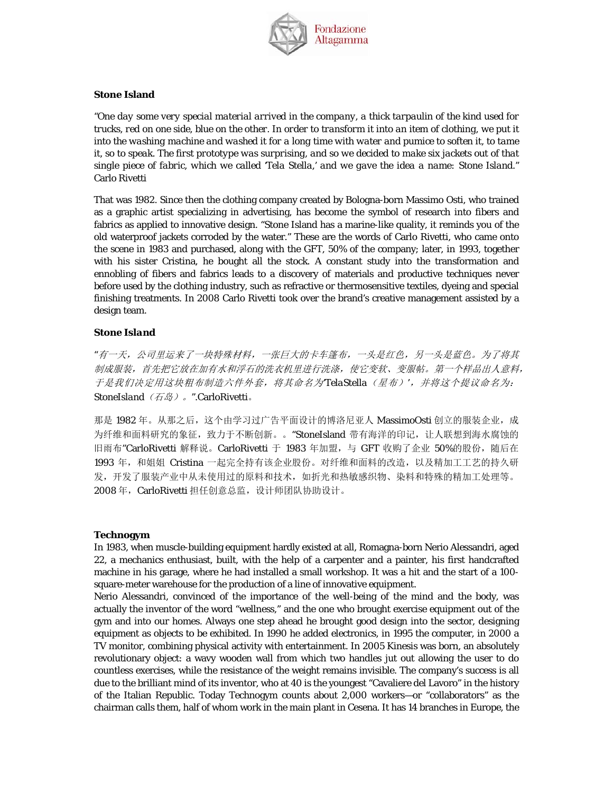

### **Stone Island**

*"One day some very special material arrived in the company, a thick tarpaulin of the kind used for trucks, red on one side, blue on the other. In order to transform it into an item of clothing, we put it into the washing machine and washed it for a long time with water and pumice to soften it, to tame it, so to speak. The first prototype was surprising, and so we decided to make six jackets out of that single piece of fabric, which we called 'Tela Stella,' and we gave the idea a name: Stone Island."*  Carlo Rivetti

That was 1982. Since then the clothing company created by Bologna-born Massimo Osti, who trained as a graphic artist specializing in advertising, has become the symbol of research into fibers and fabrics as applied to innovative design. "Stone Island has a marine-like quality, it reminds you of the old waterproof jackets corroded by the water." These are the words of Carlo Rivetti, who came onto the scene in 1983 and purchased, along with the GFT, 50% of the company; later, in 1993, together with his sister Cristina, he bought all the stock. A constant study into the transformation and ennobling of fibers and fabrics leads to a discovery of materials and productive techniques never before used by the clothing industry, such as refractive or thermosensitive textiles, dyeing and special finishing treatments. In 2008 Carlo Rivetti took over the brand's creative management assisted by a design team.

### *Stone Island*

*"*有一天,公司里运来了一块特殊材料,一张巨大的卡车篷布,一头是红色,另一头是蓝色。为了将其 制成服装,首先把它放在加有水和浮石的洗衣机里进行洗涤,使它变软、变服帖。第一个样品出人意料, 于是我们决定用这块粗布制造六件外套,将其命名为*'TelaStella*(星布)*'*,并将这个提议命名为: *StoneIsland*(石岛)。*".*CarloRivetti。

那是 1982 年。从那之后,这个由学习过广告平面设计的博洛尼亚人 MassimoOsti 创立的服装企业,成 为纤维和面料研究的象征,致力于不断创新。。"StoneIsland 带有海洋的印记,让人联想到海水腐蚀的 旧雨布"CarloRivetti 解释说。CarloRivetti 于 1983 年加盟, 与 GFT 收购了企业 50%的股份, 随后在 1993 年, 和姐姐 Cristina 一起完全持有该企业股份。对纤维和面料的改造, 以及精加工工艺的持久研 发,开发了服装产业中从未使用过的原料和技术,如折光和热敏感织物、染料和特殊的精加工处理等。 2008年, CarloRivetti 担任创意总监, 设计师团队协助设计。

#### **Technogym**

In 1983, when muscle-building equipment hardly existed at all, Romagna-born Nerio Alessandri, aged 22, a mechanics enthusiast, built, with the help of a carpenter and a painter, his first handcrafted machine in his garage, where he had installed a small workshop. It was a hit and the start of a 100 square-meter warehouse for the production of a line of innovative equipment.

Nerio Alessandri, convinced of the importance of the well-being of the mind and the body, was actually the inventor of the word "wellness," and the one who brought exercise equipment out of the gym and into our homes. Always one step ahead he brought good design into the sector, designing equipment as objects to be exhibited. In 1990 he added electronics, in 1995 the computer, in 2000 a TV monitor, combining physical activity with entertainment. In 2005 *Kinesis* was born, an absolutely revolutionary object: a wavy wooden wall from which two handles jut out allowing the user to do countless exercises, while the resistance of the weight remains invisible. The company's success is all due to the brilliant mind of its inventor, who at 40 is the youngest "Cavaliere del Lavoro" in the history of the Italian Republic. Today Technogym counts about 2,000 workers—or "collaborators" as the chairman calls them, half of whom work in the main plant in Cesena. It has 14 branches in Europe, the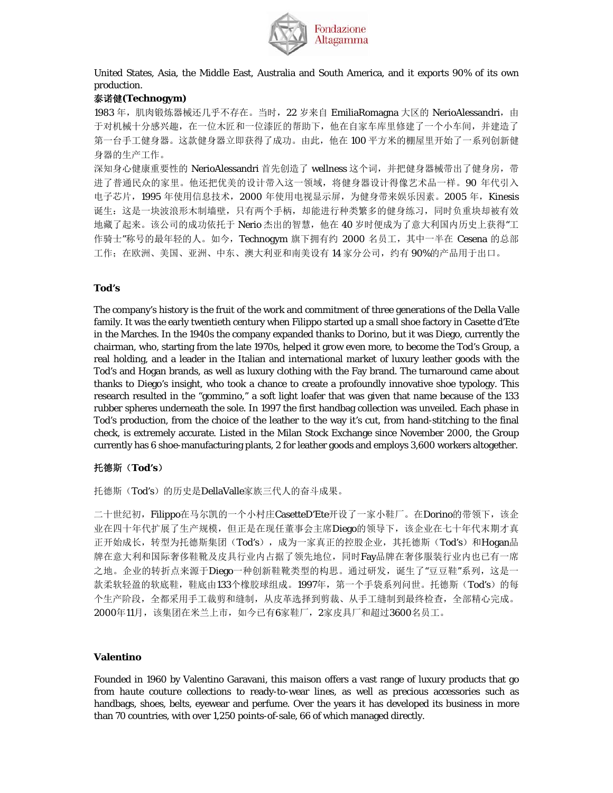

United States, Asia, the Middle East, Australia and South America, and it exports 90% of its own production.

## 泰诺健**(Technogym)**

1983 年, 肌肉锻炼器械还几乎不存在。当时, 22 岁来自 EmiliaRomagna 大区的 NerioAlessandri, 由 于对机械十分感兴趣,在一位木匠和一位漆匠的帮助下,他在自家车库里修建了一个小车间,并建造了 第一台手工健身器。这款健身器立即获得了成功。由此,他在 100 平方米的棚屋里开始了一系列创新健 身器的生产工作。

深知身心健康重要性的 NerioAlessandri 首先创造了 wellness 这个词, 并把健身器械带出了健身房, 带 进了普通民众的家里。他还把优美的设计带入这一领域,将健身器设计得像艺术品一样。90 年代引入 电子芯片, 1995 年使用信息技术, 2000 年使用电视显示屏, 为健身带来娱乐因素。2005 年, Kinesis 诞生:这是一块波浪形木制墙壁,只有两个手柄,却能进行种类繁多的健身练习,同时负重块却被有效 地藏了起来。该公司的成功依托于 Nerio 杰出的智慧, 他在 40 岁时便成为了意大利国内历史上获得"工 作骑士"称号的最年轻的人。如今, Technogym 旗下拥有约 2000 名员工, 其中一半在 Cesena 的总部 工作;在欧洲、美国、亚洲、中东、澳大利亚和南美设有14 家分公司,约有 90%的产品用于出口。

#### **Tod's**

The company's history is the fruit of the work and commitment of three generations of the Della Valle family. It was the early twentieth century when Filippo started up a small shoe factory in Casette d'Ete in the Marches. In the 1940s the company expanded thanks to Dorino, but it was Diego, currently the chairman, who, starting from the late 1970s, helped it grow even more, to become the Tod's Group, a real holding, and a leader in the Italian and international market of luxury leather goods with the Tod's and Hogan brands, as well as luxury clothing with the Fay brand. The turnaround came about thanks to Diego's insight, who took a chance to create a profoundly innovative shoe typology. This research resulted in the "gommino," a soft light loafer that was given that name because of the 133 rubber spheres underneath the sole. In 1997 the first handbag collection was unveiled. Each phase in Tod's production, from the choice of the leather to the way it's cut, from hand-stitching to the final check, is extremely accurate. Listed in the Milan Stock Exchange since November 2000, the Group currently has 6 shoe-manufacturing plants, 2 for leather goods and employs 3,600 workers altogether.

## 托德斯(**Tod's**)

托德斯(Tod's)的历史是DellaValle家族三代人的奋斗成果。

二十世纪初,Filippo在马尔凯的一个小村庄CasetteD'Ete开设了一家小鞋厂。在Dorino的带领下,该企 业在四十年代扩展了生产规模,但正是在现任董事会主席Diego的领导下,该企业在七十年代末期才真 正开始成长,转型为托德斯集团(Tod's),成为一家真正的控股企业,其托德斯(Tod's)和Hogan品 牌在意大利和国际奢侈鞋靴及皮具行业内占据了领先地位,同时Fay品牌在奢侈服装行业内也已有一席 之地。企业的转折点来源于Diego一种创新鞋靴类型的构思。通过研发,诞生了"豆豆鞋"系列,这是一 款柔软轻盈的软底鞋,鞋底由133个橡胶球组成。1997年,第一个手袋系列问世。托德斯(Tod's)的每 个生产阶段,全都采用手工裁剪和缝制,从皮革选择到剪裁、从手工缝制到最终检查,全部精心完成。 2000年11月,该集团在米兰上市,如今已有6家鞋厂,2家皮具厂和超过3600名员工。

#### **Valentino**

Founded in 1960 by Valentino Garavani, this *maison* offers a vast range of luxury products that go from *haute couture* collections to ready-to-wear lines, as well as precious accessories such as handbags, shoes, belts, eyewear and perfume. Over the years it has developed its business in more than 70 countries, with over 1,250 points-of-sale, 66 of which managed directly.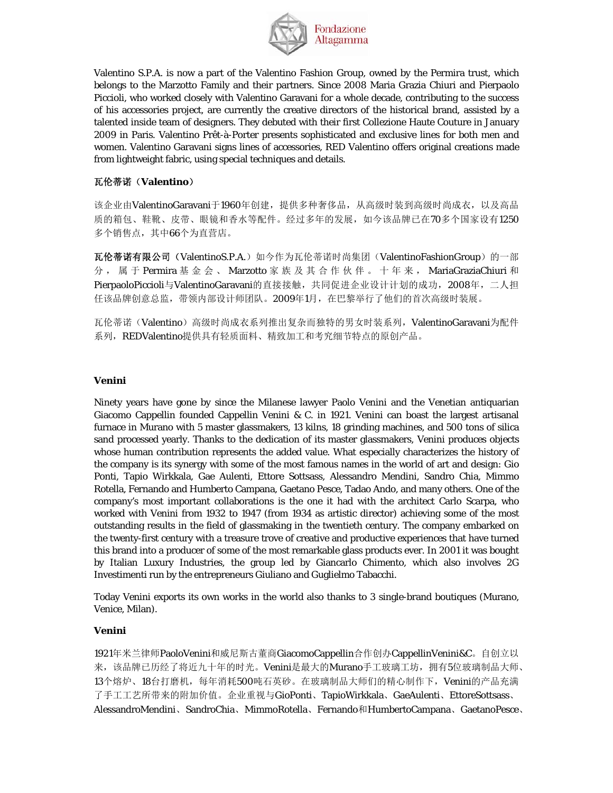

Valentino S.P.A. is now a part of the Valentino Fashion Group, owned by the Permira trust, which belongs to the Marzotto Family and their partners. Since 2008 Maria Grazia Chiuri and Pierpaolo Piccioli, who worked closely with Valentino Garavani for a whole decade, contributing to the success of his accessories project, are currently the creative directors of the historical brand, assisted by a talented inside team of designers. They debuted with their first Collezione Haute Couture in January 2009 in Paris. Valentino Prêt-à-Porter presents sophisticated and exclusive lines for both men and women. Valentino Garavani signs lines of accessories, RED Valentino offers original creations made from lightweight fabric, using special techniques and details.

## 瓦伦蒂诺(**Valentino**)

该企业由ValentinoGaravani于1960年创建,提供多种奢侈品,从高级时装到高级时尚成衣,以及高品 质的箱包、鞋靴、皮带、眼镜和香水等配件。经过多年的发展,如今该品牌已在70多个国家设有1250 多个销售点,其中66个为直营店。

瓦伦蒂诺有限公司(ValentinoS.P.A.)如今作为瓦伦蒂诺时尚集团(ValentinoFashionGroup)的一部 分,属于 Permira 基金会、 Marzotto 家族及其合作伙伴。十年来, MariaGraziaChiuri 和 PierpaoloPiccioli与ValentinoGaravani的直接接触,共同促进企业设计计划的成功, 2008年, 二人担 任该品牌创意总监,带领内部设计师团队。2009年1月,在巴黎举行了他们的首次高级时装展。

瓦伦蒂诺(Valentino)高级时尚成衣系列推出复杂而独特的男女时装系列, ValentinoGaravani为配件 系列, REDValentino提供具有轻质面料、精致加工和考究细节特点的原创产品。

## **Venini**

Ninety years have gone by since the Milanese lawyer Paolo Venini and the Venetian antiquarian Giacomo Cappellin founded Cappellin Venini & C. in 1921. Venini can boast the largest artisanal furnace in Murano with 5 master glassmakers, 13 kilns, 18 grinding machines, and 500 tons of silica sand processed yearly. Thanks to the dedication of its master glassmakers, Venini produces objects whose human contribution represents the added value. What especially characterizes the history of the company is its synergy with some of the most famous names in the world of art and design: Gio Ponti, Tapio Wirkkala, Gae Aulenti, Ettore Sottsass, Alessandro Mendini, Sandro Chia, Mimmo Rotella, Fernando and Humberto Campana, Gaetano Pesce, Tadao Ando, and many others. One of the company's most important collaborations is the one it had with the architect Carlo Scarpa, who worked with Venini from 1932 to 1947 (from 1934 as artistic director) achieving some of the most outstanding results in the field of glassmaking in the twentieth century. The company embarked on the twenty-first century with a treasure trove of creative and productive experiences that have turned this brand into a producer of some of the most remarkable glass products ever. In 2001 it was bought by Italian Luxury Industries, the group led by Giancarlo Chimento, which also involves 2G Investimenti run by the entrepreneurs Giuliano and Guglielmo Tabacchi.

Today Venini exports its own works in the world also thanks to 3 single-brand boutiques (Murano, Venice, Milan).

## **Venini**

1921年米兰律师PaoloVenini和威尼斯古董商GiacomoCappellin合作创办CappellinVenini&C。自创立以 来,该品牌已历经了将近九十年的时光。Venini是最大的Murano手工玻璃工坊,拥有5位玻璃制品大师、 13个熔炉、18台打磨机,每年消耗500吨石英砂。在玻璃制品大师们的精心制作下,Venini的产品充满 了手工工艺所带来的附加价值。企业重视与GioPonti、TapioWirkkala、GaeAulenti、EttoreSottsass、 AlessandroMendini、SandroChia、MimmoRotella、Fernando和HumbertoCampana、GaetanoPesce、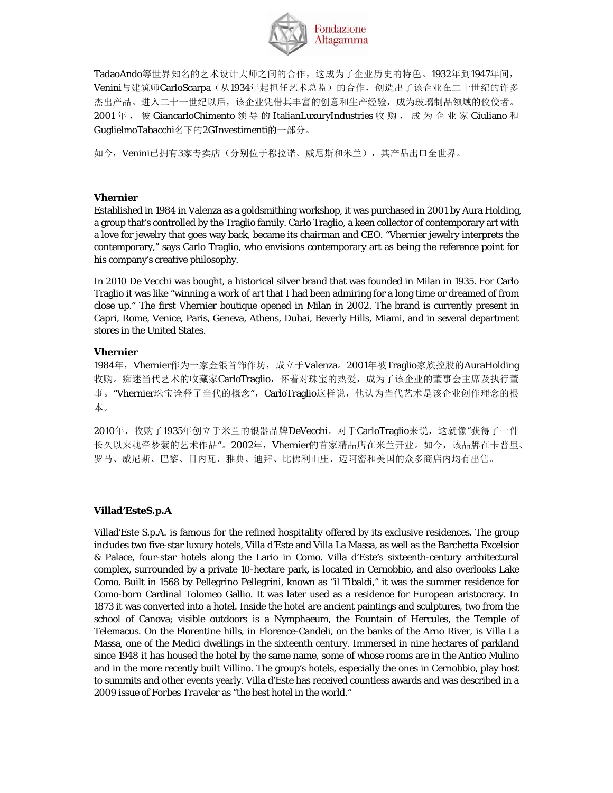

TadaoAndo等世界知名的艺术设计大师之间的合作,这成为了企业历史的特色。1932年到1947年间, Venini与建筑师CarloScarpa(从1934年起担任艺术总监)的合作,创造出了该企业在二十世纪的许多 杰出产品。进入二十一世纪以后,该企业凭借其丰富的创意和生产经验,成为玻璃制品领域的佼佼者。 2001年, 被 GiancarloChimento 领导的 ItalianLuxuryIndustries 收购, 成为企业家 Giuliano 和 GuglielmoTabacchi名下的2GInvestimenti的一部分。

如今, Venini已拥有3家专卖店(分别位于穆拉诺、威尼斯和米兰), 其产品出口全世界。

## **Vhernier**

Established in 1984 in Valenza as a goldsmithing workshop, it was purchased in 2001 by Aura Holding, a group that's controlled by the Traglio family. Carlo Traglio, a keen collector of contemporary art with a love for jewelry that goes way back, became its chairman and CEO. "Vhernier jewelry interprets the contemporary," says Carlo Traglio, who envisions contemporary art as being the reference point for his company's creative philosophy.

In 2010 De Vecchi was bought, a historical silver brand that was founded in Milan in 1935. For Carlo Traglio it was like "winning a work of art that I had been admiring for a long time or dreamed of from close up." The first Vhernier boutique opened in Milan in 2002. The brand is currently present in Capri, Rome, Venice, Paris, Geneva, Athens, Dubai, Beverly Hills, Miami, and in several department stores in the United States.

### **Vhernier**

1984年, Vhernier作为一家金银首饰作坊, 成立于Valenza。2001年被Traglio家族控股的AuraHolding 收购。痴迷当代艺术的收藏家CarloTraglio,怀着对珠宝的热爱,成为了该企业的董事会主席及执行董 事。"Vhernier珠宝诠释了当代的概念", CarloTraglio这样说, 他认为当代艺术是该企业创作理念的根 本。

2010年,收购了1935年创立于米兰的银器品牌DeVecchi。对于CarloTraglio来说,这就像"获得了一件 长久以来魂牵梦萦的艺术作品"。2002年, Vhernier的首家精品店在米兰开业。如今,该品牌在卡普里、 罗马、威尼斯、巴黎、日内瓦、雅典、迪拜、比佛利山庄、迈阿密和美国的众多商店内均有出售。

## **Villad'EsteS.p.A**

Villad'Este S.p.A. is famous for the refined hospitality offered by its exclusive residences. The group includes two five-star luxury hotels, Villa d'Este and Villa La Massa, as well as the Barchetta Excelsior & Palace, four-star hotels along the Lario in Como. Villa d'Este's sixteenth-century architectural complex, surrounded by a private 10-hectare park, is located in Cernobbio, and also overlooks Lake Como. Built in 1568 by Pellegrino Pellegrini, known as "il Tibaldi," it was the summer residence for Como-born Cardinal Tolomeo Gallio. It was later used as a residence for European aristocracy. In 1873 it was converted into a hotel. Inside the hotel are ancient paintings and sculptures, two from the school of Canova; visible outdoors is a Nymphaeum, the Fountain of Hercules, the Temple of Telemacus. On the Florentine hills, in Florence-Candeli, on the banks of the Arno River, is Villa La Massa, one of the Medici dwellings in the sixteenth century. Immersed in nine hectares of parkland since 1948 it has housed the hotel by the same name, some of whose rooms are in the Antico Mulino and in the more recently built Villino. The group's hotels, especially the ones in Cernobbio, play host to summits and other events yearly. Villa d'Este has received countless awards and was described in a 2009 issue of *Forbes Traveler* as "the best hotel in the world."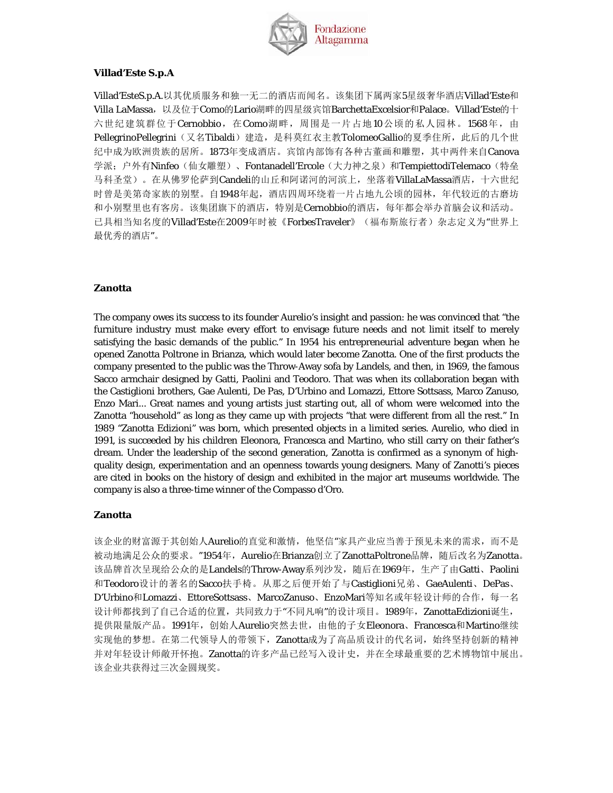

## **Villad'Este S.p.A**

Villad'EsteS.p.A.以其优质服务和独一无二的酒店而闻名。该集团下属两家5星级奢华酒店Villad'Este和 Villa LaMassa,以及位于Como的Lario湖畔的四星级宾馆BarchettaExcelsior和Palace。Villad'Este的十 六世纪建筑群位于Cernobbio, 在Como湖畔, 周围是一片占地10公顷的私人园林。1568年, 由 PellegrinoPellegrini(又名Tibaldi)建造,是科莫红衣主教TolomeoGallio的夏季住所,此后的几个世 纪中成为欧洲贵族的居所。1873年变成酒店。宾馆内部饰有各种古董画和雕塑,其中两件来自Canova 学派;户外有Ninfeo(仙女雕塑)、Fontanadell'Ercole(大力神之泉)和TempiettodiTelemaco(特垒 马科圣堂)。在从佛罗伦萨到Candeli的山丘和阿诺河的河滨上,坐落着VillaLaMassa酒店,十六世纪 时曾是美第奇家族的别墅。自1948年起,酒店四周环绕着一片占地九公顷的园林,年代较近的古磨坊 和小别墅里也有客房。该集团旗下的酒店,特别是Cernobbio的酒店,每年都会举办首脑会议和活动。 已具相当知名度的Villad'Este在2009年时被《ForbesTraveler》(福布斯旅行者)杂志定义为"世界上 最优秀的酒店"。

### **Zanotta**

The company owes its success to its founder Aurelio's insight and passion: he was convinced that "the furniture industry must make every effort to envisage future needs and not limit itself to merely satisfying the basic demands of the public." In 1954 his entrepreneurial adventure began when he opened Zanotta Poltrone in Brianza, which would later become Zanotta. One of the first products the company presented to the public was the Throw-Away sofa by Landels, and then, in 1969, the famous Sacco armchair designed by Gatti, Paolini and Teodoro. That was when its collaboration began with the Castiglioni brothers, Gae Aulenti, De Pas, D'Urbino and Lomazzi, Ettore Sottsass, Marco Zanuso, Enzo Mari... Great names and young artists just starting out, all of whom were welcomed into the Zanotta "household" as long as they came up with projects "that were different from all the rest." In 1989 "Zanotta Edizioni" was born, which presented objects in a limited series. Aurelio, who died in 1991, is succeeded by his children Eleonora, Francesca and Martino, who still carry on their father's dream. Under the leadership of the second generation, Zanotta is confirmed as a synonym of highquality design, experimentation and an openness towards young designers. Many of Zanotti's pieces are cited in books on the history of design and exhibited in the major art museums worldwide. The company is also a three-time winner of the Compasso d'Oro.

## **Zanotta**

该企业的财富源于其创始人Aurelio的直觉和激情,他坚信"家具产业应当善于预见未来的需求,而不是 被动地满足公众的要求。"1954年, Aurelio在Brianza创立了ZanottaPoltrone品牌, 随后改名为Zanotta。 该品牌首次呈现给公众的是Landels的Throw-Away系列沙发,随后在1969年,生产了由Gatti、Paolini 和Teodoro设计的著名的Sacco扶手椅。从那之后便开始了与Castiglioni兄弟、GaeAulenti、DePas、 D'Urbino和Lomazzi、EttoreSottsass、MarcoZanuso、EnzoMari等知名或年轻设计师的合作,每一名 设计师都找到了自己合适的位置,共同致力于"不同凡响"的设计项目。1989年,ZanottaEdizioni诞生, 提供限量版产品。1991年,创始人Aurelio突然去世,由他的子女Eleonora、Francesca和Martino继续 实现他的梦想。在第二代领导人的带领下, Zanotta成为了高品质设计的代名词, 始终坚持创新的精神 并对年轻设计师敞开怀抱。Zanotta的许多产品已经写入设计史,并在全球最重要的艺术博物馆中展出。 该企业共获得过三次金圆规奖。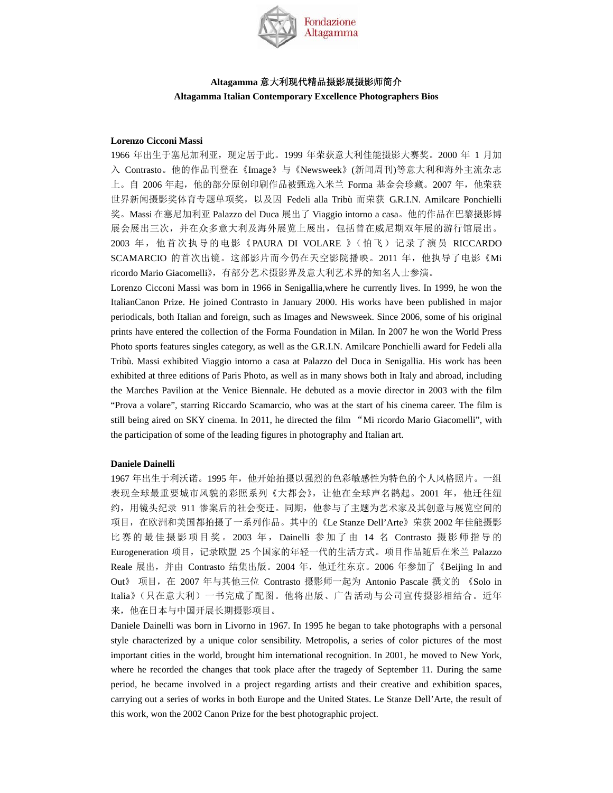

## **Altagamma** 意大利现代精品摄影展摄影师简介 **Altagamma Italian Contemporary Excellence Photographers Bios**

#### **Lorenzo Cicconi Massi**

1966 年出生于塞尼加利亚,现定居于此。1999 年荣获意大利佳能摄影大赛奖。2000 年 1 月加 入 Contrasto。他的作品刊登在《Image》与《Newsweek》(新闻周刊)等意大利和海外主流杂志 上。自 2006 年起, 他的部分原创印刷作品被甄选入米兰 Forma 基金会珍藏。2007 年, 他荣获 世界新闻摄影奖体育专题单项奖,以及因 Fedeli alla Tribù 而荣获 G.R.I.N. Amilcare Ponchielli 奖。Massi 在塞尼加利亚 Palazzo del Duca 展出了 Viaggio intorno a casa。他的作品在巴黎摄影博 展会展出三次,并在众多意大利及海外展览上展出,包括曾在威尼期双年展的游行馆展出。 2003 年,他首次执导的电影《PAURA DI VOLARE 》(怕飞)记录了演员 RICCARDO SCAMARCIO 的首次出镜。这部影片而今仍在天空影院播映。2011 年,他执导了电影《Mi ricordo Mario Giacomelli》,有部分艺术摄影界及意大利艺术界的知名人士参演。

Lorenzo Cicconi Massi was born in 1966 in Senigallia,where he currently lives. In 1999, he won the ItalianCanon Prize. He joined Contrasto in January 2000. His works have been published in major periodicals, both Italian and foreign, such as Images and Newsweek. Since 2006, some of his original prints have entered the collection of the Forma Foundation in Milan. In 2007 he won the World Press Photo sports features singles category, as well as the G.R.I.N. Amilcare Ponchielli award for Fedeli alla Tribù. Massi exhibited Viaggio intorno a casa at Palazzo del Duca in Senigallia. His work has been exhibited at three editions of Paris Photo, as well as in many shows both in Italy and abroad, including the Marches Pavilion at the Venice Biennale. He debuted as a movie director in 2003 with the film "Prova a volare", starring Riccardo Scamarcio, who was at the start of his cinema career. The film is still being aired on SKY cinema. In 2011, he directed the film "Mi ricordo Mario Giacomelli", with the participation of some of the leading figures in photography and Italian art.

#### **Daniele Dainelli**

1967 年出生于利沃诺。1995 年,他开始拍摄以强烈的色彩敏感性为特色的个人风格照片。一组 表现全球最重要城市风貌的彩照系列《大都会》,让他在全球声名鹊起。2001 年,他迁往纽 约,用镜头纪录 911 惨案后的社会变迁。同期,他参与了主题为艺术家及其创意与展览空间的 项目,在欧洲和美国都拍摄了一系列作品。其中的《Le Stanze Dell'Arte》荣获 2002 年佳能摄影 比赛的最佳摄影项目奖。 2003 年 , Dainelli 参加了由 14 名 Contrasto 摄影师指导的 Eurogeneration 项目,记录欧盟 25 个国家的年轻一代的生活方式。项目作品随后在米兰 Palazzo Reale 展出,并由 Contrasto 结集出版。2004 年,他迁往东京。2006 年参加了《Beijing In and Out》 项目,在 2007 年与其他三位 Contrasto 摄影师一起为 Antonio Pascale 撰文的 《Solo in Italia》(只在意大利)一书完成了配图。他将出版、广告活动与公司宣传摄影相结合。近年 来,他在日本与中国开展长期摄影项目。

Daniele Dainelli was born in Livorno in 1967. In 1995 he began to take photographs with a personal style characterized by a unique color sensibility. Metropolis, a series of color pictures of the most important cities in the world, brought him international recognition. In 2001, he moved to New York, where he recorded the changes that took place after the tragedy of September 11. During the same period, he became involved in a project regarding artists and their creative and exhibition spaces, carrying out a series of works in both Europe and the United States. Le Stanze Dell'Arte, the result of this work, won the 2002 Canon Prize for the best photographic project.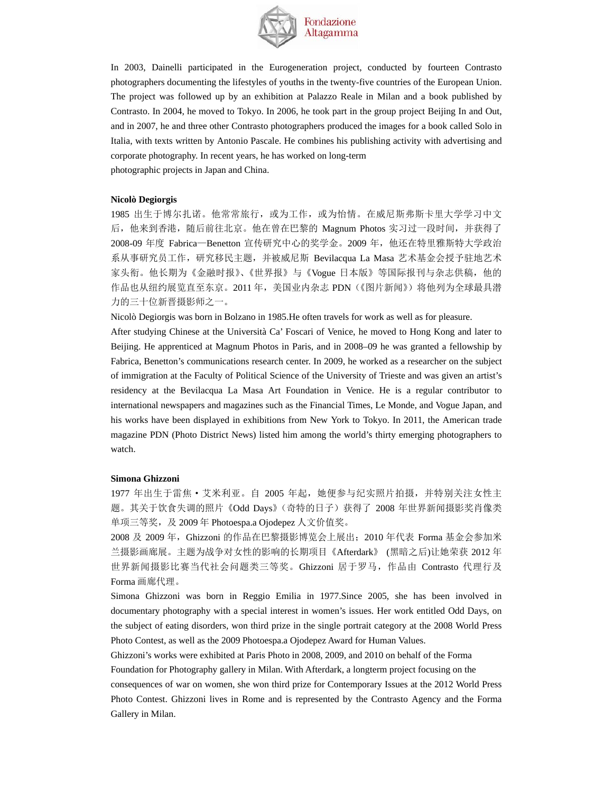

In 2003, Dainelli participated in the Eurogeneration project, conducted by fourteen Contrasto photographers documenting the lifestyles of youths in the twenty-five countries of the European Union. The project was followed up by an exhibition at Palazzo Reale in Milan and a book published by Contrasto. In 2004, he moved to Tokyo. In 2006, he took part in the group project Beijing In and Out, and in 2007, he and three other Contrasto photographers produced the images for a book called Solo in Italia, with texts written by Antonio Pascale. He combines his publishing activity with advertising and corporate photography. In recent years, he has worked on long-term photographic projects in Japan and China.

#### **Nicolò Degiorgis**

1985 出生于博尔扎诺。他常常旅行,或为工作,或为怡情。在威尼斯弗斯卡里大学学习中文 后,他来到香港,随后前往北京。他在曾在巴黎的 Magnum Photos 实习过一段时间,并获得了 2008-09 年度 Fabrica—Benetton 宣传研究中心的奖学金。2009 年,他还在特里雅斯特大学政治 系从事研究员工作,研究移民主题,并被威尼斯 Bevilacqua La Masa 艺术基金会授予驻地艺术 家头衔。他长期为《金融时报》、《世界报》与《Vogue 日本版》等国际报刊与杂志供稿,他的 作品也从纽约展览直至东京。2011 年,美国业内杂志 PDN(《图片新闻》) 将他列为全球最具潜 力的三十位新晋摄影师之一。

Nicolò Degiorgis was born in Bolzano in 1985.He often travels for work as well as for pleasure.

After studying Chinese at the Università Ca' Foscari of Venice, he moved to Hong Kong and later to Beijing. He apprenticed at Magnum Photos in Paris, and in 2008–09 he was granted a fellowship by Fabrica, Benetton's communications research center. In 2009, he worked as a researcher on the subject of immigration at the Faculty of Political Science of the University of Trieste and was given an artist's residency at the Bevilacqua La Masa Art Foundation in Venice. He is a regular contributor to international newspapers and magazines such as the Financial Times, Le Monde, and Vogue Japan, and his works have been displayed in exhibitions from New York to Tokyo. In 2011, the American trade magazine PDN (Photo District News) listed him among the world's thirty emerging photographers to watch.

#### **Simona Ghizzoni**

1977 年出生于雷焦 · 艾米利亚。自 2005 年起,她便参与纪实照片拍摄,并特别关注女性主 题。其关于饮食失调的照片《Odd Days》(奇特的日子)获得了 2008 年世界新闻摄影奖肖像类 单项三等奖, 及 2009年 Photoespa.a Ojodepez 人文价值奖。

2008 及 2009 年,Ghizzoni 的作品在巴黎摄影博览会上展出;2010 年代表 Forma 基金会参加米 兰摄影画廊展。主题为战争对女性的影响的长期项目《Afterdark》 (黑暗之后)让她荣获 2012 年 世界新闻摄影比赛当代社会问题类三等奖。Ghizzoni 居于罗马,作品由 Contrasto 代理行及 Forma 画廊代理。

Simona Ghizzoni was born in Reggio Emilia in 1977.Since 2005, she has been involved in documentary photography with a special interest in women's issues. Her work entitled Odd Days, on the subject of eating disorders, won third prize in the single portrait category at the 2008 World Press Photo Contest, as well as the 2009 Photoespa.a Ojodepez Award for Human Values.

Ghizzoni's works were exhibited at Paris Photo in 2008, 2009, and 2010 on behalf of the Forma

Foundation for Photography gallery in Milan. With Afterdark, a longterm project focusing on the

consequences of war on women, she won third prize for Contemporary Issues at the 2012 World Press Photo Contest. Ghizzoni lives in Rome and is represented by the Contrasto Agency and the Forma Gallery in Milan.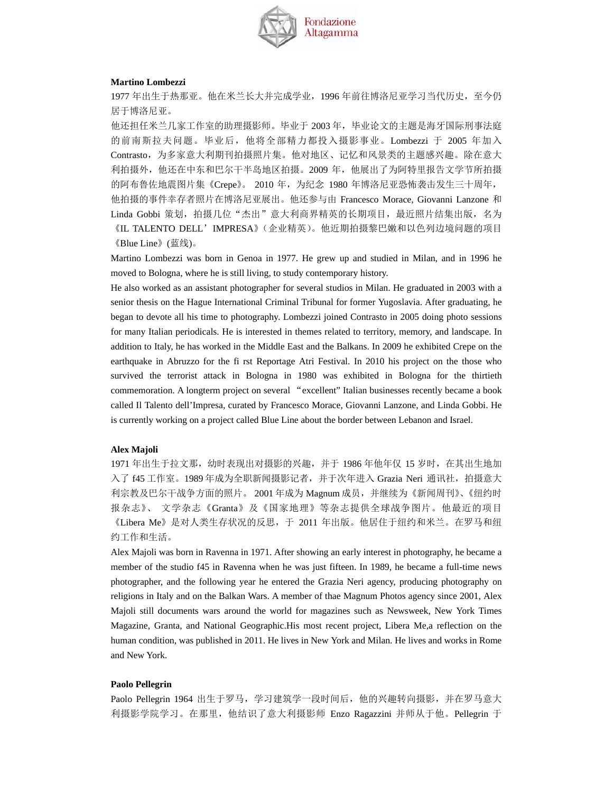

#### **Martino Lombezzi**

1977 年出生于热那亚。他在米兰长大并完成学业,1996 年前往博洛尼亚学习当代历史,至今仍 居于博洛尼亚。

他还担任米兰几家工作室的助理摄影师。毕业于 2003 年,毕业论文的主题是海牙国际刑事法庭 的前南斯拉夫问题。毕业后,他将全部精力都投入摄影事业。Lombezzi 于 2005 年加入 Contrasto,为多家意大利期刊拍摄照片集。他对地区、记忆和风景类的主题感兴趣。除在意大 利拍摄外,他还在中东和巴尔干半岛地区拍摄。2009 年,他展出了为阿特里报告文学节所拍摄 的阿布鲁佐地震图片集《Crepe》。 2010 年, 为纪念 1980 年博洛尼亚恐怖袭击发生三十周年, 他拍摄的事件幸存者照片在博洛尼亚展出。他还参与由 Francesco Morace, Giovanni Lanzone 和 Linda Gobbi 策划, 拍摄几位"杰出"意大利商界精英的长期项目,最近照片结集出版, 名为

《IL TALENTO DELL'IMPRESA》(企业精英)。他近期拍摄黎巴嫩和以色列边境问题的项目 《Blue Line》(蓝线)。

Martino Lombezzi was born in Genoa in 1977. He grew up and studied in Milan, and in 1996 he moved to Bologna, where he is still living, to study contemporary history.

He also worked as an assistant photographer for several studios in Milan. He graduated in 2003 with a senior thesis on the Hague International Criminal Tribunal for former Yugoslavia. After graduating, he began to devote all his time to photography. Lombezzi joined Contrasto in 2005 doing photo sessions for many Italian periodicals. He is interested in themes related to territory, memory, and landscape. In addition to Italy, he has worked in the Middle East and the Balkans. In 2009 he exhibited Crepe on the earthquake in Abruzzo for the fi rst Reportage Atri Festival. In 2010 his project on the those who survived the terrorist attack in Bologna in 1980 was exhibited in Bologna for the thirtieth commemoration. A longterm project on several "excellent" Italian businesses recently became a book called Il Talento dell'Impresa, curated by Francesco Morace, Giovanni Lanzone, and Linda Gobbi. He is currently working on a project called Blue Line about the border between Lebanon and Israel.

#### **Alex Majoli**

1971 年出生于拉文那,幼时表现出对摄影的兴趣,并于 1986 年他年仅 15 岁时,在其出生地加 入了 f45 工作室。1989 年成为全职新闻摄影记者,并于次年进入 Grazia Neri 通讯社, 拍摄意大 利宗教及巴尔干战争方面的照片。 2001 年成为 Magnum 成员,并继续为《新闻周刊》、《纽约时 报杂志》、 文学杂志《Granta》及《国家地理》等杂志提供全球战争图片。他最近的项目 《Libera Me》是对人类生存状况的反思,于 2011 年出版。他居住于纽约和米兰。在罗马和纽 约工作和生活。

Alex Majoli was born in Ravenna in 1971. After showing an early interest in photography, he became a member of the studio f45 in Ravenna when he was just fifteen. In 1989, he became a full-time news photographer, and the following year he entered the Grazia Neri agency, producing photography on religions in Italy and on the Balkan Wars. A member of thae Magnum Photos agency since 2001, Alex Majoli still documents wars around the world for magazines such as Newsweek, New York Times Magazine, Granta, and National Geographic.His most recent project, Libera Me,a reflection on the human condition, was published in 2011. He lives in New York and Milan. He lives and works in Rome and New York.

#### **Paolo Pellegrin**

Paolo Pellegrin 1964 出生于罗马, 学习建筑学一段时间后, 他的兴趣转向摄影, 并在罗马意大 利摄影学院学习。在那里,他结识了意大利摄影师 Enzo Ragazzini 并师从于他。Pellegrin 于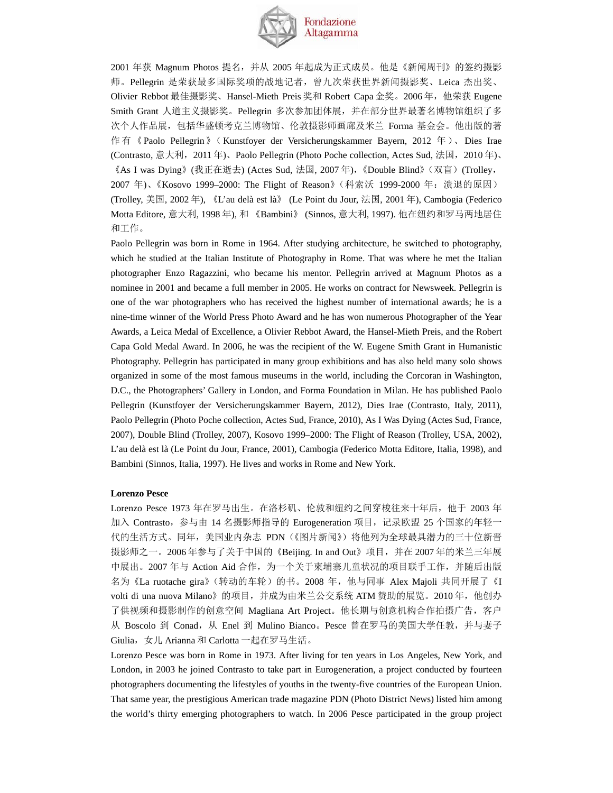

2001 年获 Magnum Photos 提名,并从 2005 年起成为正式成员。他是《新闻周刊》的签约摄影 师。Pellegrin 是荣获最多国际奖项的战地记者,曾九次荣获世界新闻摄影奖、Leica 杰出奖、 Olivier Rebbot 最佳摄影奖、Hansel-Mieth Preis 奖和 Robert Capa 金奖。2006年, 他荣获 Eugene Smith Grant 人道主义摄影奖。Pellegrin 多次参加团体展,并在部分世界最著名博物馆组织了多 次个人作品展,包括华盛顿考克兰博物馆、伦敦摄影师画廊及米兰 Forma 基金会。他出版的著 作有《Paolo Pellegrin》(Kunstfoyer der Versicherungskammer Bayern, 2012 年)、Dies Irae (Contrasto, 意大利,2011 年)、Paolo Pellegrin (Photo Poche collection, Actes Sud, 法国,2010 年)、 《As I was Dying》(我正在逝去) (Actes Sud, 法国, 2007 年),《Double Blind》(双盲)(Trolley, 2007 年)、《Kosovo 1999–2000: The Flight of Reason》(科索沃 1999-2000 年:溃退的原因) (Trolley, 美国, 2002 年), 《L'au delà est là》 (Le Point du Jour, 法国, 2001 年), Cambogia (Federico Motta Editore, 意大利, 1998 年), 和 《Bambini》 (Sinnos, 意大利, 1997). 他在纽约和罗马两地居住 和工作。

Paolo Pellegrin was born in Rome in 1964. After studying architecture, he switched to photography, which he studied at the Italian Institute of Photography in Rome. That was where he met the Italian photographer Enzo Ragazzini, who became his mentor. Pellegrin arrived at Magnum Photos as a nominee in 2001 and became a full member in 2005. He works on contract for Newsweek. Pellegrin is one of the war photographers who has received the highest number of international awards; he is a nine-time winner of the World Press Photo Award and he has won numerous Photographer of the Year Awards, a Leica Medal of Excellence, a Olivier Rebbot Award, the Hansel-Mieth Preis, and the Robert Capa Gold Medal Award. In 2006, he was the recipient of the W. Eugene Smith Grant in Humanistic Photography. Pellegrin has participated in many group exhibitions and has also held many solo shows organized in some of the most famous museums in the world, including the Corcoran in Washington, D.C., the Photographers' Gallery in London, and Forma Foundation in Milan. He has published Paolo Pellegrin (Kunstfoyer der Versicherungskammer Bayern, 2012), Dies Irae (Contrasto, Italy, 2011), Paolo Pellegrin (Photo Poche collection, Actes Sud, France, 2010), As I Was Dying (Actes Sud, France, 2007), Double Blind (Trolley, 2007), Kosovo 1999–2000: The Flight of Reason (Trolley, USA, 2002), L'au delà est là (Le Point du Jour, France, 2001), Cambogia (Federico Motta Editore, Italia, 1998), and Bambini (Sinnos, Italia, 1997). He lives and works in Rome and New York.

#### **Lorenzo Pesce**

Lorenzo Pesce 1973 年在罗马出生。在洛杉矶、伦敦和纽约之间穿梭往来十年后,他于 2003 年 加入 Contrasto, 参与由 14 名摄影师指导的 Eurogeneration 项目, 记录欧盟 25 个国家的年轻一 代的生活方式。同年,美国业内杂志 PDN(《图片新闻》)将他列为全球最具潜力的三十位新晋 摄影师之一。2006 年参与了关于中国的《Beijing. In and Out》项目,并在 2007 年的米兰三年展 中展出。2007 年与 Action Aid 合作, 为一个关于柬埔寨儿童状况的项目联手工作, 并随后出版 名为《La ruotache gira》(转动的车轮)的书。2008 年,他与同事 Alex Majoli 共同开展了《I volti di una nuova Milano》的项目,并成为由米兰公交系统 ATM 赞助的展览。2010年, 他创办 了供视频和摄影制作的创意空间 Magliana Art Project。他长期与创意机构合作拍摄广告,客户 从 Boscolo 到 Conad, 从 Enel 到 Mulino Bianco。Pesce 曾在罗马的美国大学任教, 并与妻子 Giulia,女儿 Arianna 和 Carlotta 一起在罗马生活。

Lorenzo Pesce was born in Rome in 1973. After living for ten years in Los Angeles, New York, and London, in 2003 he joined Contrasto to take part in Eurogeneration, a project conducted by fourteen photographers documenting the lifestyles of youths in the twenty-five countries of the European Union. That same year, the prestigious American trade magazine PDN (Photo District News) listed him among the world's thirty emerging photographers to watch. In 2006 Pesce participated in the group project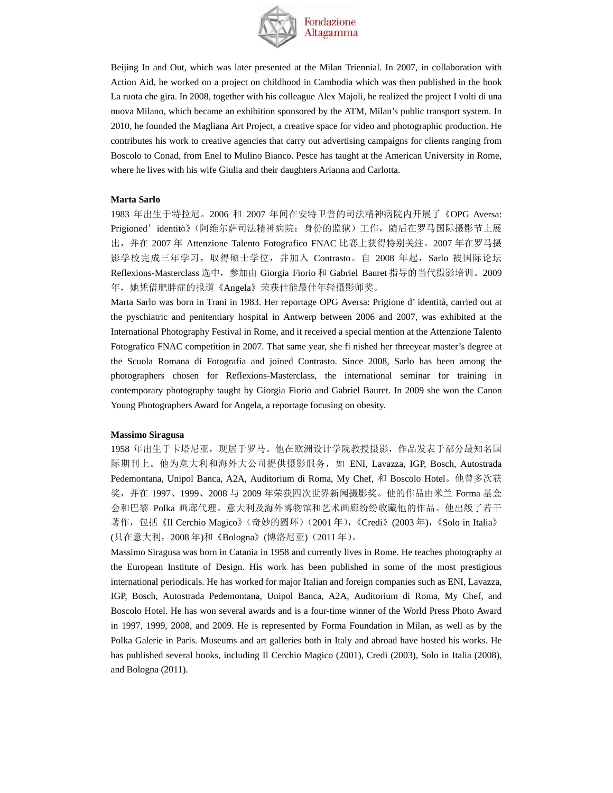

Beijing In and Out, which was later presented at the Milan Triennial. In 2007, in collaboration with Action Aid, he worked on a project on childhood in Cambodia which was then published in the book La ruota che gira. In 2008, together with his colleague Alex Majoli, he realized the project I volti di una nuova Milano, which became an exhibition sponsored by the ATM, Milan's public transport system. In 2010, he founded the Magliana Art Project, a creative space for video and photographic production. He contributes his work to creative agencies that carry out advertising campaigns for clients ranging from Boscolo to Conad, from Enel to Mulino Bianco. Pesce has taught at the American University in Rome, where he lives with his wife Giulia and their daughters Arianna and Carlotta.

#### **Marta Sarlo**

1983 年出生于特拉尼。2006 和 2007 年间在安特卫普的司法精神病院内开展了《OPG Aversa: Prigioned' identità》(阿维尔萨司法精神病院: 身份的监狱)工作, 随后在罗马国际摄影节上展 出,并在 2007 年 Attenzione Talento Fotografico FNAC 比赛上获得特别关注。2007 年在罗马摄 影学校完成三年学习,取得硕士学位,并加入 Contrasto。自 2008 年起, Sarlo 被国际论坛 Reflexions-Masterclass 选中,参加由 Giorgia Fiorio 和 Gabriel Bauret 指导的当代摄影培训。2009 年,她凭借肥胖症的报道《Angela》荣获佳能最佳年轻摄影师奖。

Marta Sarlo was born in Trani in 1983. Her reportage OPG Aversa: Prigione d' identità, carried out at the pyschiatric and penitentiary hospital in Antwerp between 2006 and 2007, was exhibited at the International Photography Festival in Rome, and it received a special mention at the Attenzione Talento Fotografico FNAC competition in 2007. That same year, she fi nished her threeyear master's degree at the Scuola Romana di Fotografia and joined Contrasto. Since 2008, Sarlo has been among the photographers chosen for Reflexions-Masterclass, the international seminar for training in contemporary photography taught by Giorgia Fiorio and Gabriel Bauret. In 2009 she won the Canon Young Photographers Award for Angela, a reportage focusing on obesity.

#### **Massimo Siragusa**

1958 年出生于卡塔尼亚,所展舌罗马。他在欧洲设计学院教授摄影,作品发表于部分最知名国 际期刊上。他为意大利和海外大公司提供摄影服务,如 ENI, Lavazza, IGP, Bosch, Autostrada Pedemontana, Unipol Banca, A2A, Auditorium di Roma, My Chef, 和 Boscolo Hotel。他曾多次获 奖,并在 1997、1999、2008 与 2009 年荣获四次世界新闻摄影奖。他的作品由米兰 Forma 基金 会和巴黎 Polka 画廊代理。意大利及海外博物馆和艺术画廊纷纷收藏他的作品。他出版了若干 著作,包括《Il Cerchio Magico》(奇妙的圆环)(2001年),《Credi》(2003年),《Solo in Italia》 (只在意大利,2008 年)和《Bologna》(博洛尼亚)(2011 年)。

Massimo Siragusa was born in Catania in 1958 and currently lives in Rome. He teaches photography at the European Institute of Design. His work has been published in some of the most prestigious international periodicals. He has worked for major Italian and foreign companies such as ENI, Lavazza, IGP, Bosch, Autostrada Pedemontana, Unipol Banca, A2A, Auditorium di Roma, My Chef, and Boscolo Hotel. He has won several awards and is a four-time winner of the World Press Photo Award in 1997, 1999, 2008, and 2009. He is represented by Forma Foundation in Milan, as well as by the Polka Galerie in Paris. Museums and art galleries both in Italy and abroad have hosted his works. He has published several books, including Il Cerchio Magico (2001), Credi (2003), Solo in Italia (2008), and Bologna (2011).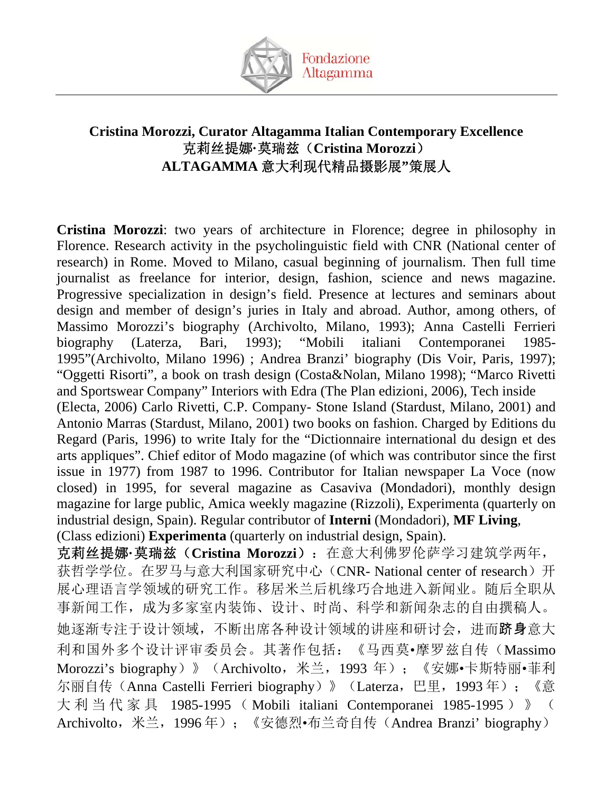

# **Cristina Morozzi, Curator Altagamma Italian Contemporary Excellence**  克莉丝提娜**·**莫瑞兹(**Cristina Morozzi**) **ALTAGAMMA** 意大利现代精品摄影展**"**策展人

**Cristina Morozzi**: two years of architecture in Florence; degree in philosophy in Florence. Research activity in the psycholinguistic field with CNR (National center of research) in Rome. Moved to Milano, casual beginning of journalism. Then full time journalist as freelance for interior, design, fashion, science and news magazine. Progressive specialization in design's field. Presence at lectures and seminars about design and member of design's juries in Italy and abroad. Author, among others, of Massimo Morozzi's biography (Archivolto, Milano, 1993); Anna Castelli Ferrieri biography (Laterza, Bari, 1993); "Mobili italiani Contemporanei 1985- 1995"(Archivolto, Milano 1996) ; Andrea Branzi' biography (Dis Voir, Paris, 1997); "Oggetti Risorti", a book on trash design (Costa&Nolan, Milano 1998); "Marco Rivetti and Sportswear Company" Interiors with Edra (The Plan edizioni, 2006), Tech inside (Electa, 2006) Carlo Rivetti, C.P. Company- Stone Island (Stardust, Milano, 2001) and Antonio Marras (Stardust, Milano, 2001) two books on fashion. Charged by Editions du Regard (Paris, 1996) to write Italy for the "Dictionnaire international du design et des arts appliques". Chief editor of Modo magazine (of which was contributor since the first issue in 1977) from 1987 to 1996. Contributor for Italian newspaper La Voce (now closed) in 1995, for several magazine as Casaviva (Mondadori), monthly design magazine for large public, Amica weekly magazine (Rizzoli), Experimenta (quarterly on industrial design, Spain). Regular contributor of **Interni** (Mondadori), **MF Living**, (Class edizioni) **Experimenta** (quarterly on industrial design, Spain). 克莉丝提娜**·**莫瑞兹(**Cristina Morozzi**):在意大利佛罗伦萨学习建筑学两年,

获哲学学位。在罗马与意大利国家研究中心(CNR- National center of research)开 展心理语言学领域的研究工作。移居米兰后机缘巧合地进入新闻业。随后全职从 事新闻工作,成为多家室内装饰、设计、时尚、科学和新闻杂志的自由撰稿人。 她逐渐专注于设计领域,不断出席各种设计领域的讲座和研讨会,进而跻身意大 利和国外多个设计评审委员会。其著作包括:《马西莫•摩罗兹自传(Massimo Morozzi's biography)》 (Archivolto, 米兰, 1993年); 《安娜•卡斯特丽•菲利 尔丽自传 (Anna Castelli Ferrieri biography)》 (Laterza, 巴里, 1993年); 《意 大利当代家具 1985-1995 ( Mobili italiani Contemporanei 1985-1995 )》( Archivolto,米兰,1996 年);《安德烈•布兰奇自传(Andrea Branzi' biography)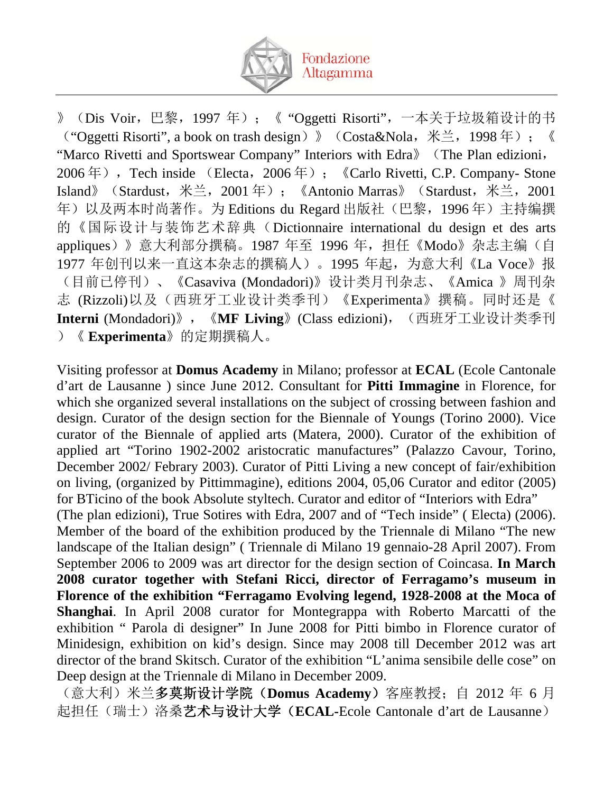

》(Dis Voir,巴黎,1997 年);《 "Oggetti Risorti",一本关于垃圾箱设计的书 ("Oggetti Risorti", a book on trash design)》(Costa&Nola,米兰,1998 年);《 "Marco Rivetti and Sportswear Company" Interiors with Edra》(The Plan edizioni, 2006年), Tech inside (Electa, 2006年); 《Carlo Rivetti, C.P. Company- Stone Island》(Stardust,米兰,2001 年);《Antonio Marras》(Stardust,米兰,2001 年)以及两本时尚著作。为 Editions du Regard 出版社(巴黎, 1996年)主持编撰 的《国际设计与装饰艺术辞典(Dictionnaire international du design et des arts appliques)》意大利部分撰稿。1987年至 1996年,担任《Modo》杂志主编(自 1977 年创刊以来一直这本杂志的撰稿人)。1995 年起,为意大利《La Voce》报 (目前已停刊)、《Casaviva (Mondadori)》设计类月刊杂志、《Amica 》周刊杂 志 (Rizzoli)以及(西班牙工业设计类季刊)《Experimenta》撰稿。同时还是《 **Interni** (Mondadori)》,《**MF Living**》(Class edizioni),(西班牙工业设计类季刊 )《 **Experimenta**》的定期撰稿人。

Visiting professor at **Domus Academy** in Milano; professor at **ECAL** (Ecole Cantonale d'art de Lausanne ) since June 2012. Consultant for **Pitti Immagine** in Florence, for which she organized several installations on the subject of crossing between fashion and design. Curator of the design section for the Biennale of Youngs (Torino 2000). Vice curator of the Biennale of applied arts (Matera, 2000). Curator of the exhibition of applied art "Torino 1902-2002 aristocratic manufactures" (Palazzo Cavour, Torino, December 2002/ Febrary 2003). Curator of Pitti Living a new concept of fair/exhibition on living, (organized by Pittimmagine), editions 2004, 05,06 Curator and editor (2005) for BTicino of the book Absolute styltech. Curator and editor of "Interiors with Edra" (The plan edizioni), True Sotires with Edra, 2007 and of "Tech inside" ( Electa) (2006). Member of the board of the exhibition produced by the Triennale di Milano "The new landscape of the Italian design" ( Triennale di Milano 19 gennaio-28 April 2007). From September 2006 to 2009 was art director for the design section of Coincasa. **In March 2008 curator together with Stefani Ricci, director of Ferragamo's museum in Florence of the exhibition "Ferragamo Evolving legend, 1928-2008 at the Moca of Shanghai**. In April 2008 curator for Montegrappa with Roberto Marcatti of the exhibition " Parola di designer" In June 2008 for Pitti bimbo in Florence curator of Minidesign, exhibition on kid's design. Since may 2008 till December 2012 was art director of the brand Skitsch. Curator of the exhibition "L'anima sensibile delle cose" on Deep design at the Triennale di Milano in December 2009.

(意大利)米兰多莫斯设计学院(**Domus Academy**)客座教授;自 2012 年 6 月 起担任(瑞士)洛桑艺术与设计大学(**ECAL-**Ecole Cantonale d'art de Lausanne)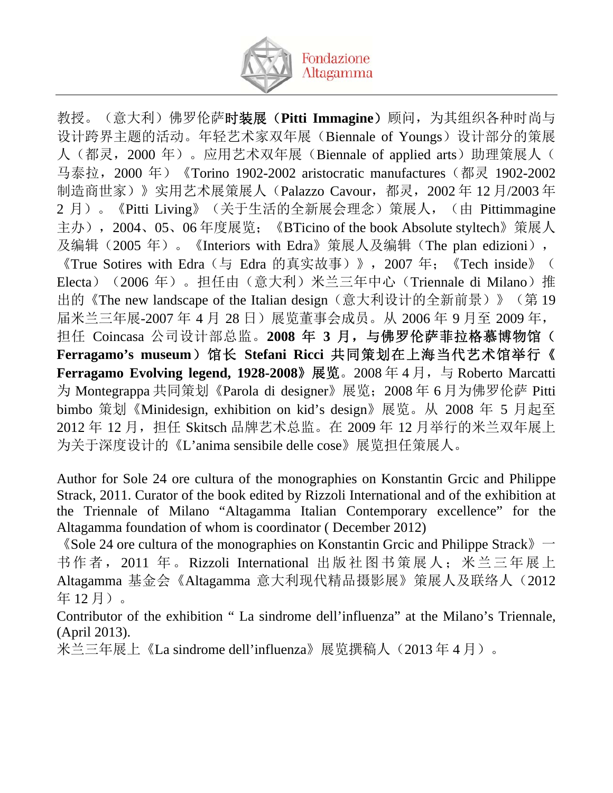

教授。(意大利)佛罗伦萨时装展(**Pitti Immagine**)顾问,为其组织各种时尚与 设计跨界主题的活动。年轻艺术家双年展(Biennale of Youngs)设计部分的策展 人(都灵, 2000年)。应用艺术双年展(Biennale of applied arts)助理策展人( 马泰拉,2000 年)《Torino 1902-2002 aristocratic manufactures(都灵 1902-2002 制造商世家)》实用艺术展策展人(Palazzo Cavour,都灵,2002 年 12 月/2003 年 2 月)。《Pitti Living》(关于生活的全新展会理念)策展人, (由 Pittimmagine 主办), 2004、05、06年度展览; 《BTicino of the book Absolute styltech》策展人 及编辑(2005年)。《Interiors with Edra》策展人及编辑(The plan edizioni), 《True Sotires with Edra(与 Edra 的真实故事)》,2007 年;《Tech inside》( Electa) (2006年)。担任由(意大利)米兰三年中心(Triennale di Milano)推 出的《The new landscape of the Italian design(意大利设计的全新前景)》(第 19 届米兰三年展-2007 年 4 月 28 日)展览董事会成员。从 2006 年 9 月至 2009 年, 担任 Coincasa 公司设计部总监。2008年 3月,与佛罗伦萨菲拉格慕博物馆( **Ferragamo's museum**)馆长 **Stefani Ricci** 共同策划在上海当代艺术馆举行《 **Ferragamo Evolving legend, 1928-2008》展览**。2008年4月, 与 Roberto Marcatti 为 Montegrappa 共同策划《Parola di designer》展览;2008 年 6 月为佛罗伦萨 Pitti bimbo 策划《Minidesign, exhibition on kid's design》展览。从 2008 年 5 月起至 2012 年 12 月, 担任 Skitsch 品牌艺术总监。在 2009 年 12 月举行的米兰双年展上 为关于深度设计的《L'anima sensibile delle cose》展览担任策展人。

Author for Sole 24 ore cultura of the monographies on Konstantin Grcic and Philippe Strack, 2011. Curator of the book edited by Rizzoli International and of the exhibition at the Triennale of Milano "Altagamma Italian Contemporary excellence" for the Altagamma foundation of whom is coordinator ( December 2012)

 $\Diamond$  Sole 24 ore cultura of the monographies on Konstantin Grcic and Philippe Strack  $\Diamond$   $\rightarrow$ 书作者, 2011 年。Rizzoli International 出版社图书策展人; 米兰三年展上 Altagamma 基金会《Altagamma 意大利现代精品摄影展》策展人及联络人(2012 年 12 月)。

Contributor of the exhibition " La sindrome dell'influenza" at the Milano's Triennale, (April 2013).

米兰三年展上《La sindrome dell'influenza》展览撰稿人(2013 年 4 月)。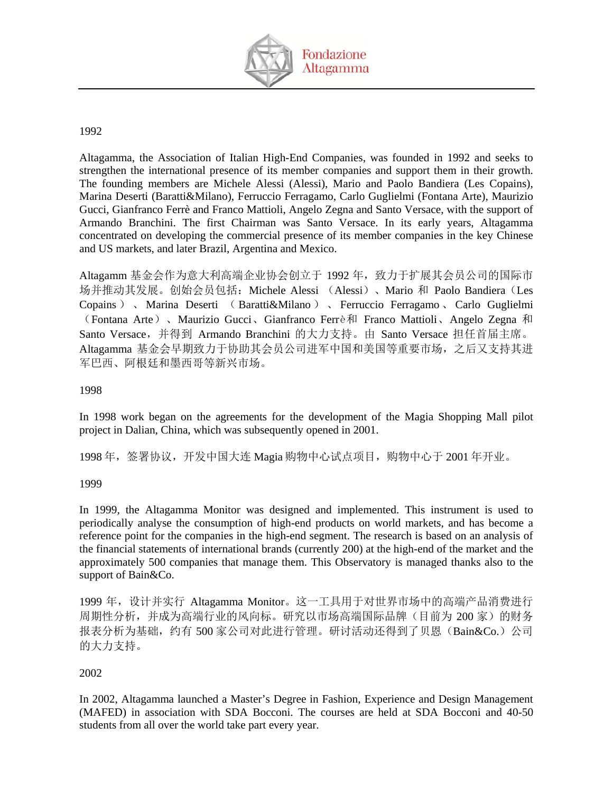

## 1992

Altagamma, the Association of Italian High-End Companies, was founded in 1992 and seeks to strengthen the international presence of its member companies and support them in their growth. The founding members are Michele Alessi (Alessi), Mario and Paolo Bandiera (Les Copains), Marina Deserti (Baratti&Milano), Ferruccio Ferragamo, Carlo Guglielmi (Fontana Arte), Maurizio Gucci, Gianfranco Ferrè and Franco Mattioli, Angelo Zegna and Santo Versace, with the support of Armando Branchini. The first Chairman was Santo Versace. In its early years, Altagamma concentrated on developing the commercial presence of its member companies in the key Chinese and US markets, and later Brazil, Argentina and Mexico.

Altagamm 基金会作为意大利高端企业协会创立于 1992 年, 致力于扩展其会员公司的国际市 场并推动其发展。创始会员包括: Michele Alessi (Alessi)、Mario 和 Paolo Bandiera(Les Copains ) 、 Marina Deserti ( Baratti&Milano ) 、 Ferruccio Ferragamo 、 Carlo Guglielmi (Fontana Arte)、Maurizio Gucci、Gianfranco Ferrè和 Franco Mattioli、Angelo Zegna 和 Santo Versace,并得到 Armando Branchini 的大力支持。由 Santo Versace 担任首届主席。 Altagamma 基金会早期致力于协助其会员公司进军中国和美国等重要市场,之后又支持其进 军巴西、阿根廷和墨西哥等新兴市场。

## 1998

In 1998 work began on the agreements for the development of the Magia Shopping Mall pilot project in Dalian, China, which was subsequently opened in 2001.

1998年, 签署协议, 开发中国大连 Magia 购物中心试点项目, 购物中心于 2001年开业。

## 1999

In 1999, the Altagamma Monitor was designed and implemented. This instrument is used to periodically analyse the consumption of high-end products on world markets, and has become a reference point for the companies in the high-end segment. The research is based on an analysis of the financial statements of international brands (currently 200) at the high-end of the market and the approximately 500 companies that manage them. This Observatory is managed thanks also to the support of Bain&Co.

1999 年,设计并实行 Altagamma Monitor。这一工具用于对世界市场中的高端产品消费进行 周期性分析,并成为高端行业的风向标。研究以市场高端国际品牌(目前为 200 家)的财务 报表分析为基础,约有 500 家公司对此进行管理。研讨活动还得到了贝恩(Bain&Co.)公司 的大力支持。

## 2002

In 2002, Altagamma launched a Master's Degree in Fashion, Experience and Design Management (MAFED) in association with SDA Bocconi. The courses are held at SDA Bocconi and 40-50 students from all over the world take part every year.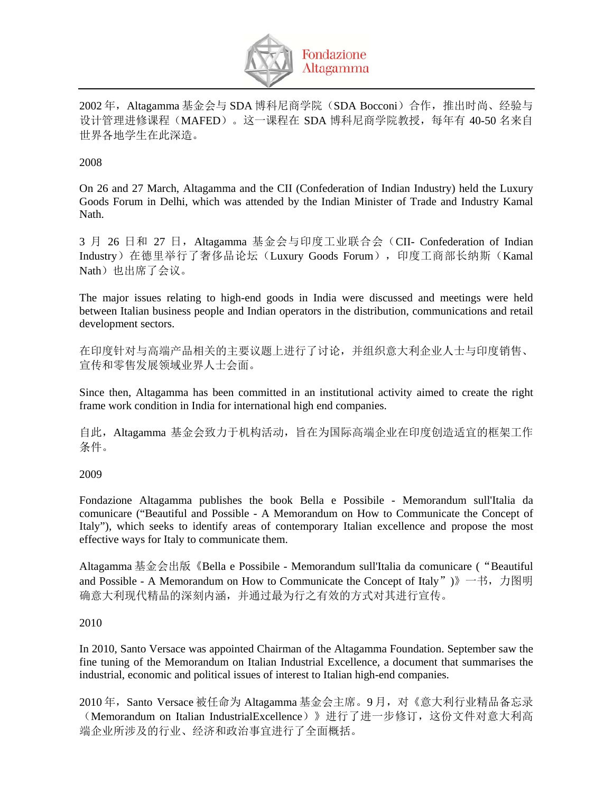

2002年, Altagamma 基金会与 SDA 博科尼商学院(SDA Bocconi)合作, 推出时尚、经验与 设计管理进修课程(MAFED)。这一课程在 SDA 博科尼商学院教授, 每年有 40-50 名来自 世界各地学生在此深造。

## 2008

On 26 and 27 March, Altagamma and the CII (Confederation of Indian Industry) held the Luxury Goods Forum in Delhi, which was attended by the Indian Minister of Trade and Industry Kamal Nath.

3 月 26 日和 27 日, Altagamma 基金会与印度工业联合会 (CII- Confederation of Indian Industry)在德里举行了奢侈品论坛(Luxury Goods Forum),印度工商部长纳斯(Kamal Nath)也出席了会议。

The major issues relating to high-end goods in India were discussed and meetings were held between Italian business people and Indian operators in the distribution, communications and retail development sectors.

在印度针对与高端产品相关的主要议题上进行了讨论,并组织意大利企业人士与印度销售、 宣传和零售发展领域业界人士会面。

Since then, Altagamma has been committed in an institutional activity aimed to create the right frame work condition in India for international high end companies.

自此,Altagamma 基金会致力于机构活动,旨在为国际高端企业在印度创造适宜的框架工作 条件。

## 2009

Fondazione Altagamma publishes the book Bella e Possibile - Memorandum sull'Italia da comunicare ("Beautiful and Possible - A Memorandum on How to Communicate the Concept of Italy"), which seeks to identify areas of contemporary Italian excellence and propose the most effective ways for Italy to communicate them.

Altagamma 基金会出版《Bella e Possibile - Memorandum sull'Italia da comunicare ("Beautiful and Possible - A Memorandum on How to Communicate the Concept of Italy")》一书, 力图明 确意大利现代精品的深刻内涵,并通过最为行之有效的方式对其进行宣传。

## 2010

In 2010, Santo Versace was appointed Chairman of the Altagamma Foundation. September saw the fine tuning of the Memorandum on Italian Industrial Excellence, a document that summarises the industrial, economic and political issues of interest to Italian high-end companies.

2010年, Santo Versace 被任命为 Altagamma 基金会主席。9月, 对《意大利行业精品备忘录 (Memorandum on Italian IndustrialExcellence)》进行了进一步修订,这份文件对意大利高 端企业所涉及的行业、经济和政治事宜进行了全面概括。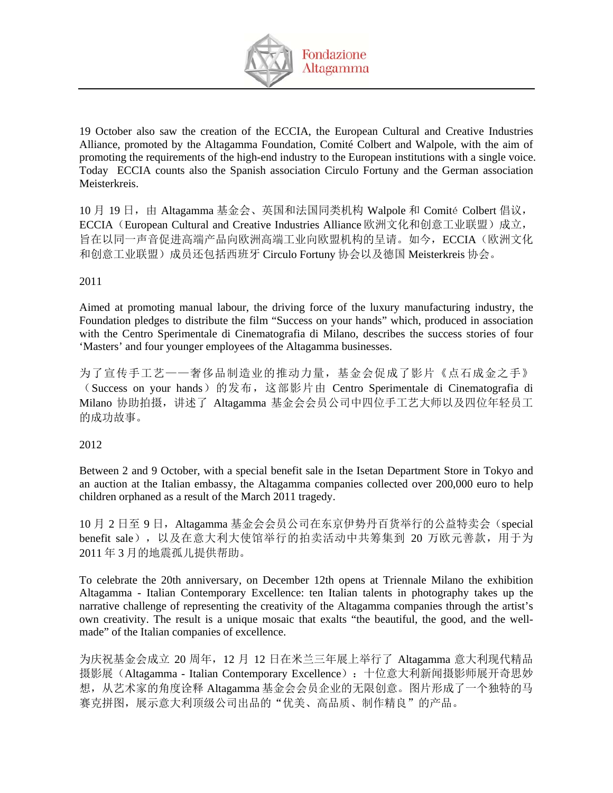

19 October also saw the creation of the ECCIA, the European Cultural and Creative Industries Alliance, promoted by the Altagamma Foundation, Comité Colbert and Walpole, with the aim of promoting the requirements of the high-end industry to the European institutions with a single voice. Today ECCIA counts also the Spanish association Circulo Fortuny and the German association Meisterkreis.

10 月 19 日, 由 Altagamma 基金会、英国和法国同类机构 Walpole 和 Comité Colbert 倡议, ECCIA (European Cultural and Creative Industries Alliance 欧洲文化和创意工业联盟)成立, 旨在以同一声音促进高端产品向欧洲高端工业向欧盟机构的呈请。如今,ECCIA(欧洲文化 和创意工业联盟)成员还包括西班牙 Circulo Fortuny 协会以及德国 Meisterkreis 协会。

## 2011

Aimed at promoting manual labour, the driving force of the luxury manufacturing industry, the Foundation pledges to distribute the film "Success on your hands" which, produced in association with the Centro Sperimentale di Cinematografia di Milano, describes the success stories of four 'Masters' and four younger employees of the Altagamma businesses.

为了宣传手工艺——奢侈品制造业的推动力量,基金会促成了影片《点石成金之手》 (Success on your hands)的发布,这部影片由 Centro Sperimentale di Cinematografia di Milano 协助拍摄,讲述了 Altagamma 基金会会员公司中四位手工艺大师以及四位年轻员工 的成功故事。

## 2012

Between 2 and 9 October, with a special benefit sale in the Isetan Department Store in Tokyo and an auction at the Italian embassy, the Altagamma companies collected over 200,000 euro to help children orphaned as a result of the March 2011 tragedy.

10 月 2 日至 9 日, Altagamma 基金会会员公司在东京伊势丹百货举行的公益特卖会 (special benefit sale),以及在意大利大使馆举行的拍卖活动中共筹集到 20 万欧元善款,用于为 2011 年 3 月的地震孤儿提供帮助。

To celebrate the 20th anniversary, on December 12th opens at Triennale Milano the exhibition Altagamma - Italian Contemporary Excellence: ten Italian talents in photography takes up the narrative challenge of representing the creativity of the Altagamma companies through the artist's own creativity. The result is a unique mosaic that exalts "the beautiful, the good, and the wellmade" of the Italian companies of excellence.

为庆祝基金会成立 20 周年,12 月 12 日在米兰三年展上举行了 Altagamma 意大利现代精品 摄影展(Altagamma - Italian Contemporary Excellence): 十位意大利新闻摄影师展开奇思妙 想,从艺术家的角度诠释 Altagamma 基金会会员企业的无限创意。图片形成了一个独特的马 赛克拼图,展示意大利顶级公司出品的"优美、高品质、制作精良"的产品。